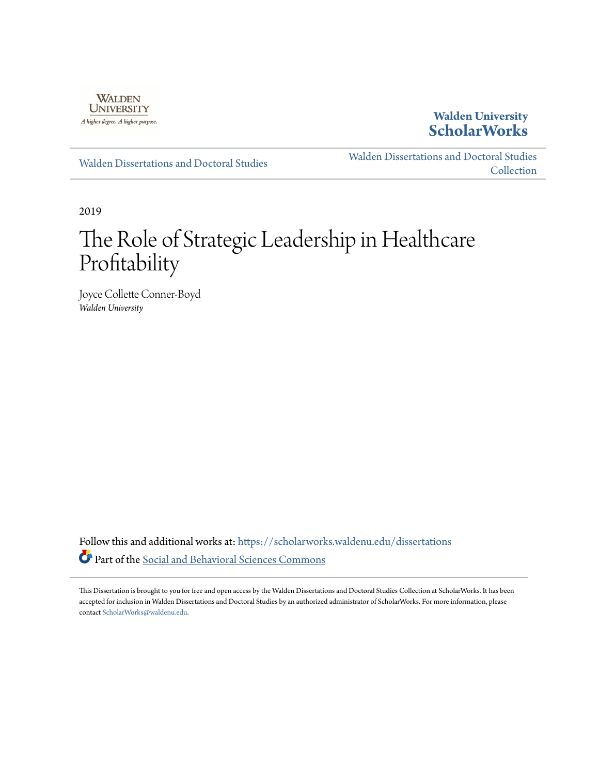

**Walden University [ScholarWorks](https://scholarworks.waldenu.edu?utm_source=scholarworks.waldenu.edu%2Fdissertations%2F7281&utm_medium=PDF&utm_campaign=PDFCoverPages)**

[Walden Dissertations and Doctoral Studies](https://scholarworks.waldenu.edu/dissertations?utm_source=scholarworks.waldenu.edu%2Fdissertations%2F7281&utm_medium=PDF&utm_campaign=PDFCoverPages)

[Walden Dissertations and Doctoral Studies](https://scholarworks.waldenu.edu/dissanddoc?utm_source=scholarworks.waldenu.edu%2Fdissertations%2F7281&utm_medium=PDF&utm_campaign=PDFCoverPages) **[Collection](https://scholarworks.waldenu.edu/dissanddoc?utm_source=scholarworks.waldenu.edu%2Fdissertations%2F7281&utm_medium=PDF&utm_campaign=PDFCoverPages)** 

2019

# The Role of Strategic Leadership in Healthcare Profitability

Joyce Collette Conner-Boyd *Walden University*

Follow this and additional works at: [https://scholarworks.waldenu.edu/dissertations](https://scholarworks.waldenu.edu/dissertations?utm_source=scholarworks.waldenu.edu%2Fdissertations%2F7281&utm_medium=PDF&utm_campaign=PDFCoverPages) Part of the [Social and Behavioral Sciences Commons](http://network.bepress.com/hgg/discipline/316?utm_source=scholarworks.waldenu.edu%2Fdissertations%2F7281&utm_medium=PDF&utm_campaign=PDFCoverPages)

This Dissertation is brought to you for free and open access by the Walden Dissertations and Doctoral Studies Collection at ScholarWorks. It has been accepted for inclusion in Walden Dissertations and Doctoral Studies by an authorized administrator of ScholarWorks. For more information, please contact [ScholarWorks@waldenu.edu](mailto:ScholarWorks@waldenu.edu).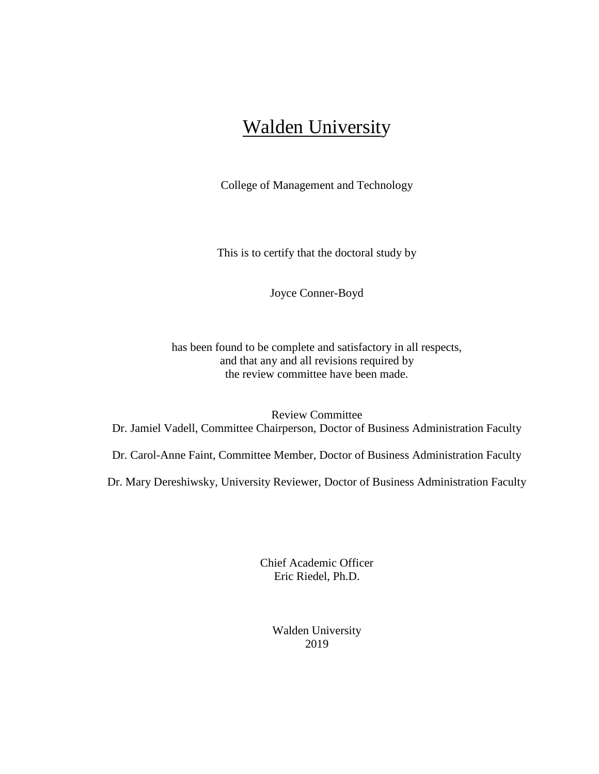## Walden University

College of Management and Technology

This is to certify that the doctoral study by

Joyce Conner-Boyd

has been found to be complete and satisfactory in all respects, and that any and all revisions required by the review committee have been made.

Review Committee Dr. Jamiel Vadell, Committee Chairperson, Doctor of Business Administration Faculty

Dr. Carol-Anne Faint, Committee Member, Doctor of Business Administration Faculty

Dr. Mary Dereshiwsky, University Reviewer, Doctor of Business Administration Faculty

Chief Academic Officer Eric Riedel, Ph.D.

> Walden University 2019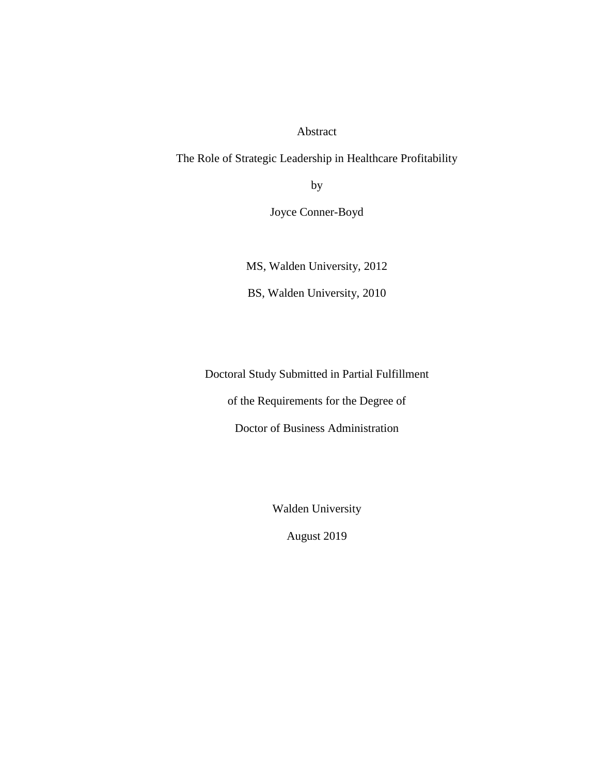Abstract

The Role of Strategic Leadership in Healthcare Profitability

by

Joyce Conner-Boyd

MS, Walden University, 2012

BS, Walden University, 2010

Doctoral Study Submitted in Partial Fulfillment

of the Requirements for the Degree of

Doctor of Business Administration

Walden University

August 2019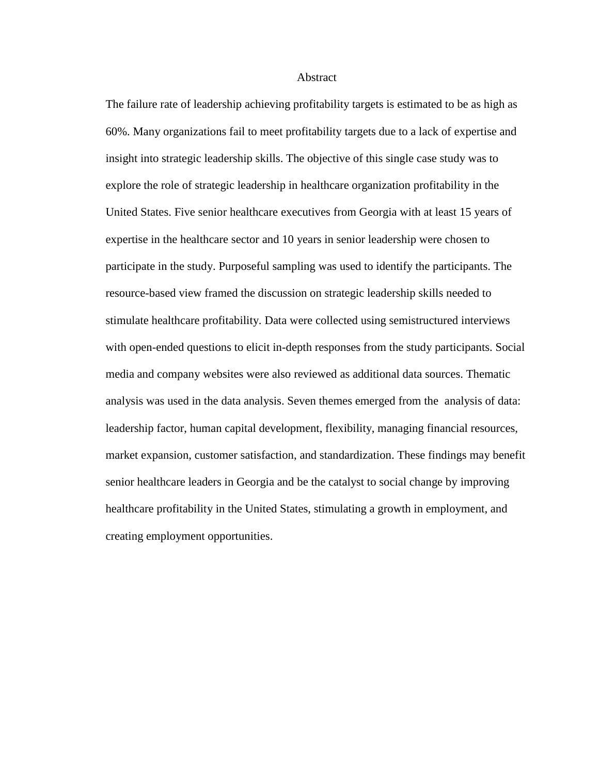#### **Abstract**

The failure rate of leadership achieving profitability targets is estimated to be as high as 60%. Many organizations fail to meet profitability targets due to a lack of expertise and insight into strategic leadership skills. The objective of this single case study was to explore the role of strategic leadership in healthcare organization profitability in the United States. Five senior healthcare executives from Georgia with at least 15 years of expertise in the healthcare sector and 10 years in senior leadership were chosen to participate in the study. Purposeful sampling was used to identify the participants. The resource-based view framed the discussion on strategic leadership skills needed to stimulate healthcare profitability. Data were collected using semistructured interviews with open-ended questions to elicit in-depth responses from the study participants. Social media and company websites were also reviewed as additional data sources. Thematic analysis was used in the data analysis. Seven themes emerged from the analysis of data: leadership factor, human capital development, flexibility, managing financial resources, market expansion, customer satisfaction, and standardization. These findings may benefit senior healthcare leaders in Georgia and be the catalyst to social change by improving healthcare profitability in the United States, stimulating a growth in employment, and creating employment opportunities.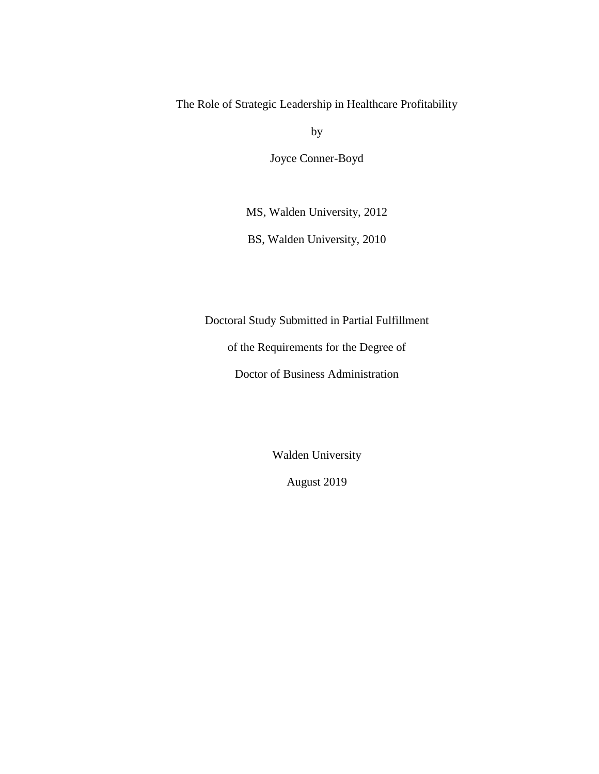The Role of Strategic Leadership in Healthcare Profitability

by

Joyce Conner-Boyd

MS, Walden University, 2012

BS, Walden University, 2010

Doctoral Study Submitted in Partial Fulfillment

of the Requirements for the Degree of

Doctor of Business Administration

Walden University

August 2019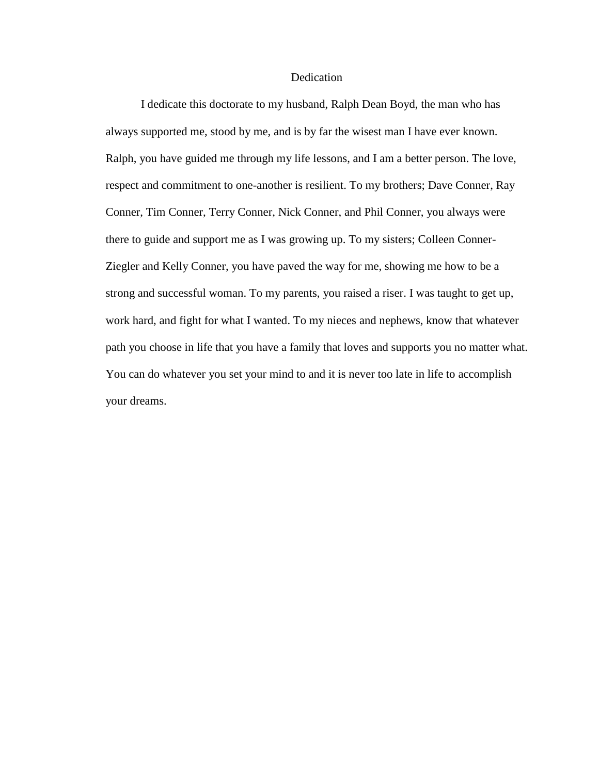#### Dedication

I dedicate this doctorate to my husband, Ralph Dean Boyd, the man who has always supported me, stood by me, and is by far the wisest man I have ever known. Ralph, you have guided me through my life lessons, and I am a better person. The love, respect and commitment to one-another is resilient. To my brothers; Dave Conner, Ray Conner, Tim Conner, Terry Conner, Nick Conner, and Phil Conner, you always were there to guide and support me as I was growing up. To my sisters; Colleen Conner-Ziegler and Kelly Conner, you have paved the way for me, showing me how to be a strong and successful woman. To my parents, you raised a riser. I was taught to get up, work hard, and fight for what I wanted. To my nieces and nephews, know that whatever path you choose in life that you have a family that loves and supports you no matter what. You can do whatever you set your mind to and it is never too late in life to accomplish your dreams.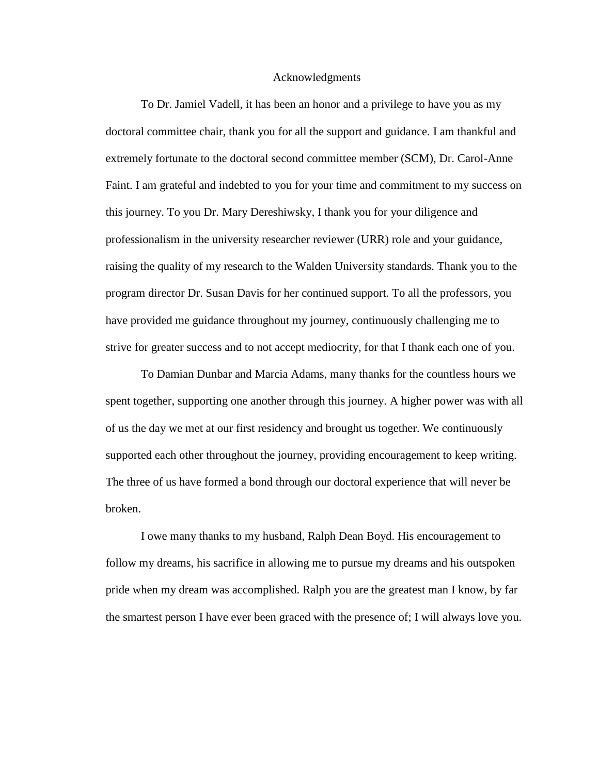#### Acknowledgments

To Dr. Jamiel Vadell, it has been an honor and a privilege to have you as my doctoral committee chair, thank you for all the support and guidance. I am thankful and extremely fortunate to the doctoral second committee member (SCM), Dr. Carol-Anne Faint. I am grateful and indebted to you for your time and commitment to my success on this journey. To you Dr. Mary Dereshiwsky, I thank you for your diligence and professionalism in the university researcher reviewer (URR) role and your guidance, raising the quality of my research to the Walden University standards. Thank you to the program director Dr. Susan Davis for her continued support. To all the professors, you have provided me guidance throughout my journey, continuously challenging me to strive for greater success and to not accept mediocrity, for that I thank each one of you.

To Damian Dunbar and Marcia Adams, many thanks for the countless hours we spent together, supporting one another through this journey. A higher power was with all of us the day we met at our first residency and brought us together. We continuously supported each other throughout the journey, providing encouragement to keep writing. The three of us have formed a bond through our doctoral experience that will never be broken.

I owe many thanks to my husband, Ralph Dean Boyd. His encouragement to follow my dreams, his sacrifice in allowing me to pursue my dreams and his outspoken pride when my dream was accomplished. Ralph you are the greatest man I know, by far the smartest person I have ever been graced with the presence of; I will always love you.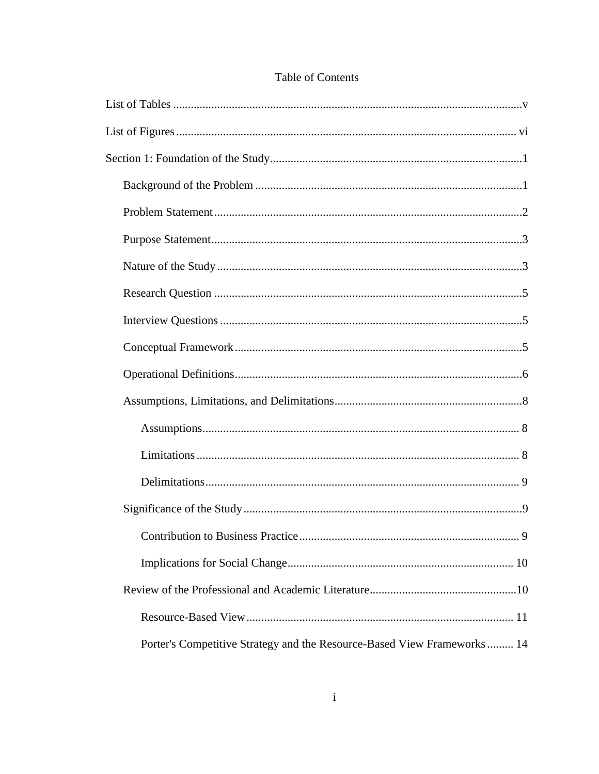| Porter's Competitive Strategy and the Resource-Based View Frameworks 14 |
|-------------------------------------------------------------------------|

### Table of Contents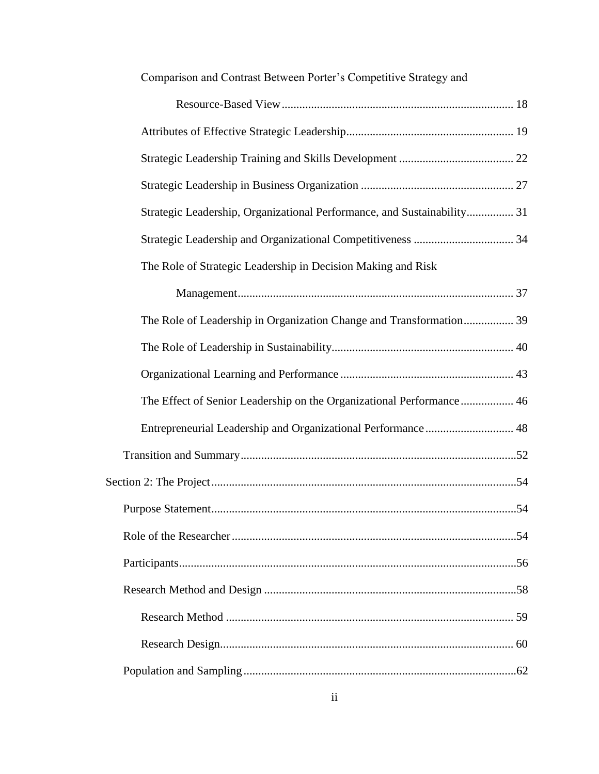| Comparison and Contrast Between Porter's Competitive Strategy and       |  |
|-------------------------------------------------------------------------|--|
|                                                                         |  |
|                                                                         |  |
|                                                                         |  |
|                                                                         |  |
| Strategic Leadership, Organizational Performance, and Sustainability 31 |  |
|                                                                         |  |
| The Role of Strategic Leadership in Decision Making and Risk            |  |
|                                                                         |  |
| The Role of Leadership in Organization Change and Transformation 39     |  |
|                                                                         |  |
|                                                                         |  |
| The Effect of Senior Leadership on the Organizational Performance 46    |  |
| Entrepreneurial Leadership and Organizational Performance  48           |  |
|                                                                         |  |
|                                                                         |  |
| 54                                                                      |  |
|                                                                         |  |
|                                                                         |  |
|                                                                         |  |
|                                                                         |  |
|                                                                         |  |
|                                                                         |  |

### ii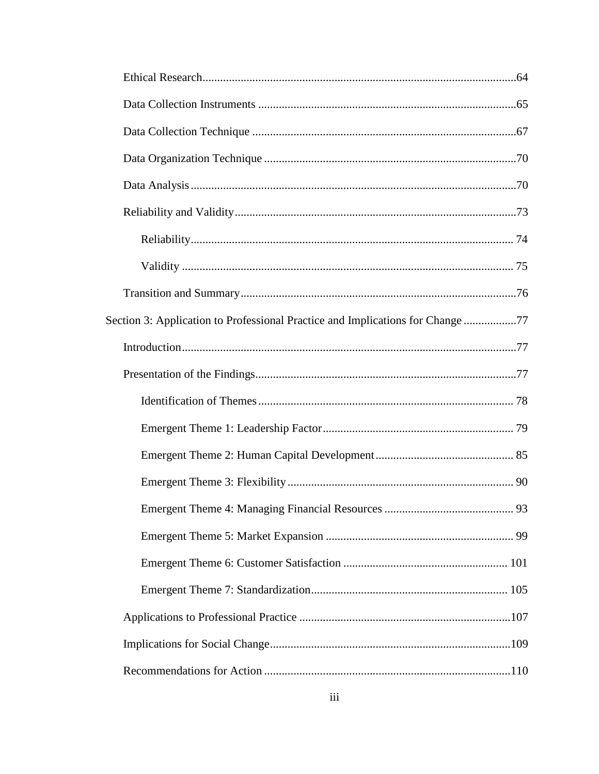| Section 3: Application to Professional Practice and Implications for Change77 |  |
|-------------------------------------------------------------------------------|--|
|                                                                               |  |
|                                                                               |  |
|                                                                               |  |
|                                                                               |  |
|                                                                               |  |
|                                                                               |  |
|                                                                               |  |
|                                                                               |  |
|                                                                               |  |
|                                                                               |  |
|                                                                               |  |
|                                                                               |  |
|                                                                               |  |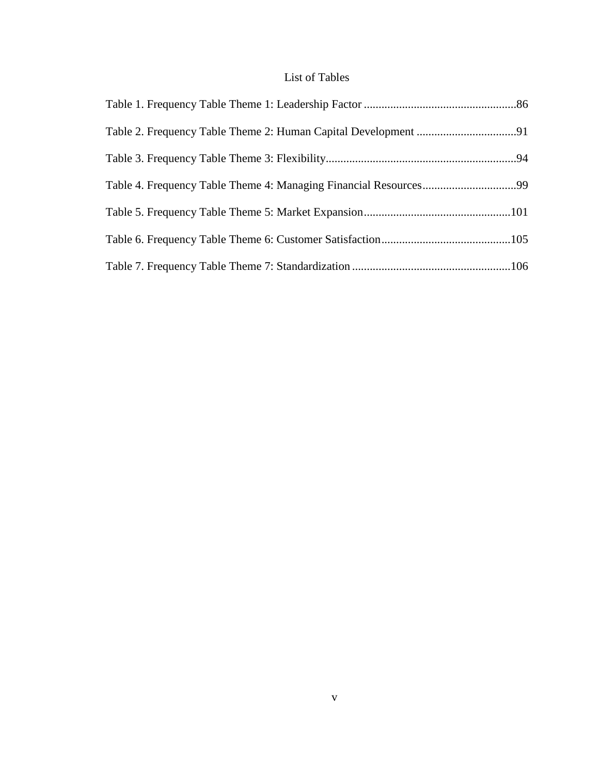### List of Tables

<span id="page-11-0"></span>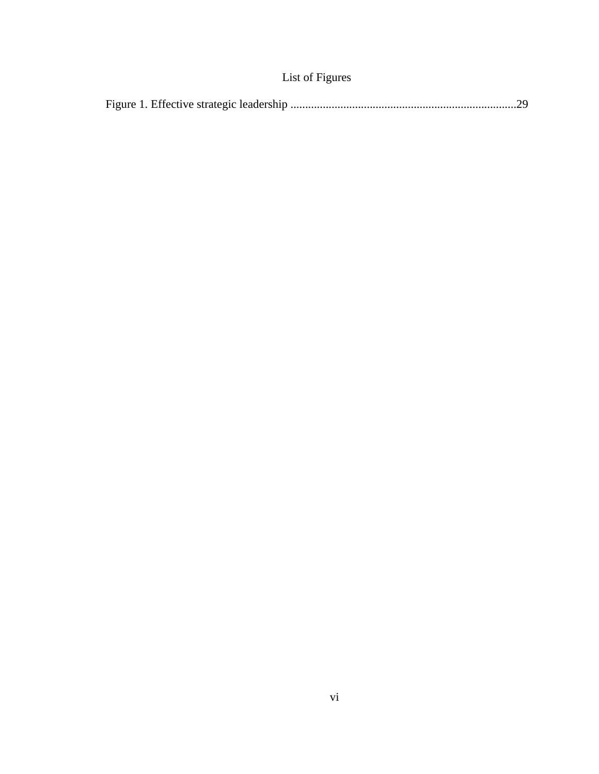### List of Figures

<span id="page-12-0"></span>

|--|--|--|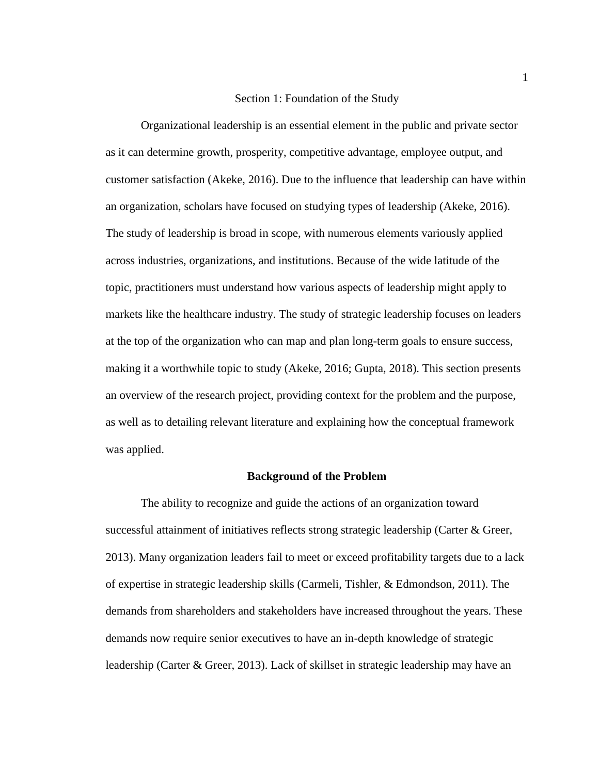#### Section 1: Foundation of the Study

<span id="page-13-0"></span>Organizational leadership is an essential element in the public and private sector as it can determine growth, prosperity, competitive advantage, employee output, and customer satisfaction (Akeke, 2016). Due to the influence that leadership can have within an organization, scholars have focused on studying types of leadership (Akeke, 2016). The study of leadership is broad in scope, with numerous elements variously applied across industries, organizations, and institutions. Because of the wide latitude of the topic, practitioners must understand how various aspects of leadership might apply to markets like the healthcare industry. The study of strategic leadership focuses on leaders at the top of the organization who can map and plan long-term goals to ensure success, making it a worthwhile topic to study (Akeke, 2016; Gupta, 2018). This section presents an overview of the research project, providing context for the problem and the purpose, as well as to detailing relevant literature and explaining how the conceptual framework was applied.

#### **Background of the Problem**

<span id="page-13-1"></span>The ability to recognize and guide the actions of an organization toward successful attainment of initiatives reflects strong strategic leadership (Carter & Greer, 2013). Many organization leaders fail to meet or exceed profitability targets due to a lack of expertise in strategic leadership skills (Carmeli, Tishler, & Edmondson, 2011). The demands from shareholders and stakeholders have increased throughout the years. These demands now require senior executives to have an in-depth knowledge of strategic leadership (Carter & Greer, 2013). Lack of skillset in strategic leadership may have an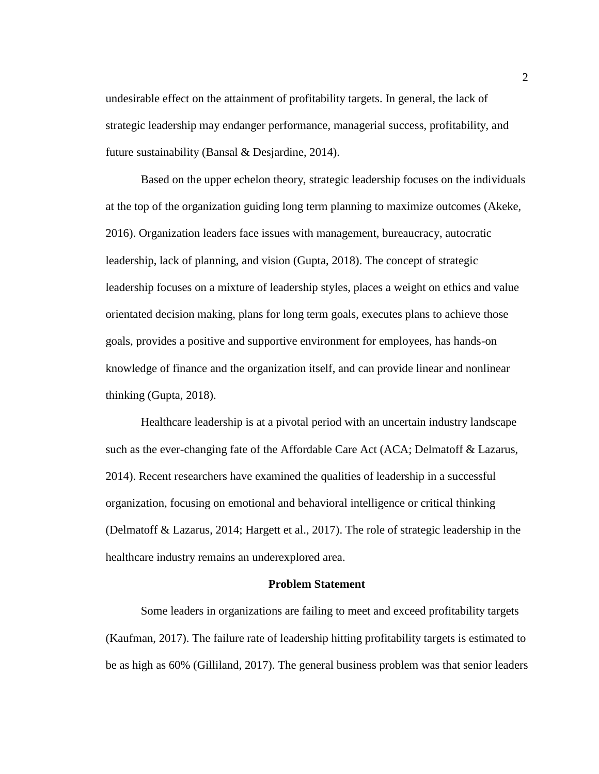undesirable effect on the attainment of profitability targets. In general, the lack of strategic leadership may endanger performance, managerial success, profitability, and future sustainability (Bansal & Desjardine, 2014).

Based on the upper echelon theory, strategic leadership focuses on the individuals at the top of the organization guiding long term planning to maximize outcomes (Akeke, 2016). Organization leaders face issues with management, bureaucracy, autocratic leadership, lack of planning, and vision (Gupta, 2018). The concept of strategic leadership focuses on a mixture of leadership styles, places a weight on ethics and value orientated decision making, plans for long term goals, executes plans to achieve those goals, provides a positive and supportive environment for employees, has hands-on knowledge of finance and the organization itself, and can provide linear and nonlinear thinking (Gupta, 2018).

Healthcare leadership is at a pivotal period with an uncertain industry landscape such as the ever-changing fate of the Affordable Care Act (ACA; Delmatoff & Lazarus, 2014). Recent researchers have examined the qualities of leadership in a successful organization, focusing on emotional and behavioral intelligence or critical thinking (Delmatoff & Lazarus, 2014; Hargett et al., 2017). The role of strategic leadership in the healthcare industry remains an underexplored area.

#### **Problem Statement**

<span id="page-14-0"></span>Some leaders in organizations are failing to meet and exceed profitability targets (Kaufman, 2017). The failure rate of leadership hitting profitability targets is estimated to be as high as 60% (Gilliland, 2017). The general business problem was that senior leaders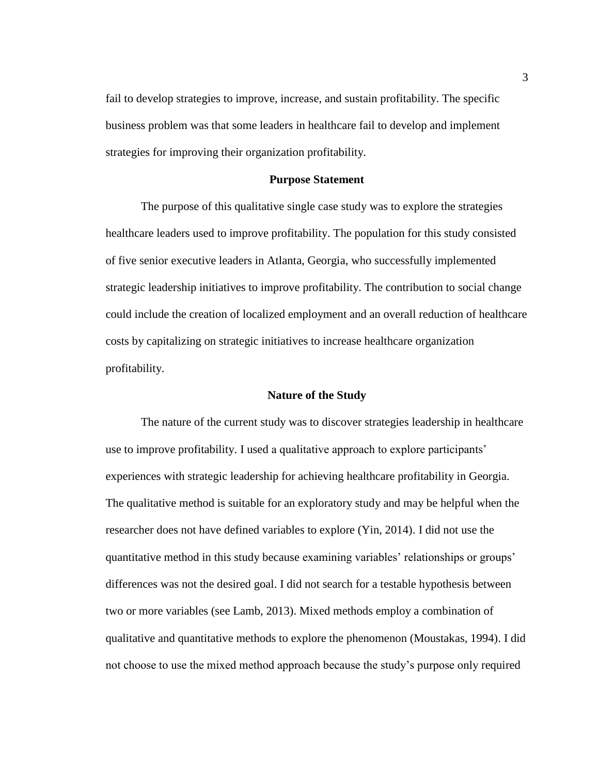fail to develop strategies to improve, increase, and sustain profitability. The specific business problem was that some leaders in healthcare fail to develop and implement strategies for improving their organization profitability.

#### **Purpose Statement**

<span id="page-15-0"></span>The purpose of this qualitative single case study was to explore the strategies healthcare leaders used to improve profitability. The population for this study consisted of five senior executive leaders in Atlanta, Georgia, who successfully implemented strategic leadership initiatives to improve profitability. The contribution to social change could include the creation of localized employment and an overall reduction of healthcare costs by capitalizing on strategic initiatives to increase healthcare organization profitability.

#### **Nature of the Study**

<span id="page-15-1"></span>The nature of the current study was to discover strategies leadership in healthcare use to improve profitability. I used a qualitative approach to explore participants' experiences with strategic leadership for achieving healthcare profitability in Georgia. The qualitative method is suitable for an exploratory study and may be helpful when the researcher does not have defined variables to explore (Yin, 2014). I did not use the quantitative method in this study because examining variables' relationships or groups' differences was not the desired goal. I did not search for a testable hypothesis between two or more variables (see Lamb, 2013). Mixed methods employ a combination of qualitative and quantitative methods to explore the phenomenon (Moustakas, 1994). I did not choose to use the mixed method approach because the study's purpose only required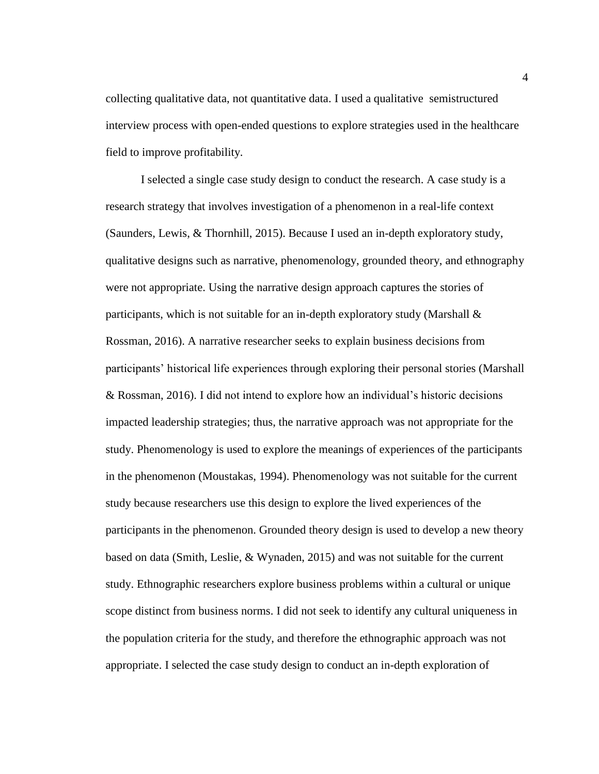collecting qualitative data, not quantitative data. I used a qualitative semistructured interview process with open-ended questions to explore strategies used in the healthcare field to improve profitability.

I selected a single case study design to conduct the research. A case study is a research strategy that involves investigation of a phenomenon in a real-life context (Saunders, Lewis, & Thornhill, 2015). Because I used an in-depth exploratory study, qualitative designs such as narrative, phenomenology, grounded theory, and ethnography were not appropriate. Using the narrative design approach captures the stories of participants, which is not suitable for an in-depth exploratory study (Marshall  $\&$ Rossman, 2016). A narrative researcher seeks to explain business decisions from participants' historical life experiences through exploring their personal stories (Marshall & Rossman, 2016). I did not intend to explore how an individual's historic decisions impacted leadership strategies; thus, the narrative approach was not appropriate for the study. Phenomenology is used to explore the meanings of experiences of the participants in the phenomenon (Moustakas, 1994). Phenomenology was not suitable for the current study because researchers use this design to explore the lived experiences of the participants in the phenomenon. Grounded theory design is used to develop a new theory based on data (Smith, Leslie, & Wynaden, 2015) and was not suitable for the current study. Ethnographic researchers explore business problems within a cultural or unique scope distinct from business norms. I did not seek to identify any cultural uniqueness in the population criteria for the study, and therefore the ethnographic approach was not appropriate. I selected the case study design to conduct an in-depth exploration of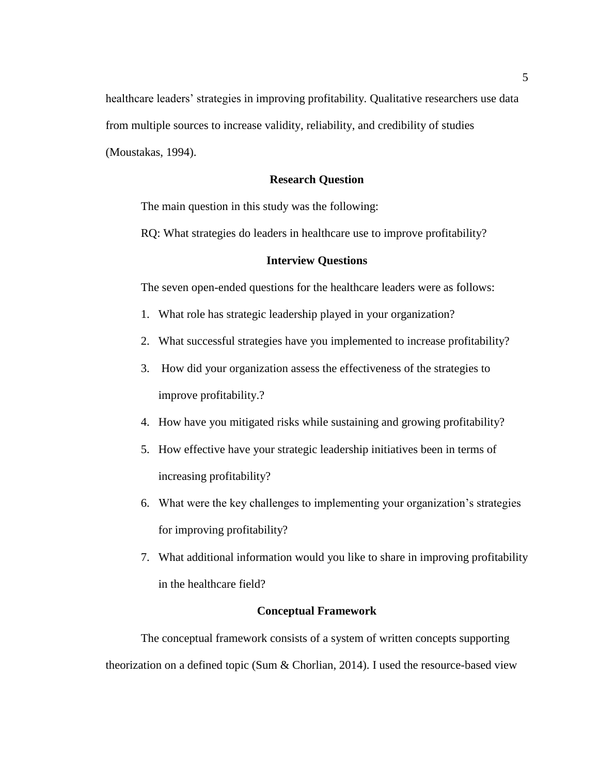healthcare leaders' strategies in improving profitability. Qualitative researchers use data from multiple sources to increase validity, reliability, and credibility of studies (Moustakas, 1994).

#### **Research Question**

<span id="page-17-0"></span>The main question in this study was the following:

<span id="page-17-1"></span>RQ: What strategies do leaders in healthcare use to improve profitability?

#### **Interview Questions**

The seven open-ended questions for the healthcare leaders were as follows:

- 1. What role has strategic leadership played in your organization?
- 2. What successful strategies have you implemented to increase profitability?
- 3. How did your organization assess the effectiveness of the strategies to improve profitability.?
- 4. How have you mitigated risks while sustaining and growing profitability?
- 5. How effective have your strategic leadership initiatives been in terms of increasing profitability?
- 6. What were the key challenges to implementing your organization's strategies for improving profitability?
- 7. What additional information would you like to share in improving profitability in the healthcare field?

#### **Conceptual Framework**

<span id="page-17-2"></span>The conceptual framework consists of a system of written concepts supporting theorization on a defined topic (Sum  $\&$  Chorlian, 2014). I used the resource-based view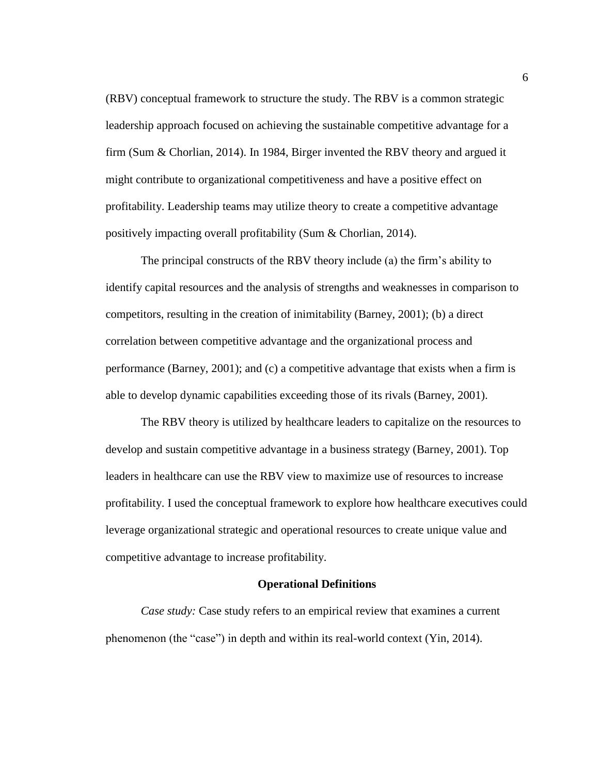(RBV) conceptual framework to structure the study. The RBV is a common strategic leadership approach focused on achieving the sustainable competitive advantage for a firm (Sum & Chorlian, 2014). In 1984, Birger invented the RBV theory and argued it might contribute to organizational competitiveness and have a positive effect on profitability. Leadership teams may utilize theory to create a competitive advantage positively impacting overall profitability (Sum & Chorlian, 2014).

The principal constructs of the RBV theory include (a) the firm's ability to identify capital resources and the analysis of strengths and weaknesses in comparison to competitors, resulting in the creation of inimitability (Barney, 2001); (b) a direct correlation between competitive advantage and the organizational process and performance (Barney, 2001); and (c) a competitive advantage that exists when a firm is able to develop dynamic capabilities exceeding those of its rivals (Barney, 2001).

The RBV theory is utilized by healthcare leaders to capitalize on the resources to develop and sustain competitive advantage in a business strategy (Barney, 2001). Top leaders in healthcare can use the RBV view to maximize use of resources to increase profitability. I used the conceptual framework to explore how healthcare executives could leverage organizational strategic and operational resources to create unique value and competitive advantage to increase profitability.

#### **Operational Definitions**

<span id="page-18-0"></span>*Case study:* Case study refers to an empirical review that examines a current phenomenon (the "case") in depth and within its real-world context (Yin, 2014).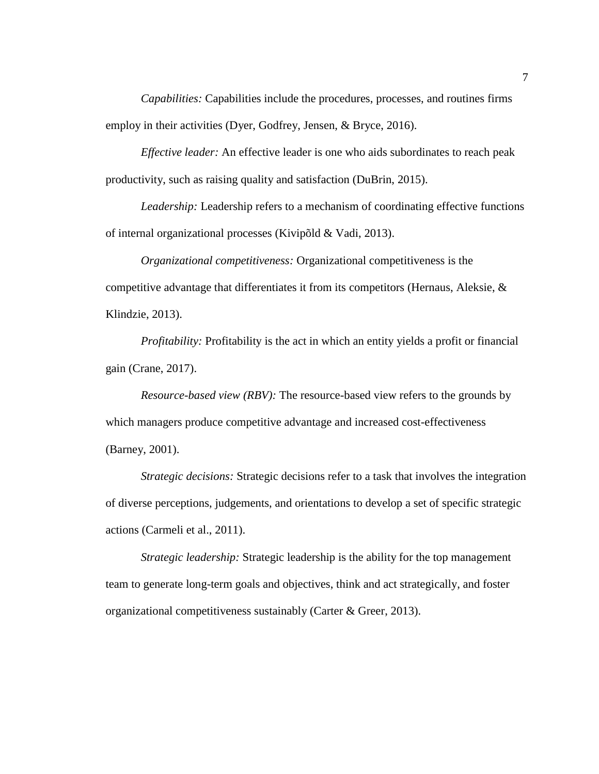*Capabilities:* Capabilities include the procedures, processes, and routines firms employ in their activities (Dyer, Godfrey, Jensen, & Bryce, 2016).

*Effective leader:* An effective leader is one who aids subordinates to reach peak productivity, such as raising quality and satisfaction (DuBrin, 2015).

*Leadership:* Leadership refers to a mechanism of coordinating effective functions of internal organizational processes (Kivipõld & Vadi, 2013).

*Organizational competitiveness:* Organizational competitiveness is the competitive advantage that differentiates it from its competitors (Hernaus, Aleksie, & Klindzie, 2013).

*Profitability:* Profitability is the act in which an entity yields a profit or financial gain (Crane, 2017).

*Resource-based view (RBV):* The resource-based view refers to the grounds by which managers produce competitive advantage and increased cost-effectiveness (Barney, 2001).

*Strategic decisions:* Strategic decisions refer to a task that involves the integration of diverse perceptions, judgements, and orientations to develop a set of specific strategic actions (Carmeli et al., 2011).

*Strategic leadership:* Strategic leadership is the ability for the top management team to generate long-term goals and objectives, think and act strategically, and foster organizational competitiveness sustainably (Carter & Greer, 2013).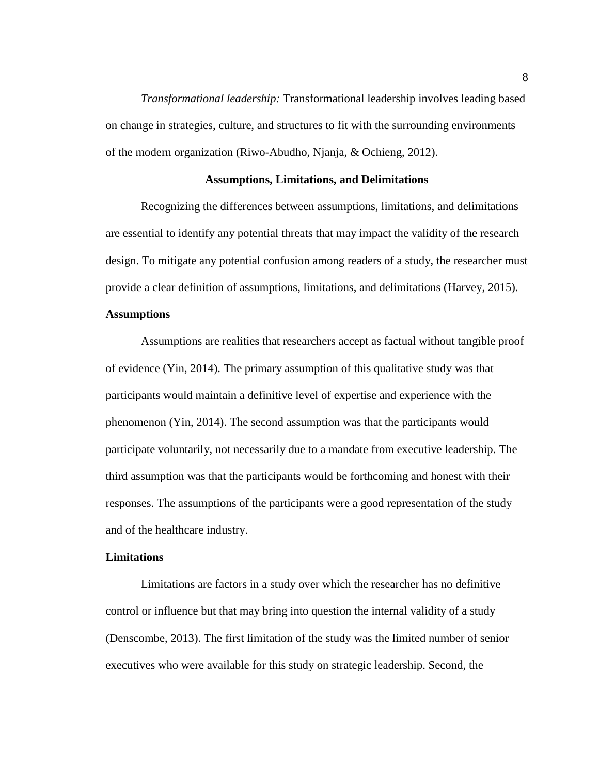*Transformational leadership:* Transformational leadership involves leading based on change in strategies, culture, and structures to fit with the surrounding environments of the modern organization (Riwo-Abudho, Njanja, & Ochieng, 2012).

#### **Assumptions, Limitations, and Delimitations**

<span id="page-20-0"></span>Recognizing the differences between assumptions, limitations, and delimitations are essential to identify any potential threats that may impact the validity of the research design. To mitigate any potential confusion among readers of a study, the researcher must provide a clear definition of assumptions, limitations, and delimitations (Harvey, 2015).

#### <span id="page-20-1"></span>**Assumptions**

Assumptions are realities that researchers accept as factual without tangible proof of evidence (Yin, 2014). The primary assumption of this qualitative study was that participants would maintain a definitive level of expertise and experience with the phenomenon (Yin, 2014). The second assumption was that the participants would participate voluntarily, not necessarily due to a mandate from executive leadership. The third assumption was that the participants would be forthcoming and honest with their responses. The assumptions of the participants were a good representation of the study and of the healthcare industry.

#### <span id="page-20-2"></span>**Limitations**

Limitations are factors in a study over which the researcher has no definitive control or influence but that may bring into question the internal validity of a study (Denscombe, 2013). The first limitation of the study was the limited number of senior executives who were available for this study on strategic leadership. Second, the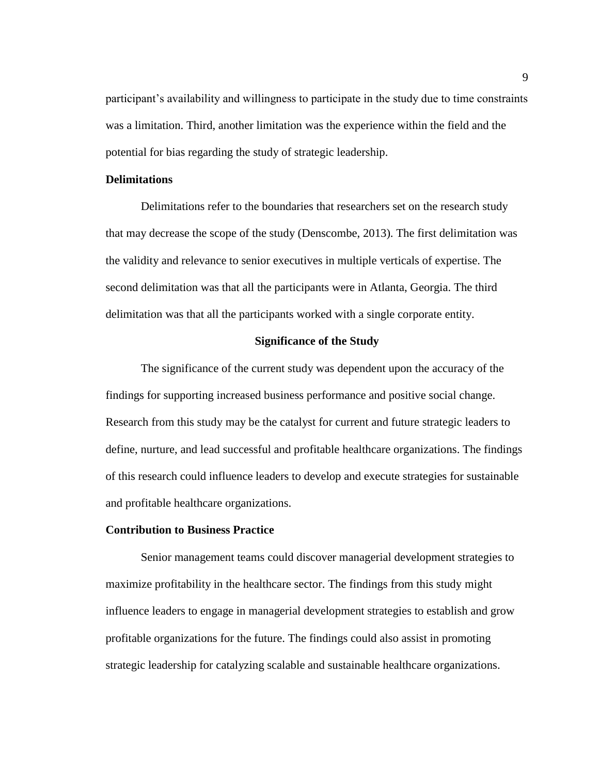participant's availability and willingness to participate in the study due to time constraints was a limitation. Third, another limitation was the experience within the field and the potential for bias regarding the study of strategic leadership.

#### <span id="page-21-0"></span>**Delimitations**

Delimitations refer to the boundaries that researchers set on the research study that may decrease the scope of the study (Denscombe, 2013). The first delimitation was the validity and relevance to senior executives in multiple verticals of expertise. The second delimitation was that all the participants were in Atlanta, Georgia. The third delimitation was that all the participants worked with a single corporate entity.

#### **Significance of the Study**

<span id="page-21-1"></span>The significance of the current study was dependent upon the accuracy of the findings for supporting increased business performance and positive social change. Research from this study may be the catalyst for current and future strategic leaders to define, nurture, and lead successful and profitable healthcare organizations. The findings of this research could influence leaders to develop and execute strategies for sustainable and profitable healthcare organizations.

#### <span id="page-21-2"></span>**Contribution to Business Practice**

Senior management teams could discover managerial development strategies to maximize profitability in the healthcare sector. The findings from this study might influence leaders to engage in managerial development strategies to establish and grow profitable organizations for the future. The findings could also assist in promoting strategic leadership for catalyzing scalable and sustainable healthcare organizations.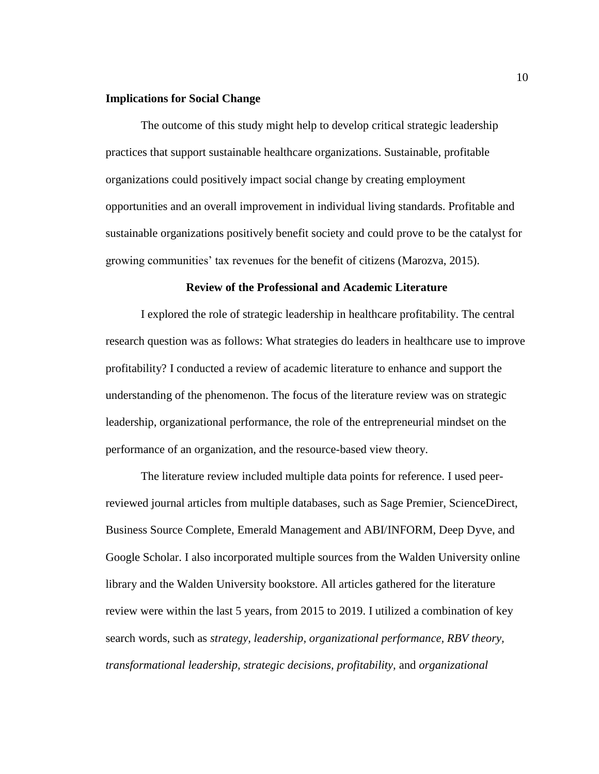#### <span id="page-22-0"></span>**Implications for Social Change**

The outcome of this study might help to develop critical strategic leadership practices that support sustainable healthcare organizations. Sustainable, profitable organizations could positively impact social change by creating employment opportunities and an overall improvement in individual living standards. Profitable and sustainable organizations positively benefit society and could prove to be the catalyst for growing communities' tax revenues for the benefit of citizens (Marozva, 2015).

#### **Review of the Professional and Academic Literature**

<span id="page-22-1"></span>I explored the role of strategic leadership in healthcare profitability. The central research question was as follows: What strategies do leaders in healthcare use to improve profitability? I conducted a review of academic literature to enhance and support the understanding of the phenomenon. The focus of the literature review was on strategic leadership, organizational performance, the role of the entrepreneurial mindset on the performance of an organization, and the resource-based view theory.

The literature review included multiple data points for reference. I used peerreviewed journal articles from multiple databases, such as Sage Premier, ScienceDirect, Business Source Complete, Emerald Management and ABI/INFORM, Deep Dyve, and Google Scholar. I also incorporated multiple sources from the Walden University online library and the Walden University bookstore. All articles gathered for the literature review were within the last 5 years, from 2015 to 2019. I utilized a combination of key search words, such as *strategy, leadership, organizational performance, RBV theory, transformational leadership, strategic decisions, profitability,* and *organizational*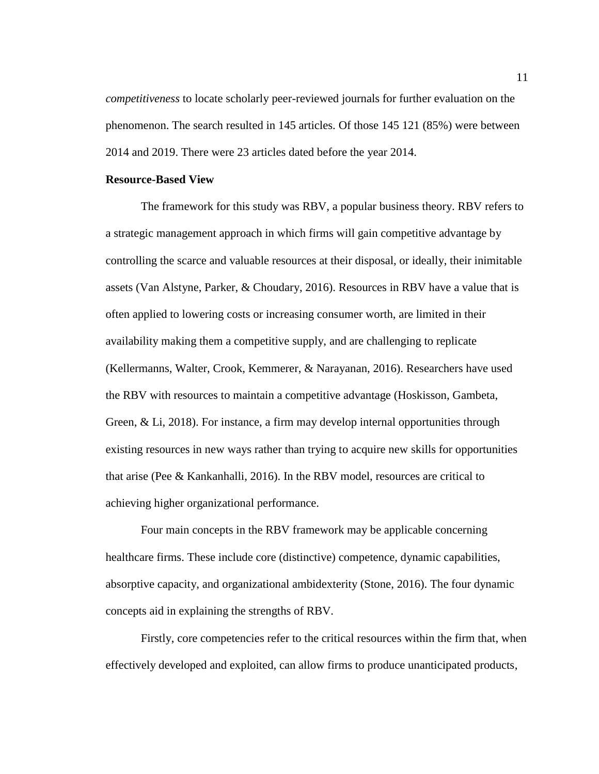*competitiveness* to locate scholarly peer-reviewed journals for further evaluation on the phenomenon. The search resulted in 145 articles. Of those 145 121 (85%) were between 2014 and 2019. There were 23 articles dated before the year 2014.

#### <span id="page-23-0"></span>**Resource-Based View**

The framework for this study was RBV, a popular business theory. RBV refers to a strategic management approach in which firms will gain competitive advantage by controlling the scarce and valuable resources at their disposal, or ideally, their inimitable assets (Van Alstyne, Parker, & Choudary, 2016). Resources in RBV have a value that is often applied to lowering costs or increasing consumer worth, are limited in their availability making them a competitive supply, and are challenging to replicate (Kellermanns, Walter, Crook, Kemmerer, & Narayanan, 2016). Researchers have used the RBV with resources to maintain a competitive advantage (Hoskisson, Gambeta, Green, & Li, 2018). For instance, a firm may develop internal opportunities through existing resources in new ways rather than trying to acquire new skills for opportunities that arise (Pee & Kankanhalli, 2016). In the RBV model, resources are critical to achieving higher organizational performance.

Four main concepts in the RBV framework may be applicable concerning healthcare firms. These include core (distinctive) competence, dynamic capabilities, absorptive capacity, and organizational ambidexterity (Stone, 2016). The four dynamic concepts aid in explaining the strengths of RBV.

Firstly, core competencies refer to the critical resources within the firm that, when effectively developed and exploited, can allow firms to produce unanticipated products,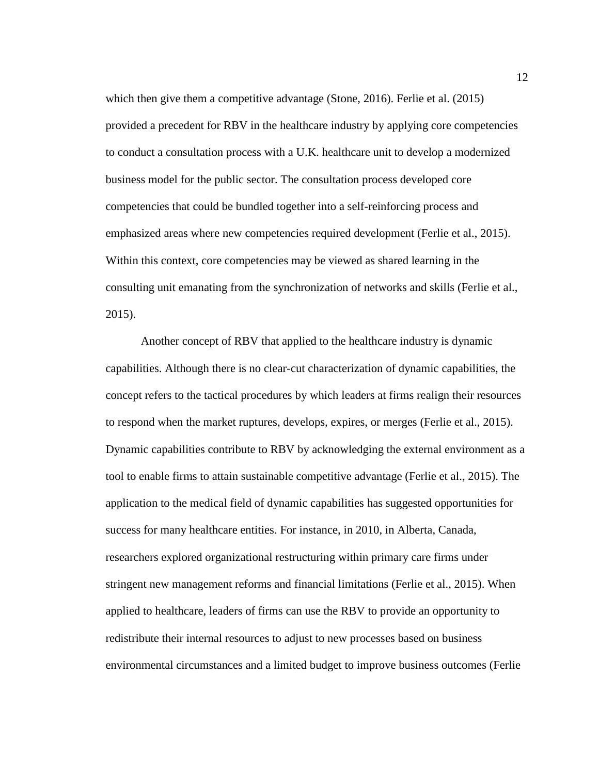which then give them a competitive advantage (Stone, 2016). Ferlie et al. (2015) provided a precedent for RBV in the healthcare industry by applying core competencies to conduct a consultation process with a U.K. healthcare unit to develop a modernized business model for the public sector. The consultation process developed core competencies that could be bundled together into a self-reinforcing process and emphasized areas where new competencies required development (Ferlie et al., 2015). Within this context, core competencies may be viewed as shared learning in the consulting unit emanating from the synchronization of networks and skills (Ferlie et al., 2015).

Another concept of RBV that applied to the healthcare industry is dynamic capabilities. Although there is no clear-cut characterization of dynamic capabilities, the concept refers to the tactical procedures by which leaders at firms realign their resources to respond when the market ruptures, develops, expires, or merges (Ferlie et al., 2015). Dynamic capabilities contribute to RBV by acknowledging the external environment as a tool to enable firms to attain sustainable competitive advantage (Ferlie et al., 2015). The application to the medical field of dynamic capabilities has suggested opportunities for success for many healthcare entities. For instance, in 2010, in Alberta, Canada, researchers explored organizational restructuring within primary care firms under stringent new management reforms and financial limitations (Ferlie et al., 2015). When applied to healthcare, leaders of firms can use the RBV to provide an opportunity to redistribute their internal resources to adjust to new processes based on business environmental circumstances and a limited budget to improve business outcomes (Ferlie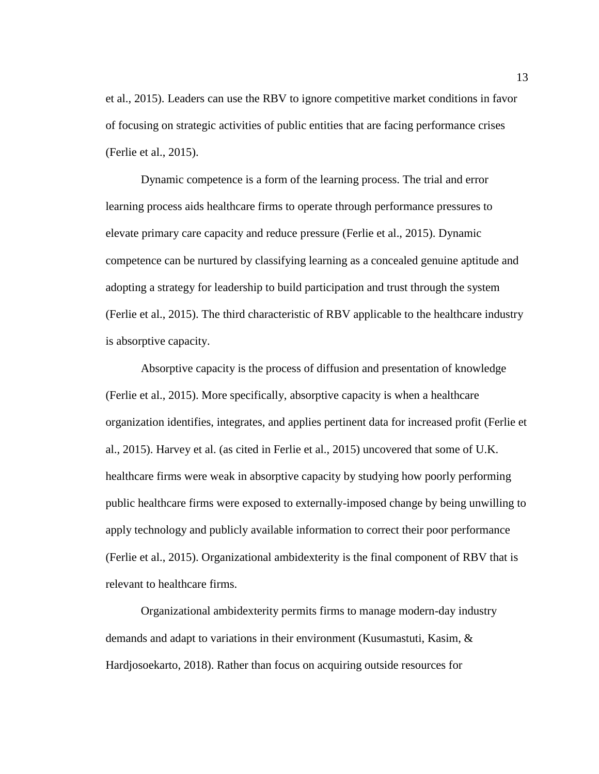et al., 2015). Leaders can use the RBV to ignore competitive market conditions in favor of focusing on strategic activities of public entities that are facing performance crises (Ferlie et al., 2015).

Dynamic competence is a form of the learning process. The trial and error learning process aids healthcare firms to operate through performance pressures to elevate primary care capacity and reduce pressure (Ferlie et al., 2015). Dynamic competence can be nurtured by classifying learning as a concealed genuine aptitude and adopting a strategy for leadership to build participation and trust through the system (Ferlie et al., 2015). The third characteristic of RBV applicable to the healthcare industry is absorptive capacity.

Absorptive capacity is the process of diffusion and presentation of knowledge (Ferlie et al., 2015). More specifically, absorptive capacity is when a healthcare organization identifies, integrates, and applies pertinent data for increased profit (Ferlie et al., 2015). Harvey et al. (as cited in Ferlie et al., 2015) uncovered that some of U.K. healthcare firms were weak in absorptive capacity by studying how poorly performing public healthcare firms were exposed to externally-imposed change by being unwilling to apply technology and publicly available information to correct their poor performance (Ferlie et al., 2015). Organizational ambidexterity is the final component of RBV that is relevant to healthcare firms.

Organizational ambidexterity permits firms to manage modern-day industry demands and adapt to variations in their environment (Kusumastuti, Kasim, & Hardjosoekarto, 2018). Rather than focus on acquiring outside resources for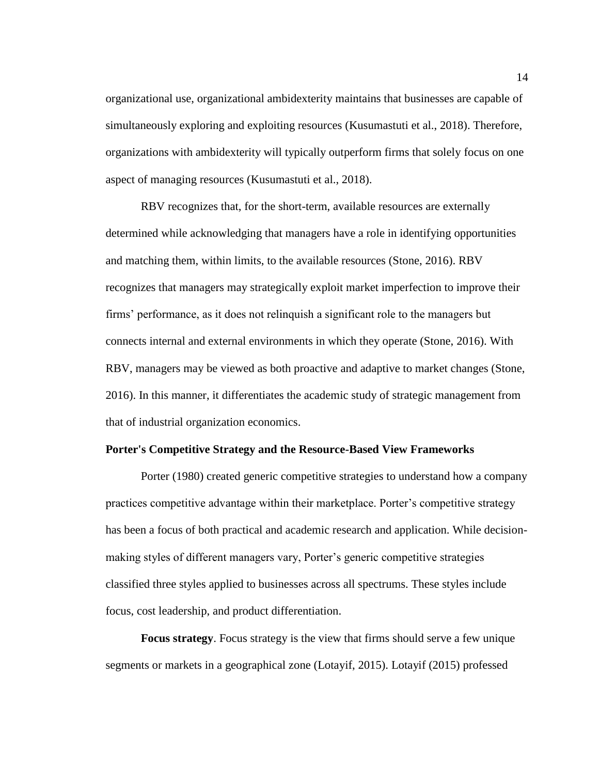organizational use, organizational ambidexterity maintains that businesses are capable of simultaneously exploring and exploiting resources (Kusumastuti et al., 2018). Therefore, organizations with ambidexterity will typically outperform firms that solely focus on one aspect of managing resources (Kusumastuti et al., 2018).

RBV recognizes that, for the short-term, available resources are externally determined while acknowledging that managers have a role in identifying opportunities and matching them, within limits, to the available resources (Stone, 2016). RBV recognizes that managers may strategically exploit market imperfection to improve their firms' performance, as it does not relinquish a significant role to the managers but connects internal and external environments in which they operate (Stone, 2016). With RBV, managers may be viewed as both proactive and adaptive to market changes (Stone, 2016). In this manner, it differentiates the academic study of strategic management from that of industrial organization economics.

#### <span id="page-26-0"></span>**Porter's Competitive Strategy and the Resource-Based View Frameworks**

Porter (1980) created generic competitive strategies to understand how a company practices competitive advantage within their marketplace. Porter's competitive strategy has been a focus of both practical and academic research and application. While decisionmaking styles of different managers vary, Porter's generic competitive strategies classified three styles applied to businesses across all spectrums. These styles include focus, cost leadership, and product differentiation.

**Focus strategy**. Focus strategy is the view that firms should serve a few unique segments or markets in a geographical zone (Lotayif, 2015). Lotayif (2015) professed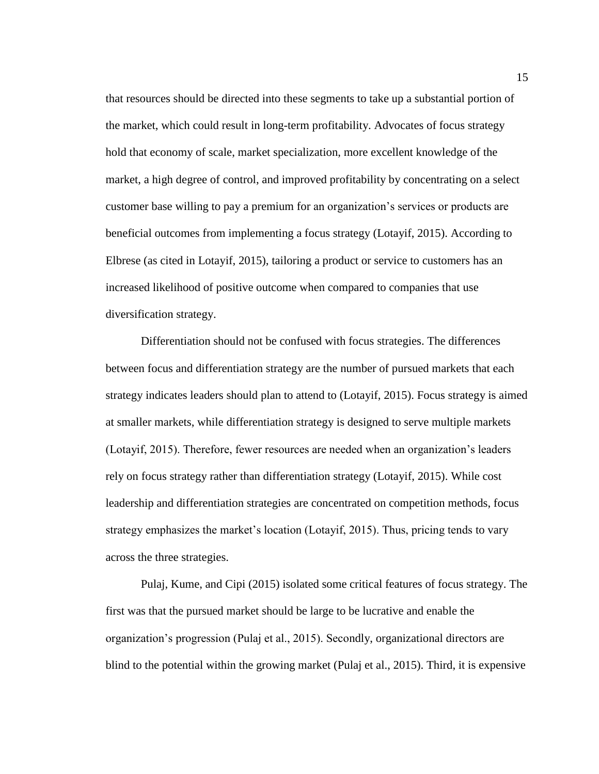that resources should be directed into these segments to take up a substantial portion of the market, which could result in long-term profitability. Advocates of focus strategy hold that economy of scale, market specialization, more excellent knowledge of the market, a high degree of control, and improved profitability by concentrating on a select customer base willing to pay a premium for an organization's services or products are beneficial outcomes from implementing a focus strategy (Lotayif, 2015). According to Elbrese (as cited in Lotayif, 2015), tailoring a product or service to customers has an increased likelihood of positive outcome when compared to companies that use diversification strategy.

Differentiation should not be confused with focus strategies. The differences between focus and differentiation strategy are the number of pursued markets that each strategy indicates leaders should plan to attend to (Lotayif, 2015). Focus strategy is aimed at smaller markets, while differentiation strategy is designed to serve multiple markets (Lotayif, 2015). Therefore, fewer resources are needed when an organization's leaders rely on focus strategy rather than differentiation strategy (Lotayif, 2015). While cost leadership and differentiation strategies are concentrated on competition methods, focus strategy emphasizes the market's location (Lotayif, 2015). Thus, pricing tends to vary across the three strategies.

Pulaj, Kume, and Cipi (2015) isolated some critical features of focus strategy. The first was that the pursued market should be large to be lucrative and enable the organization's progression (Pulaj et al., 2015). Secondly, organizational directors are blind to the potential within the growing market (Pulaj et al., 2015). Third, it is expensive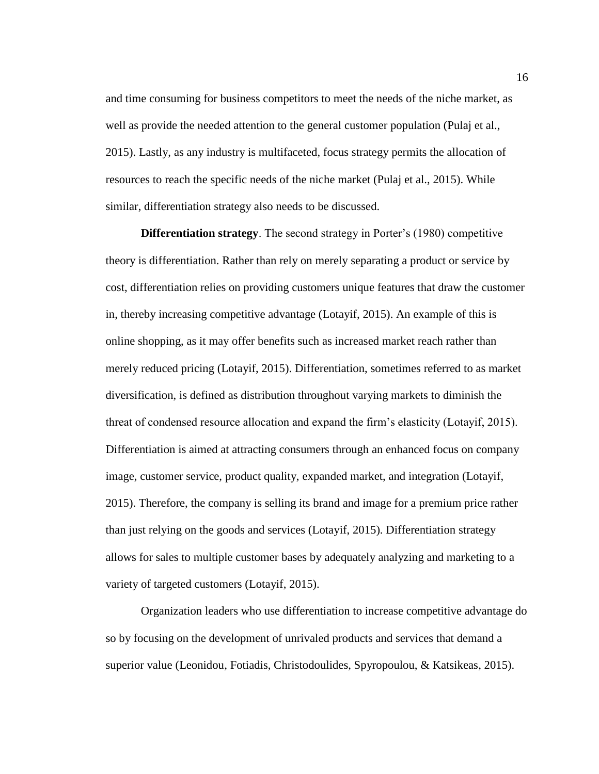and time consuming for business competitors to meet the needs of the niche market, as well as provide the needed attention to the general customer population (Pulaj et al., 2015). Lastly, as any industry is multifaceted, focus strategy permits the allocation of resources to reach the specific needs of the niche market (Pulaj et al., 2015). While similar, differentiation strategy also needs to be discussed.

**Differentiation strategy**. The second strategy in Porter's (1980) competitive theory is differentiation. Rather than rely on merely separating a product or service by cost, differentiation relies on providing customers unique features that draw the customer in, thereby increasing competitive advantage (Lotayif, 2015). An example of this is online shopping, as it may offer benefits such as increased market reach rather than merely reduced pricing (Lotayif, 2015). Differentiation, sometimes referred to as market diversification, is defined as distribution throughout varying markets to diminish the threat of condensed resource allocation and expand the firm's elasticity (Lotayif, 2015). Differentiation is aimed at attracting consumers through an enhanced focus on company image, customer service, product quality, expanded market, and integration (Lotayif, 2015). Therefore, the company is selling its brand and image for a premium price rather than just relying on the goods and services (Lotayif, 2015). Differentiation strategy allows for sales to multiple customer bases by adequately analyzing and marketing to a variety of targeted customers (Lotayif, 2015).

Organization leaders who use differentiation to increase competitive advantage do so by focusing on the development of unrivaled products and services that demand a superior value (Leonidou, Fotiadis, Christodoulides, Spyropoulou, & Katsikeas, 2015).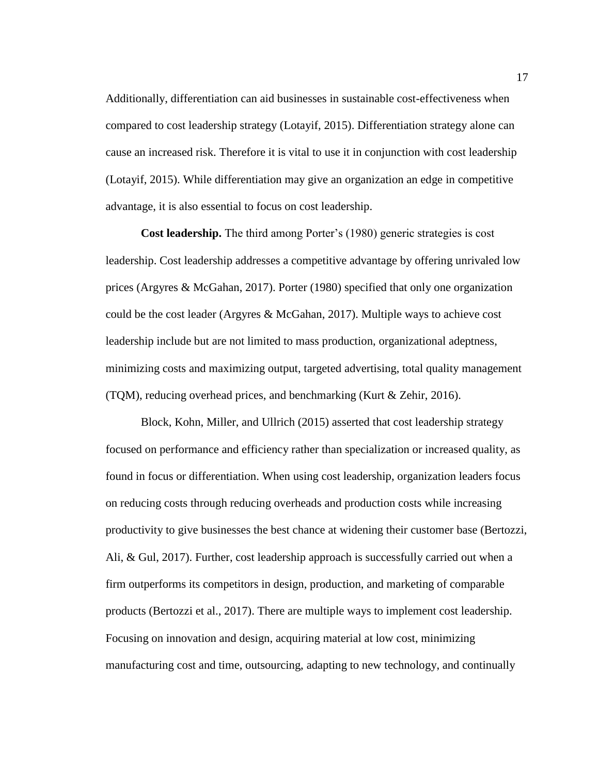Additionally, differentiation can aid businesses in sustainable cost-effectiveness when compared to cost leadership strategy (Lotayif, 2015). Differentiation strategy alone can cause an increased risk. Therefore it is vital to use it in conjunction with cost leadership (Lotayif, 2015). While differentiation may give an organization an edge in competitive advantage, it is also essential to focus on cost leadership.

**Cost leadership.** The third among Porter's (1980) generic strategies is cost leadership. Cost leadership addresses a competitive advantage by offering unrivaled low prices (Argyres & McGahan, 2017). Porter (1980) specified that only one organization could be the cost leader (Argyres & McGahan, 2017). Multiple ways to achieve cost leadership include but are not limited to mass production, organizational adeptness, minimizing costs and maximizing output, targeted advertising, total quality management (TQM), reducing overhead prices, and benchmarking (Kurt & Zehir, 2016).

Block, Kohn, Miller, and Ullrich (2015) asserted that cost leadership strategy focused on performance and efficiency rather than specialization or increased quality, as found in focus or differentiation. When using cost leadership, organization leaders focus on reducing costs through reducing overheads and production costs while increasing productivity to give businesses the best chance at widening their customer base (Bertozzi, Ali, & Gul, 2017). Further, cost leadership approach is successfully carried out when a firm outperforms its competitors in design, production, and marketing of comparable products (Bertozzi et al., 2017). There are multiple ways to implement cost leadership. Focusing on innovation and design, acquiring material at low cost, minimizing manufacturing cost and time, outsourcing, adapting to new technology, and continually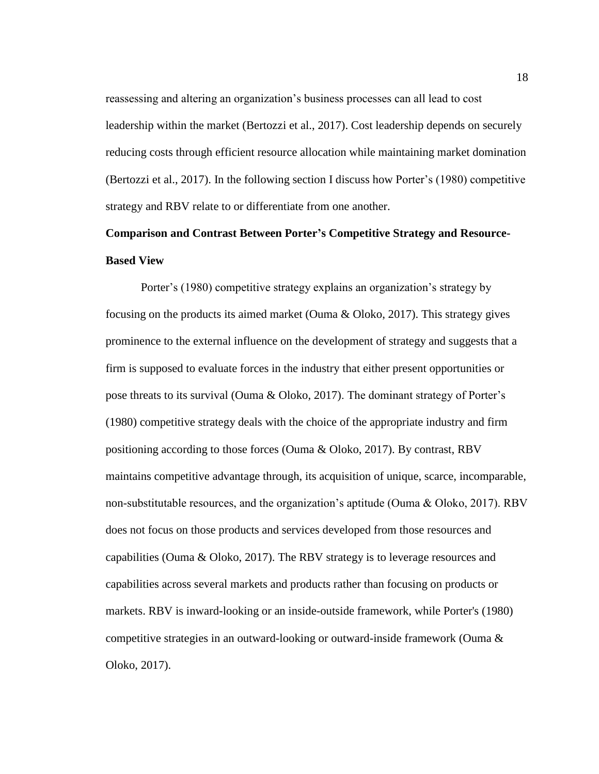reassessing and altering an organization's business processes can all lead to cost leadership within the market (Bertozzi et al., 2017). Cost leadership depends on securely reducing costs through efficient resource allocation while maintaining market domination (Bertozzi et al., 2017). In the following section I discuss how Porter's (1980) competitive strategy and RBV relate to or differentiate from one another.

## <span id="page-30-0"></span>**Comparison and Contrast Between Porter's Competitive Strategy and Resource-Based View**

Porter's (1980) competitive strategy explains an organization's strategy by focusing on the products its aimed market (Ouma & Oloko, 2017). This strategy gives prominence to the external influence on the development of strategy and suggests that a firm is supposed to evaluate forces in the industry that either present opportunities or pose threats to its survival (Ouma & Oloko, 2017). The dominant strategy of Porter's (1980) competitive strategy deals with the choice of the appropriate industry and firm positioning according to those forces (Ouma & Oloko, 2017). By contrast, RBV maintains competitive advantage through, its acquisition of unique, scarce, incomparable, non-substitutable resources, and the organization's aptitude (Ouma & Oloko, 2017). RBV does not focus on those products and services developed from those resources and capabilities (Ouma & Oloko, 2017). The RBV strategy is to leverage resources and capabilities across several markets and products rather than focusing on products or markets. RBV is inward-looking or an inside-outside framework, while Porter's (1980) competitive strategies in an outward-looking or outward-inside framework (Ouma & Oloko, 2017).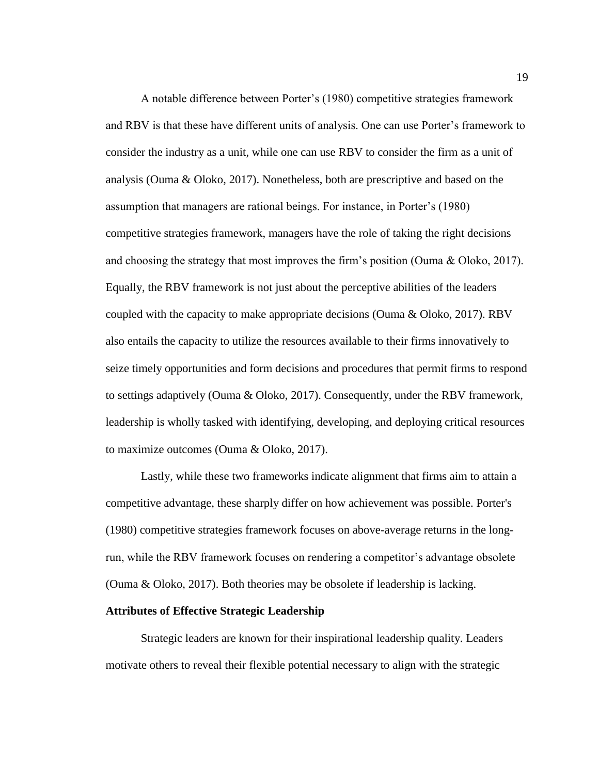A notable difference between Porter's (1980) competitive strategies framework and RBV is that these have different units of analysis. One can use Porter's framework to consider the industry as a unit, while one can use RBV to consider the firm as a unit of analysis (Ouma & Oloko, 2017). Nonetheless, both are prescriptive and based on the assumption that managers are rational beings. For instance, in Porter's (1980) competitive strategies framework, managers have the role of taking the right decisions and choosing the strategy that most improves the firm's position (Ouma  $\&$  Oloko, 2017). Equally, the RBV framework is not just about the perceptive abilities of the leaders coupled with the capacity to make appropriate decisions (Ouma & Oloko, 2017). RBV also entails the capacity to utilize the resources available to their firms innovatively to seize timely opportunities and form decisions and procedures that permit firms to respond to settings adaptively (Ouma & Oloko, 2017). Consequently, under the RBV framework, leadership is wholly tasked with identifying, developing, and deploying critical resources to maximize outcomes (Ouma & Oloko, 2017).

Lastly, while these two frameworks indicate alignment that firms aim to attain a competitive advantage, these sharply differ on how achievement was possible. Porter's (1980) competitive strategies framework focuses on above-average returns in the longrun, while the RBV framework focuses on rendering a competitor's advantage obsolete (Ouma & Oloko, 2017). Both theories may be obsolete if leadership is lacking.

#### <span id="page-31-0"></span>**Attributes of Effective Strategic Leadership**

Strategic leaders are known for their inspirational leadership quality. Leaders motivate others to reveal their flexible potential necessary to align with the strategic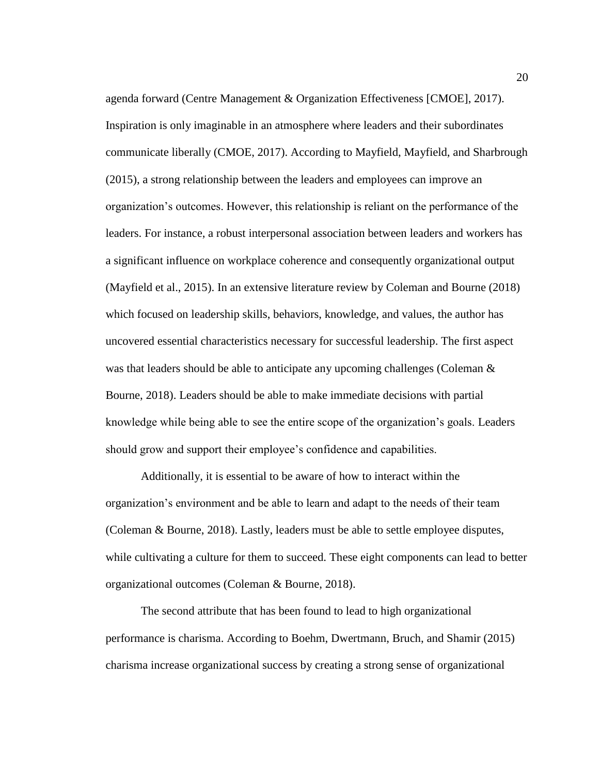agenda forward (Centre Management & Organization Effectiveness [CMOE], 2017). Inspiration is only imaginable in an atmosphere where leaders and their subordinates communicate liberally (CMOE, 2017). According to Mayfield, Mayfield, and Sharbrough (2015), a strong relationship between the leaders and employees can improve an organization's outcomes. However, this relationship is reliant on the performance of the leaders. For instance, a robust interpersonal association between leaders and workers has a significant influence on workplace coherence and consequently organizational output (Mayfield et al., 2015). In an extensive literature review by Coleman and Bourne (2018) which focused on leadership skills, behaviors, knowledge, and values, the author has uncovered essential characteristics necessary for successful leadership. The first aspect was that leaders should be able to anticipate any upcoming challenges (Coleman & Bourne, 2018). Leaders should be able to make immediate decisions with partial knowledge while being able to see the entire scope of the organization's goals. Leaders should grow and support their employee's confidence and capabilities.

Additionally, it is essential to be aware of how to interact within the organization's environment and be able to learn and adapt to the needs of their team (Coleman & Bourne, 2018). Lastly, leaders must be able to settle employee disputes, while cultivating a culture for them to succeed. These eight components can lead to better organizational outcomes (Coleman & Bourne, 2018).

The second attribute that has been found to lead to high organizational performance is charisma. According to Boehm, Dwertmann, Bruch, and Shamir (2015) charisma increase organizational success by creating a strong sense of organizational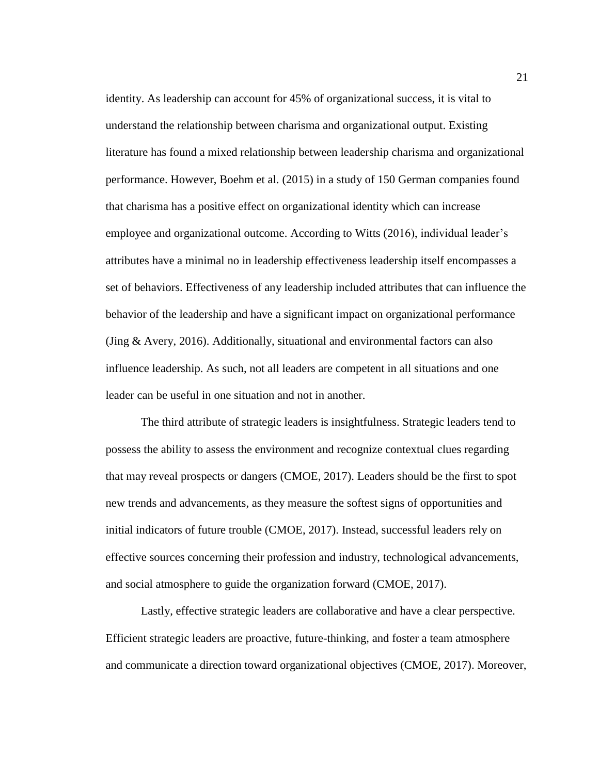identity. As leadership can account for 45% of organizational success, it is vital to understand the relationship between charisma and organizational output. Existing literature has found a mixed relationship between leadership charisma and organizational performance. However, Boehm et al. (2015) in a study of 150 German companies found that charisma has a positive effect on organizational identity which can increase employee and organizational outcome. According to Witts (2016), individual leader's attributes have a minimal no in leadership effectiveness leadership itself encompasses a set of behaviors. Effectiveness of any leadership included attributes that can influence the behavior of the leadership and have a significant impact on organizational performance (Jing & Avery, 2016). Additionally, situational and environmental factors can also influence leadership. As such, not all leaders are competent in all situations and one leader can be useful in one situation and not in another.

The third attribute of strategic leaders is insightfulness. Strategic leaders tend to possess the ability to assess the environment and recognize contextual clues regarding that may reveal prospects or dangers (CMOE, 2017). Leaders should be the first to spot new trends and advancements, as they measure the softest signs of opportunities and initial indicators of future trouble (CMOE, 2017). Instead, successful leaders rely on effective sources concerning their profession and industry, technological advancements, and social atmosphere to guide the organization forward (CMOE, 2017).

Lastly, effective strategic leaders are collaborative and have a clear perspective. Efficient strategic leaders are proactive, future-thinking, and foster a team atmosphere and communicate a direction toward organizational objectives (CMOE, 2017). Moreover,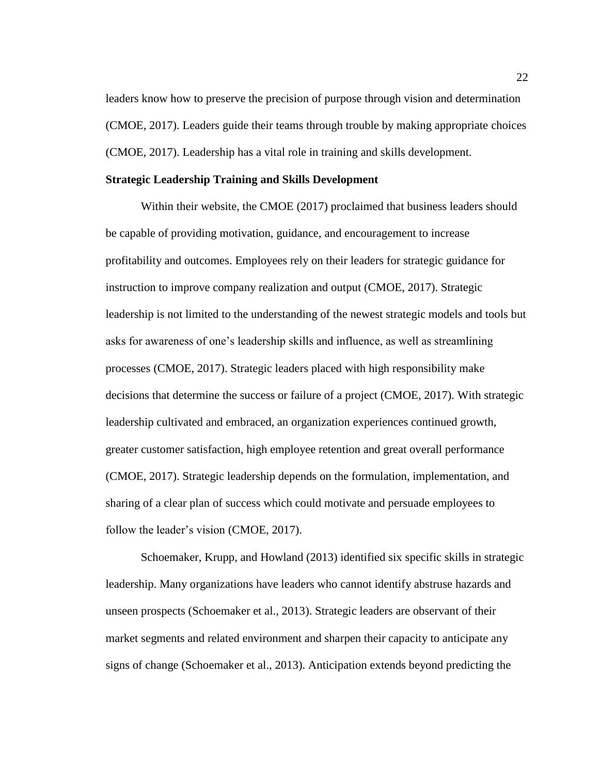leaders know how to preserve the precision of purpose through vision and determination (CMOE, 2017). Leaders guide their teams through trouble by making appropriate choices (CMOE, 2017). Leadership has a vital role in training and skills development.

#### <span id="page-34-0"></span>**Strategic Leadership Training and Skills Development**

Within their website, the CMOE (2017) proclaimed that business leaders should be capable of providing motivation, guidance, and encouragement to increase profitability and outcomes. Employees rely on their leaders for strategic guidance for instruction to improve company realization and output (CMOE, 2017). Strategic leadership is not limited to the understanding of the newest strategic models and tools but asks for awareness of one's leadership skills and influence, as well as streamlining processes (CMOE, 2017). Strategic leaders placed with high responsibility make decisions that determine the success or failure of a project (CMOE, 2017). With strategic leadership cultivated and embraced, an organization experiences continued growth, greater customer satisfaction, high employee retention and great overall performance (CMOE, 2017). Strategic leadership depends on the formulation, implementation, and sharing of a clear plan of success which could motivate and persuade employees to follow the leader's vision (CMOE, 2017).

Schoemaker, Krupp, and Howland (2013) identified six specific skills in strategic leadership. Many organizations have leaders who cannot identify abstruse hazards and unseen prospects (Schoemaker et al., 2013). Strategic leaders are observant of their market segments and related environment and sharpen their capacity to anticipate any signs of change (Schoemaker et al., 2013). Anticipation extends beyond predicting the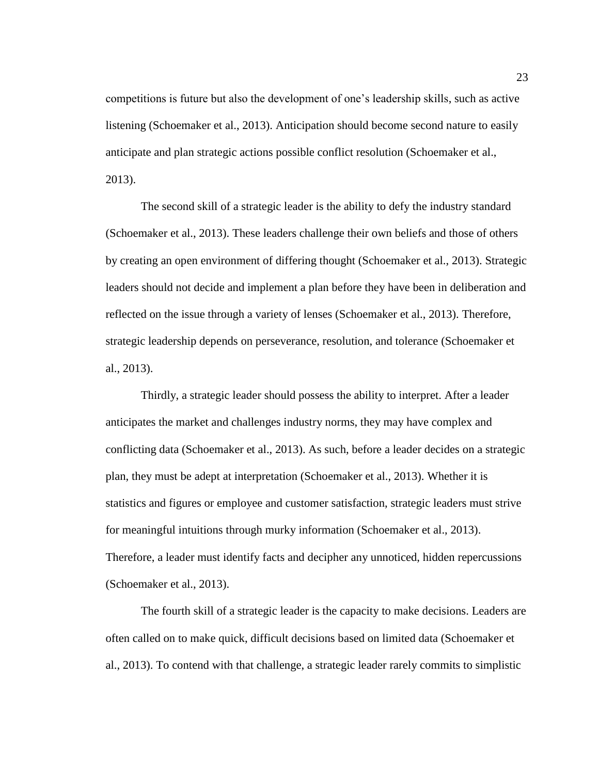competitions is future but also the development of one's leadership skills, such as active listening (Schoemaker et al., 2013). Anticipation should become second nature to easily anticipate and plan strategic actions possible conflict resolution (Schoemaker et al., 2013).

The second skill of a strategic leader is the ability to defy the industry standard (Schoemaker et al., 2013). These leaders challenge their own beliefs and those of others by creating an open environment of differing thought (Schoemaker et al., 2013). Strategic leaders should not decide and implement a plan before they have been in deliberation and reflected on the issue through a variety of lenses (Schoemaker et al., 2013). Therefore, strategic leadership depends on perseverance, resolution, and tolerance (Schoemaker et al., 2013).

Thirdly, a strategic leader should possess the ability to interpret. After a leader anticipates the market and challenges industry norms, they may have complex and conflicting data (Schoemaker et al., 2013). As such, before a leader decides on a strategic plan, they must be adept at interpretation (Schoemaker et al., 2013). Whether it is statistics and figures or employee and customer satisfaction, strategic leaders must strive for meaningful intuitions through murky information (Schoemaker et al., 2013). Therefore, a leader must identify facts and decipher any unnoticed, hidden repercussions (Schoemaker et al., 2013).

The fourth skill of a strategic leader is the capacity to make decisions. Leaders are often called on to make quick, difficult decisions based on limited data (Schoemaker et al., 2013). To contend with that challenge, a strategic leader rarely commits to simplistic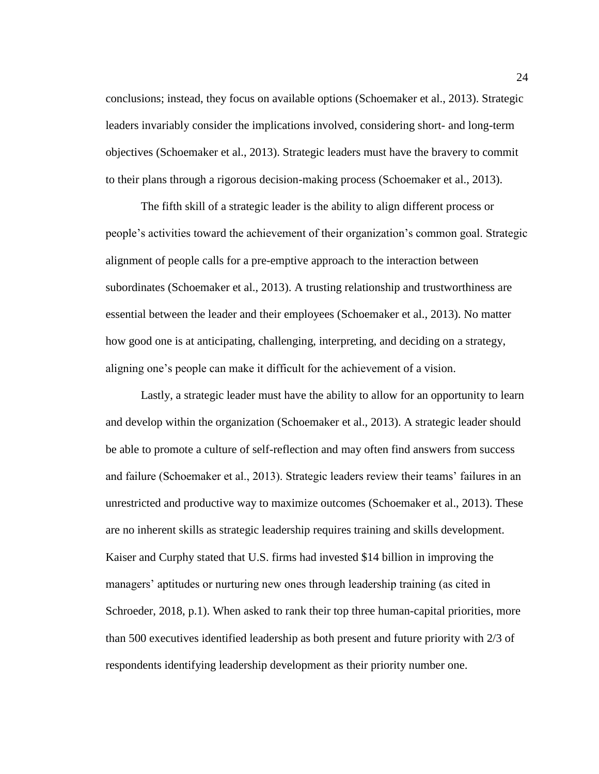conclusions; instead, they focus on available options (Schoemaker et al., 2013). Strategic leaders invariably consider the implications involved, considering short- and long-term objectives (Schoemaker et al., 2013). Strategic leaders must have the bravery to commit to their plans through a rigorous decision-making process (Schoemaker et al., 2013).

The fifth skill of a strategic leader is the ability to align different process or people's activities toward the achievement of their organization's common goal. Strategic alignment of people calls for a pre-emptive approach to the interaction between subordinates (Schoemaker et al., 2013). A trusting relationship and trustworthiness are essential between the leader and their employees (Schoemaker et al., 2013). No matter how good one is at anticipating, challenging, interpreting, and deciding on a strategy, aligning one's people can make it difficult for the achievement of a vision.

Lastly, a strategic leader must have the ability to allow for an opportunity to learn and develop within the organization (Schoemaker et al., 2013). A strategic leader should be able to promote a culture of self-reflection and may often find answers from success and failure (Schoemaker et al., 2013). Strategic leaders review their teams' failures in an unrestricted and productive way to maximize outcomes (Schoemaker et al., 2013). These are no inherent skills as strategic leadership requires training and skills development. Kaiser and Curphy stated that U.S. firms had invested \$14 billion in improving the managers' aptitudes or nurturing new ones through leadership training (as cited in Schroeder, 2018, p.1). When asked to rank their top three human-capital priorities, more than 500 executives identified leadership as both present and future priority with 2/3 of respondents identifying leadership development as their priority number one.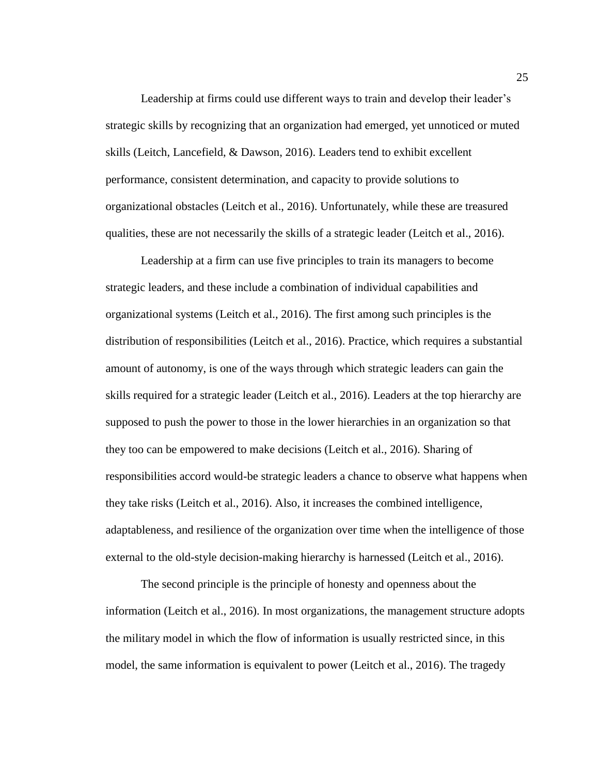Leadership at firms could use different ways to train and develop their leader's strategic skills by recognizing that an organization had emerged, yet unnoticed or muted skills (Leitch, Lancefield, & Dawson, 2016). Leaders tend to exhibit excellent performance, consistent determination, and capacity to provide solutions to organizational obstacles (Leitch et al., 2016). Unfortunately, while these are treasured qualities, these are not necessarily the skills of a strategic leader (Leitch et al., 2016).

Leadership at a firm can use five principles to train its managers to become strategic leaders, and these include a combination of individual capabilities and organizational systems (Leitch et al., 2016). The first among such principles is the distribution of responsibilities (Leitch et al., 2016). Practice, which requires a substantial amount of autonomy, is one of the ways through which strategic leaders can gain the skills required for a strategic leader (Leitch et al., 2016). Leaders at the top hierarchy are supposed to push the power to those in the lower hierarchies in an organization so that they too can be empowered to make decisions (Leitch et al., 2016). Sharing of responsibilities accord would-be strategic leaders a chance to observe what happens when they take risks (Leitch et al., 2016). Also, it increases the combined intelligence, adaptableness, and resilience of the organization over time when the intelligence of those external to the old-style decision-making hierarchy is harnessed (Leitch et al., 2016).

The second principle is the principle of honesty and openness about the information (Leitch et al., 2016). In most organizations, the management structure adopts the military model in which the flow of information is usually restricted since, in this model, the same information is equivalent to power (Leitch et al., 2016). The tragedy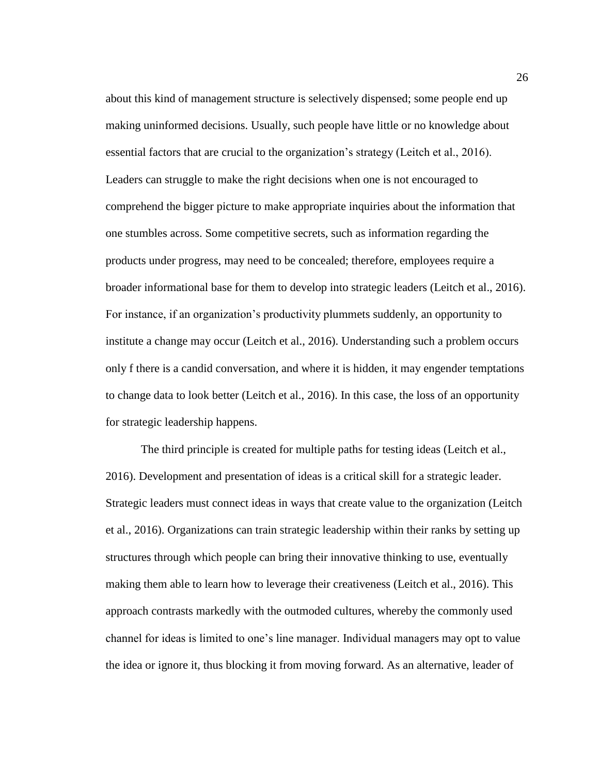about this kind of management structure is selectively dispensed; some people end up making uninformed decisions. Usually, such people have little or no knowledge about essential factors that are crucial to the organization's strategy (Leitch et al., 2016). Leaders can struggle to make the right decisions when one is not encouraged to comprehend the bigger picture to make appropriate inquiries about the information that one stumbles across. Some competitive secrets, such as information regarding the products under progress, may need to be concealed; therefore, employees require a broader informational base for them to develop into strategic leaders (Leitch et al., 2016). For instance, if an organization's productivity plummets suddenly, an opportunity to institute a change may occur (Leitch et al., 2016). Understanding such a problem occurs only f there is a candid conversation, and where it is hidden, it may engender temptations to change data to look better (Leitch et al., 2016). In this case, the loss of an opportunity for strategic leadership happens.

The third principle is created for multiple paths for testing ideas (Leitch et al., 2016). Development and presentation of ideas is a critical skill for a strategic leader. Strategic leaders must connect ideas in ways that create value to the organization (Leitch et al., 2016). Organizations can train strategic leadership within their ranks by setting up structures through which people can bring their innovative thinking to use, eventually making them able to learn how to leverage their creativeness (Leitch et al., 2016). This approach contrasts markedly with the outmoded cultures, whereby the commonly used channel for ideas is limited to one's line manager. Individual managers may opt to value the idea or ignore it, thus blocking it from moving forward. As an alternative, leader of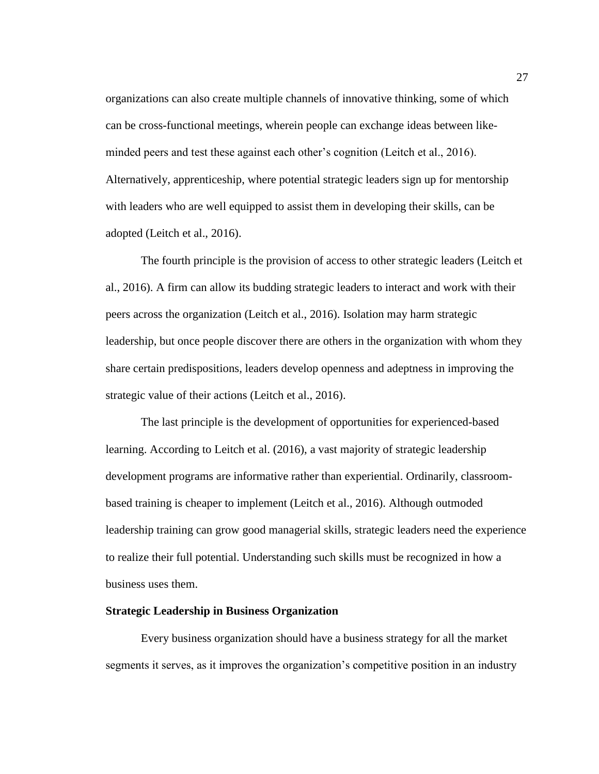organizations can also create multiple channels of innovative thinking, some of which can be cross-functional meetings, wherein people can exchange ideas between likeminded peers and test these against each other's cognition (Leitch et al., 2016). Alternatively, apprenticeship, where potential strategic leaders sign up for mentorship with leaders who are well equipped to assist them in developing their skills, can be adopted (Leitch et al., 2016).

The fourth principle is the provision of access to other strategic leaders (Leitch et al., 2016). A firm can allow its budding strategic leaders to interact and work with their peers across the organization (Leitch et al., 2016). Isolation may harm strategic leadership, but once people discover there are others in the organization with whom they share certain predispositions, leaders develop openness and adeptness in improving the strategic value of their actions (Leitch et al., 2016).

The last principle is the development of opportunities for experienced-based learning. According to Leitch et al. (2016), a vast majority of strategic leadership development programs are informative rather than experiential. Ordinarily, classroombased training is cheaper to implement (Leitch et al., 2016). Although outmoded leadership training can grow good managerial skills, strategic leaders need the experience to realize their full potential. Understanding such skills must be recognized in how a business uses them.

#### **Strategic Leadership in Business Organization**

Every business organization should have a business strategy for all the market segments it serves, as it improves the organization's competitive position in an industry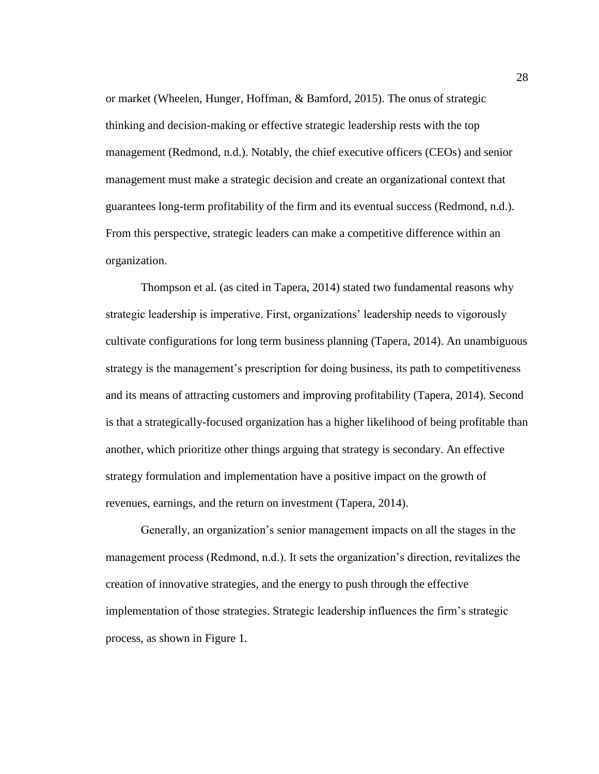or market (Wheelen, Hunger, Hoffman, & Bamford, 2015). The onus of strategic thinking and decision-making or effective strategic leadership rests with the top management (Redmond, n.d.). Notably, the chief executive officers (CEOs) and senior management must make a strategic decision and create an organizational context that guarantees long-term profitability of the firm and its eventual success (Redmond, n.d.). From this perspective, strategic leaders can make a competitive difference within an organization.

Thompson et al. (as cited in Tapera, 2014) stated two fundamental reasons why strategic leadership is imperative. First, organizations' leadership needs to vigorously cultivate configurations for long term business planning (Tapera, 2014). An unambiguous strategy is the management's prescription for doing business, its path to competitiveness and its means of attracting customers and improving profitability (Tapera, 2014). Second is that a strategically-focused organization has a higher likelihood of being profitable than another, which prioritize other things arguing that strategy is secondary. An effective strategy formulation and implementation have a positive impact on the growth of revenues, earnings, and the return on investment (Tapera, 2014).

Generally, an organization's senior management impacts on all the stages in the management process (Redmond, n.d.). It sets the organization's direction, revitalizes the creation of innovative strategies, and the energy to push through the effective implementation of those strategies. Strategic leadership influences the firm's strategic process, as shown in Figure 1.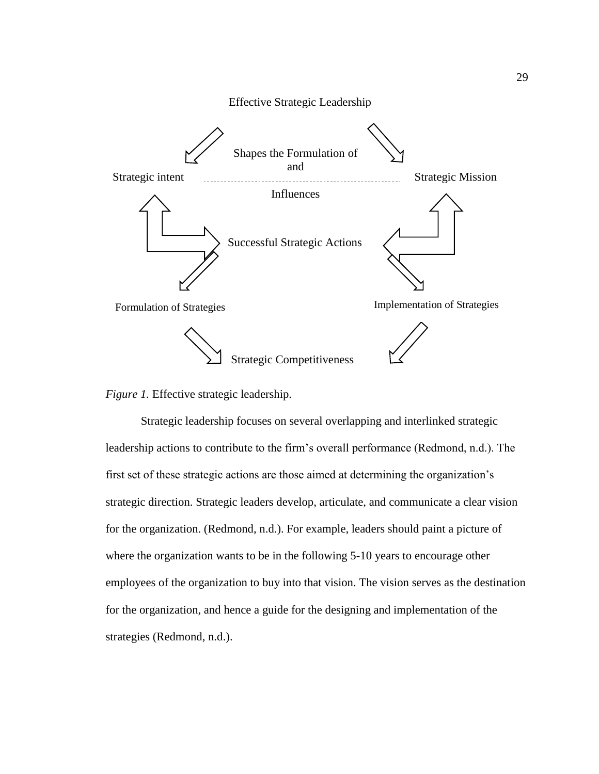



Strategic leadership focuses on several overlapping and interlinked strategic leadership actions to contribute to the firm's overall performance (Redmond, n.d.). The first set of these strategic actions are those aimed at determining the organization's strategic direction. Strategic leaders develop, articulate, and communicate a clear vision for the organization. (Redmond, n.d.). For example, leaders should paint a picture of where the organization wants to be in the following 5-10 years to encourage other employees of the organization to buy into that vision. The vision serves as the destination for the organization, and hence a guide for the designing and implementation of the strategies (Redmond, n.d.).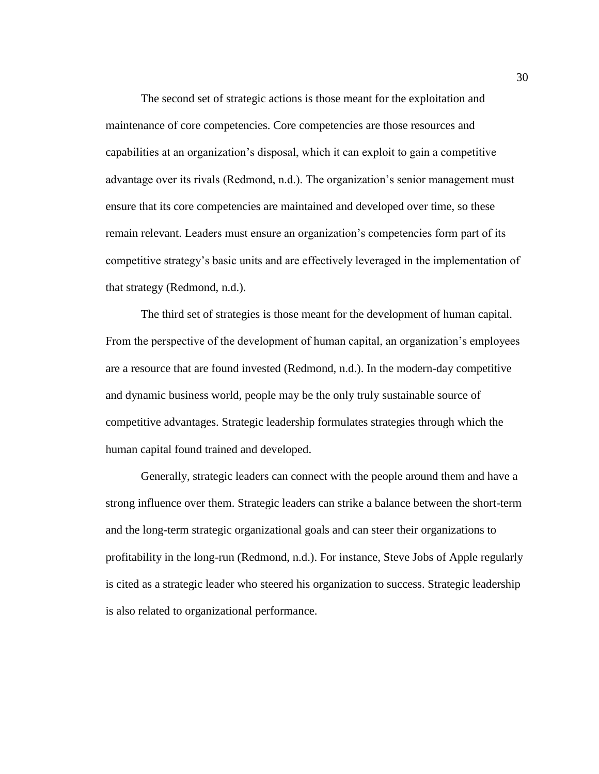The second set of strategic actions is those meant for the exploitation and maintenance of core competencies. Core competencies are those resources and capabilities at an organization's disposal, which it can exploit to gain a competitive advantage over its rivals (Redmond, n.d.). The organization's senior management must ensure that its core competencies are maintained and developed over time, so these remain relevant. Leaders must ensure an organization's competencies form part of its competitive strategy's basic units and are effectively leveraged in the implementation of that strategy (Redmond, n.d.).

The third set of strategies is those meant for the development of human capital. From the perspective of the development of human capital, an organization's employees are a resource that are found invested (Redmond, n.d.). In the modern-day competitive and dynamic business world, people may be the only truly sustainable source of competitive advantages. Strategic leadership formulates strategies through which the human capital found trained and developed.

Generally, strategic leaders can connect with the people around them and have a strong influence over them. Strategic leaders can strike a balance between the short-term and the long-term strategic organizational goals and can steer their organizations to profitability in the long-run (Redmond, n.d.). For instance, Steve Jobs of Apple regularly is cited as a strategic leader who steered his organization to success. Strategic leadership is also related to organizational performance.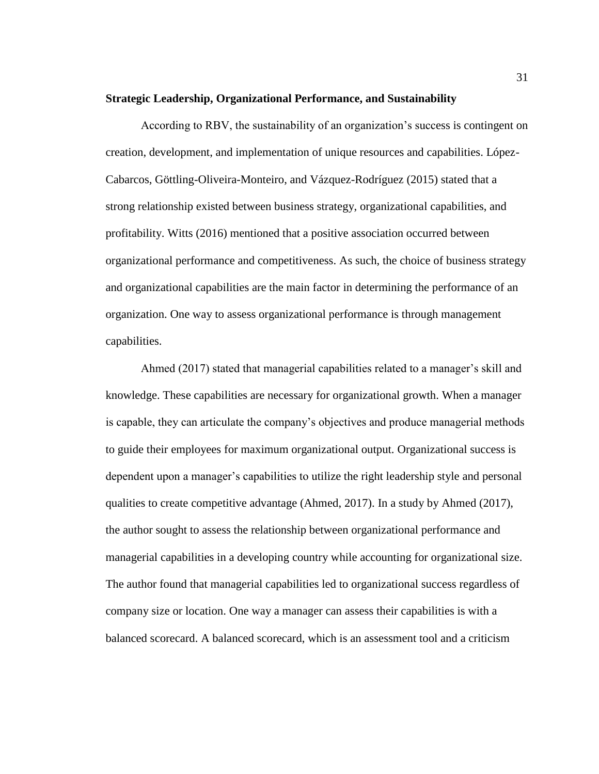#### **Strategic Leadership, Organizational Performance, and Sustainability**

According to RBV, the sustainability of an organization's success is contingent on creation, development, and implementation of unique resources and capabilities. López-Cabarcos, Göttling-Oliveira-Monteiro, and Vázquez-Rodríguez (2015) stated that a strong relationship existed between business strategy, organizational capabilities, and profitability. Witts (2016) mentioned that a positive association occurred between organizational performance and competitiveness. As such, the choice of business strategy and organizational capabilities are the main factor in determining the performance of an organization. One way to assess organizational performance is through management capabilities.

Ahmed (2017) stated that managerial capabilities related to a manager's skill and knowledge. These capabilities are necessary for organizational growth. When a manager is capable, they can articulate the company's objectives and produce managerial methods to guide their employees for maximum organizational output. Organizational success is dependent upon a manager's capabilities to utilize the right leadership style and personal qualities to create competitive advantage (Ahmed, 2017). In a study by Ahmed (2017), the author sought to assess the relationship between organizational performance and managerial capabilities in a developing country while accounting for organizational size. The author found that managerial capabilities led to organizational success regardless of company size or location. One way a manager can assess their capabilities is with a balanced scorecard. A balanced scorecard, which is an assessment tool and a criticism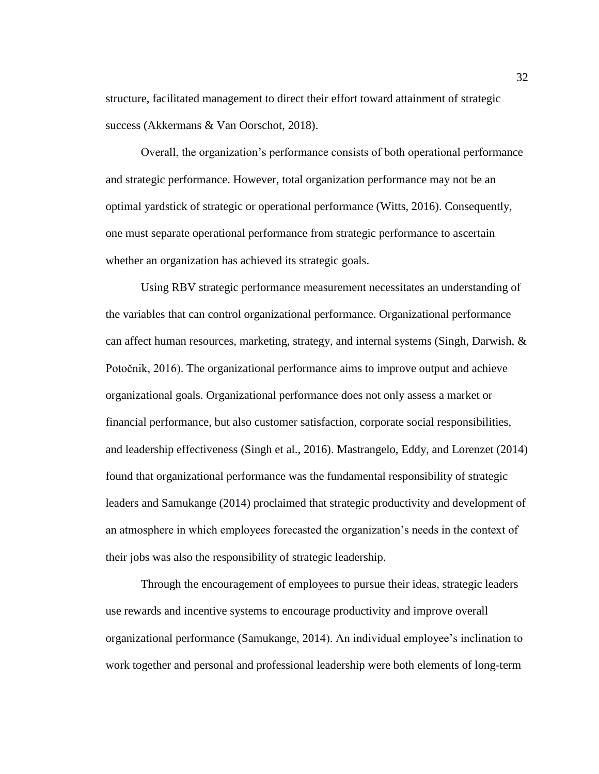structure, facilitated management to direct their effort toward attainment of strategic success (Akkermans & Van Oorschot, 2018).

Overall, the organization's performance consists of both operational performance and strategic performance. However, total organization performance may not be an optimal yardstick of strategic or operational performance (Witts, 2016). Consequently, one must separate operational performance from strategic performance to ascertain whether an organization has achieved its strategic goals.

Using RBV strategic performance measurement necessitates an understanding of the variables that can control organizational performance. Organizational performance can affect human resources, marketing, strategy, and internal systems (Singh, Darwish, & Potočnik, 2016). The organizational performance aims to improve output and achieve organizational goals. Organizational performance does not only assess a market or financial performance, but also customer satisfaction, corporate social responsibilities, and leadership effectiveness (Singh et al., 2016). Mastrangelo, Eddy, and Lorenzet (2014) found that organizational performance was the fundamental responsibility of strategic leaders and Samukange (2014) proclaimed that strategic productivity and development of an atmosphere in which employees forecasted the organization's needs in the context of their jobs was also the responsibility of strategic leadership.

Through the encouragement of employees to pursue their ideas, strategic leaders use rewards and incentive systems to encourage productivity and improve overall organizational performance (Samukange, 2014). An individual employee's inclination to work together and personal and professional leadership were both elements of long-term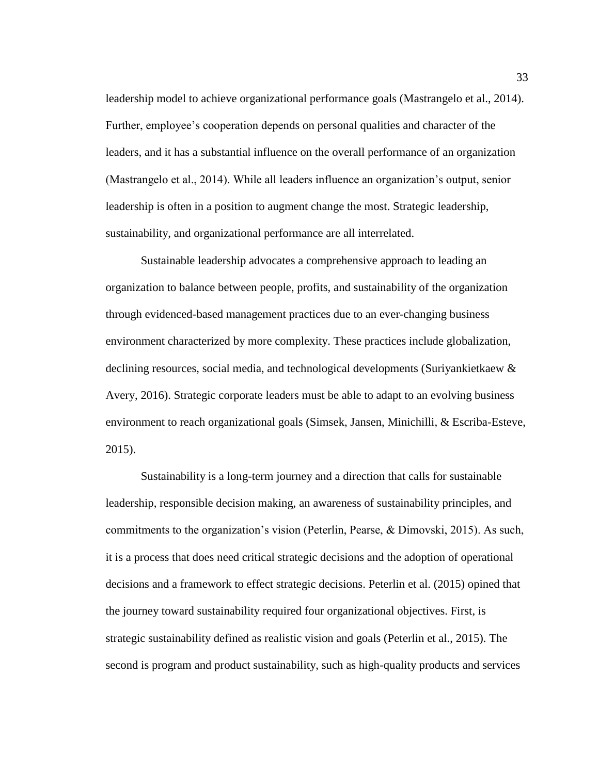leadership model to achieve organizational performance goals (Mastrangelo et al., 2014). Further, employee's cooperation depends on personal qualities and character of the leaders, and it has a substantial influence on the overall performance of an organization (Mastrangelo et al., 2014). While all leaders influence an organization's output, senior leadership is often in a position to augment change the most. Strategic leadership, sustainability, and organizational performance are all interrelated.

Sustainable leadership advocates a comprehensive approach to leading an organization to balance between people, profits, and sustainability of the organization through evidenced-based management practices due to an ever-changing business environment characterized by more complexity. These practices include globalization, declining resources, social media, and technological developments (Suriyankietkaew & Avery, 2016). Strategic corporate leaders must be able to adapt to an evolving business environment to reach organizational goals (Simsek, Jansen, Minichilli, & Escriba-Esteve, 2015).

Sustainability is a long-term journey and a direction that calls for sustainable leadership, responsible decision making, an awareness of sustainability principles, and commitments to the organization's vision (Peterlin, Pearse, & Dimovski, 2015). As such, it is a process that does need critical strategic decisions and the adoption of operational decisions and a framework to effect strategic decisions. Peterlin et al. (2015) opined that the journey toward sustainability required four organizational objectives. First, is strategic sustainability defined as realistic vision and goals (Peterlin et al., 2015). The second is program and product sustainability, such as high-quality products and services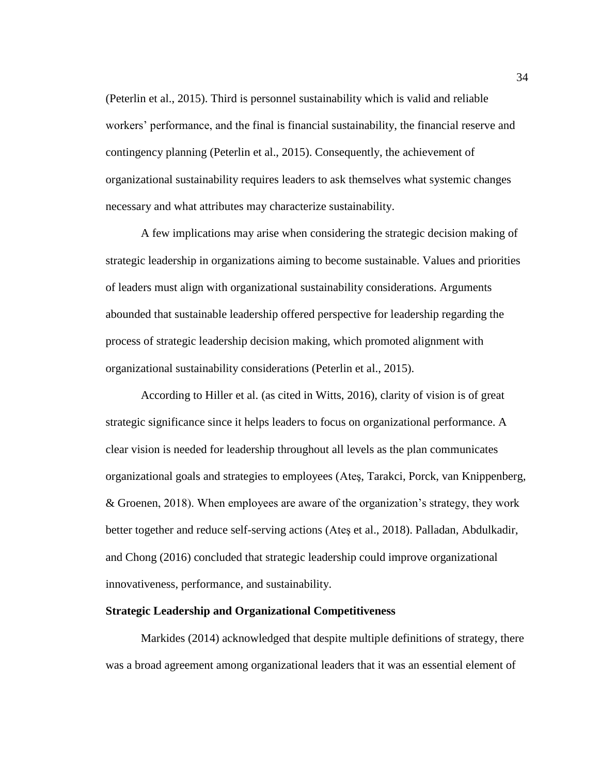(Peterlin et al., 2015). Third is personnel sustainability which is valid and reliable workers' performance, and the final is financial sustainability, the financial reserve and contingency planning (Peterlin et al., 2015). Consequently, the achievement of organizational sustainability requires leaders to ask themselves what systemic changes necessary and what attributes may characterize sustainability.

A few implications may arise when considering the strategic decision making of strategic leadership in organizations aiming to become sustainable. Values and priorities of leaders must align with organizational sustainability considerations. Arguments abounded that sustainable leadership offered perspective for leadership regarding the process of strategic leadership decision making, which promoted alignment with organizational sustainability considerations (Peterlin et al., 2015).

According to Hiller et al. (as cited in Witts, 2016), clarity of vision is of great strategic significance since it helps leaders to focus on organizational performance. A clear vision is needed for leadership throughout all levels as the plan communicates organizational goals and strategies to employees (Ateş, Tarakci, Porck, van Knippenberg, & Groenen, 2018). When employees are aware of the organization's strategy, they work better together and reduce self-serving actions (Ateş et al., 2018). Palladan, Abdulkadir, and Chong (2016) concluded that strategic leadership could improve organizational innovativeness, performance, and sustainability.

#### **Strategic Leadership and Organizational Competitiveness**

Markides (2014) acknowledged that despite multiple definitions of strategy, there was a broad agreement among organizational leaders that it was an essential element of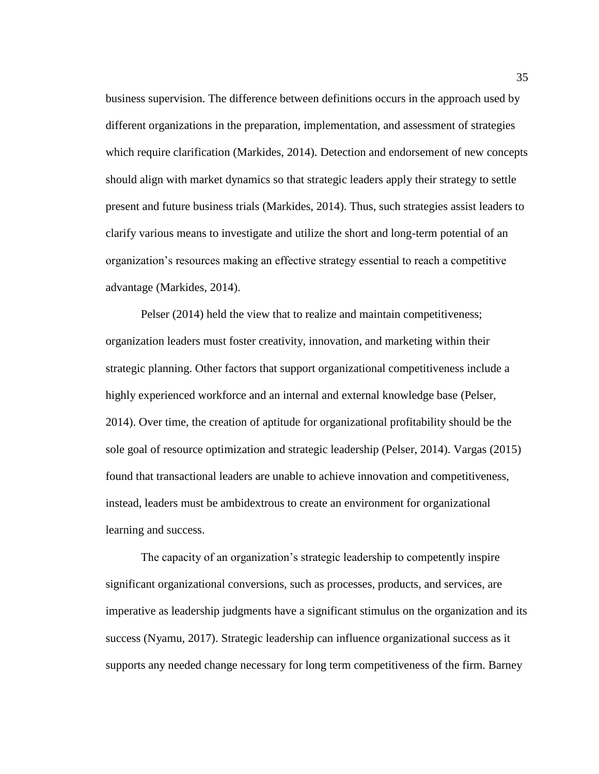business supervision. The difference between definitions occurs in the approach used by different organizations in the preparation, implementation, and assessment of strategies which require clarification (Markides, 2014). Detection and endorsement of new concepts should align with market dynamics so that strategic leaders apply their strategy to settle present and future business trials (Markides, 2014). Thus, such strategies assist leaders to clarify various means to investigate and utilize the short and long-term potential of an organization's resources making an effective strategy essential to reach a competitive advantage (Markides, 2014).

Pelser (2014) held the view that to realize and maintain competitiveness; organization leaders must foster creativity, innovation, and marketing within their strategic planning. Other factors that support organizational competitiveness include a highly experienced workforce and an internal and external knowledge base (Pelser, 2014). Over time, the creation of aptitude for organizational profitability should be the sole goal of resource optimization and strategic leadership (Pelser, 2014). Vargas (2015) found that transactional leaders are unable to achieve innovation and competitiveness, instead, leaders must be ambidextrous to create an environment for organizational learning and success.

The capacity of an organization's strategic leadership to competently inspire significant organizational conversions, such as processes, products, and services, are imperative as leadership judgments have a significant stimulus on the organization and its success (Nyamu, 2017). Strategic leadership can influence organizational success as it supports any needed change necessary for long term competitiveness of the firm. Barney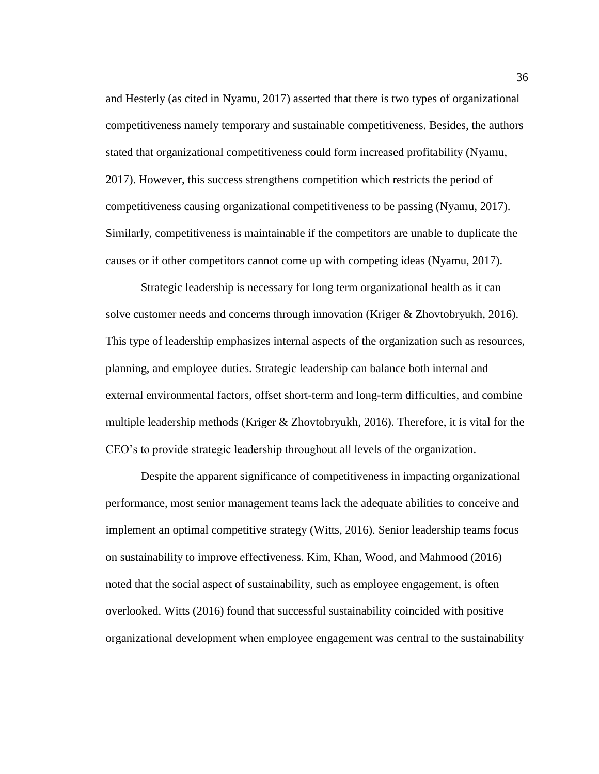and Hesterly (as cited in Nyamu, 2017) asserted that there is two types of organizational competitiveness namely temporary and sustainable competitiveness. Besides, the authors stated that organizational competitiveness could form increased profitability (Nyamu, 2017). However, this success strengthens competition which restricts the period of competitiveness causing organizational competitiveness to be passing (Nyamu, 2017). Similarly, competitiveness is maintainable if the competitors are unable to duplicate the causes or if other competitors cannot come up with competing ideas (Nyamu, 2017).

Strategic leadership is necessary for long term organizational health as it can solve customer needs and concerns through innovation (Kriger & Zhovtobryukh, 2016). This type of leadership emphasizes internal aspects of the organization such as resources, planning, and employee duties. Strategic leadership can balance both internal and external environmental factors, offset short-term and long-term difficulties, and combine multiple leadership methods (Kriger & Zhovtobryukh, 2016). Therefore, it is vital for the CEO's to provide strategic leadership throughout all levels of the organization.

Despite the apparent significance of competitiveness in impacting organizational performance, most senior management teams lack the adequate abilities to conceive and implement an optimal competitive strategy (Witts, 2016). Senior leadership teams focus on sustainability to improve effectiveness. Kim, Khan, Wood, and Mahmood (2016) noted that the social aspect of sustainability, such as employee engagement, is often overlooked. Witts (2016) found that successful sustainability coincided with positive organizational development when employee engagement was central to the sustainability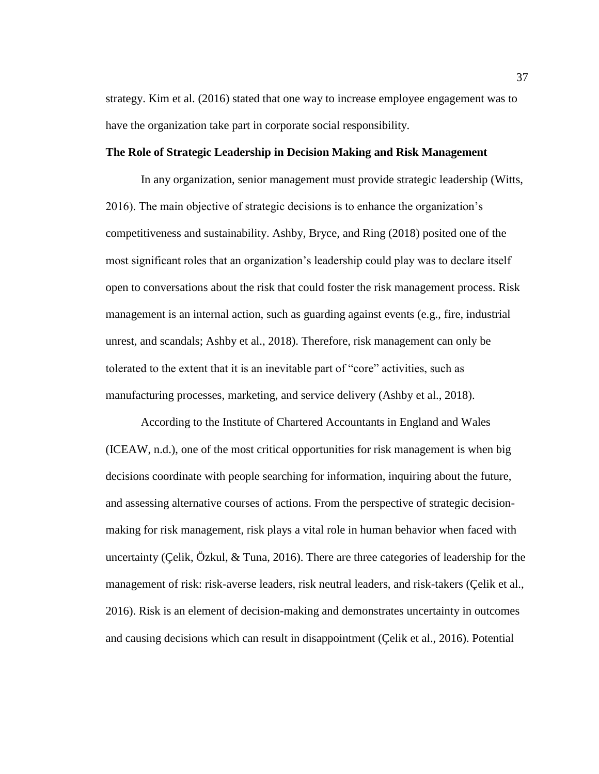strategy. Kim et al. (2016) stated that one way to increase employee engagement was to have the organization take part in corporate social responsibility.

# **The Role of Strategic Leadership in Decision Making and Risk Management**

In any organization, senior management must provide strategic leadership (Witts, 2016). The main objective of strategic decisions is to enhance the organization's competitiveness and sustainability. Ashby, Bryce, and Ring (2018) posited one of the most significant roles that an organization's leadership could play was to declare itself open to conversations about the risk that could foster the risk management process. Risk management is an internal action, such as guarding against events (e.g., fire, industrial unrest, and scandals; Ashby et al., 2018). Therefore, risk management can only be tolerated to the extent that it is an inevitable part of "core" activities, such as manufacturing processes, marketing, and service delivery (Ashby et al., 2018).

According to the Institute of Chartered Accountants in England and Wales (ICEAW, n.d.), one of the most critical opportunities for risk management is when big decisions coordinate with people searching for information, inquiring about the future, and assessing alternative courses of actions. From the perspective of strategic decisionmaking for risk management, risk plays a vital role in human behavior when faced with uncertainty (Çelik, Özkul, & Tuna, 2016). There are three categories of leadership for the management of risk: risk-averse leaders, risk neutral leaders, and risk-takers (Çelik et al., 2016). Risk is an element of decision-making and demonstrates uncertainty in outcomes and causing decisions which can result in disappointment (Çelik et al., 2016). Potential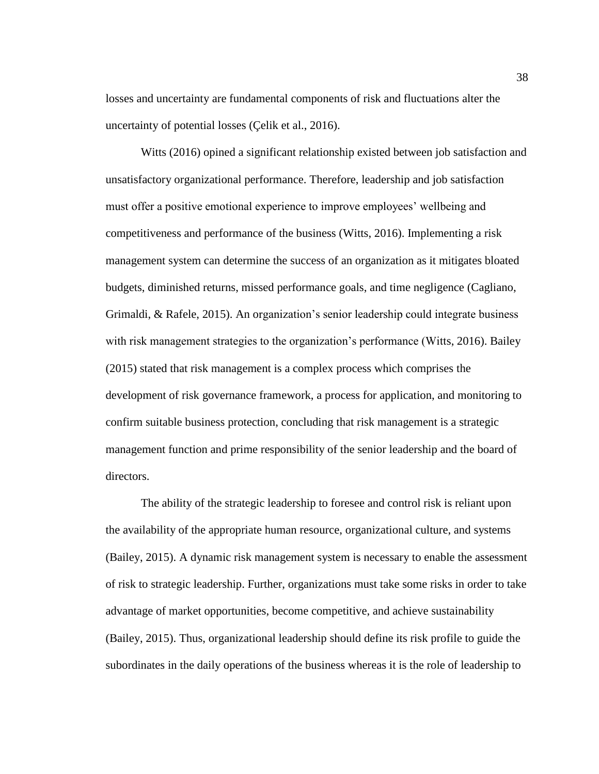losses and uncertainty are fundamental components of risk and fluctuations alter the uncertainty of potential losses (Çelik et al., 2016).

Witts (2016) opined a significant relationship existed between job satisfaction and unsatisfactory organizational performance. Therefore, leadership and job satisfaction must offer a positive emotional experience to improve employees' wellbeing and competitiveness and performance of the business (Witts, 2016). Implementing a risk management system can determine the success of an organization as it mitigates bloated budgets, diminished returns, missed performance goals, and time negligence (Cagliano, Grimaldi, & Rafele, 2015). An organization's senior leadership could integrate business with risk management strategies to the organization's performance (Witts, 2016). Bailey (2015) stated that risk management is a complex process which comprises the development of risk governance framework, a process for application, and monitoring to confirm suitable business protection, concluding that risk management is a strategic management function and prime responsibility of the senior leadership and the board of directors.

The ability of the strategic leadership to foresee and control risk is reliant upon the availability of the appropriate human resource, organizational culture, and systems (Bailey, 2015). A dynamic risk management system is necessary to enable the assessment of risk to strategic leadership. Further, organizations must take some risks in order to take advantage of market opportunities, become competitive, and achieve sustainability (Bailey, 2015). Thus, organizational leadership should define its risk profile to guide the subordinates in the daily operations of the business whereas it is the role of leadership to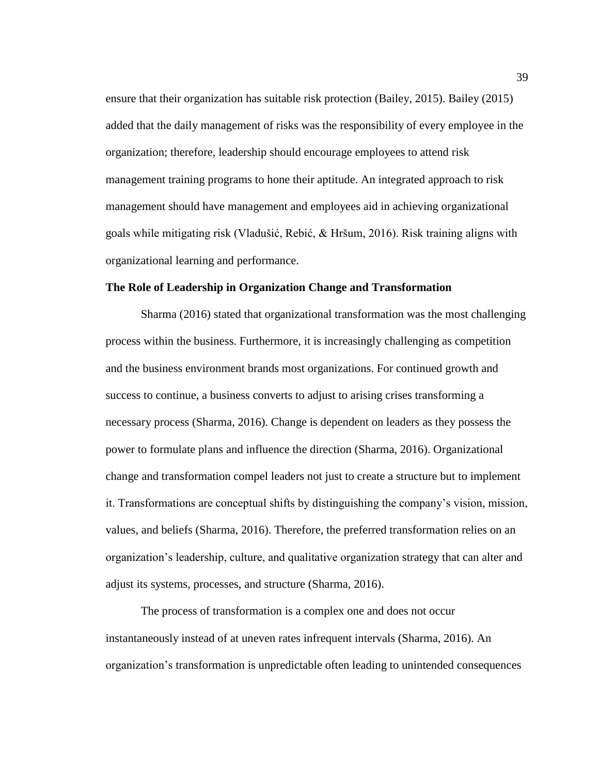ensure that their organization has suitable risk protection (Bailey, 2015). Bailey (2015) added that the daily management of risks was the responsibility of every employee in the organization; therefore, leadership should encourage employees to attend risk management training programs to hone their aptitude. An integrated approach to risk management should have management and employees aid in achieving organizational goals while mitigating risk (Vladušić, Rebić, & Hršum, 2016). Risk training aligns with organizational learning and performance.

### **The Role of Leadership in Organization Change and Transformation**

Sharma (2016) stated that organizational transformation was the most challenging process within the business. Furthermore, it is increasingly challenging as competition and the business environment brands most organizations. For continued growth and success to continue, a business converts to adjust to arising crises transforming a necessary process (Sharma, 2016). Change is dependent on leaders as they possess the power to formulate plans and influence the direction (Sharma, 2016). Organizational change and transformation compel leaders not just to create a structure but to implement it. Transformations are conceptual shifts by distinguishing the company's vision, mission, values, and beliefs (Sharma, 2016). Therefore, the preferred transformation relies on an organization's leadership, culture, and qualitative organization strategy that can alter and adjust its systems, processes, and structure (Sharma, 2016).

The process of transformation is a complex one and does not occur instantaneously instead of at uneven rates infrequent intervals (Sharma, 2016). An organization's transformation is unpredictable often leading to unintended consequences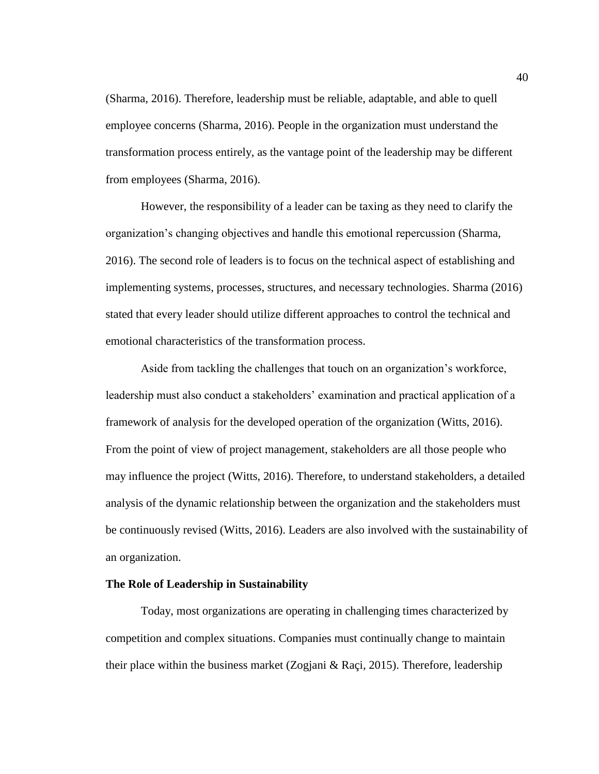(Sharma, 2016). Therefore, leadership must be reliable, adaptable, and able to quell employee concerns (Sharma, 2016). People in the organization must understand the transformation process entirely, as the vantage point of the leadership may be different from employees (Sharma, 2016).

However, the responsibility of a leader can be taxing as they need to clarify the organization's changing objectives and handle this emotional repercussion (Sharma, 2016). The second role of leaders is to focus on the technical aspect of establishing and implementing systems, processes, structures, and necessary technologies. Sharma (2016) stated that every leader should utilize different approaches to control the technical and emotional characteristics of the transformation process.

Aside from tackling the challenges that touch on an organization's workforce, leadership must also conduct a stakeholders' examination and practical application of a framework of analysis for the developed operation of the organization (Witts, 2016). From the point of view of project management, stakeholders are all those people who may influence the project (Witts, 2016). Therefore, to understand stakeholders, a detailed analysis of the dynamic relationship between the organization and the stakeholders must be continuously revised (Witts, 2016). Leaders are also involved with the sustainability of an organization.

#### **The Role of Leadership in Sustainability**

Today, most organizations are operating in challenging times characterized by competition and complex situations. Companies must continually change to maintain their place within the business market (Zogjani & Raçi, 2015). Therefore, leadership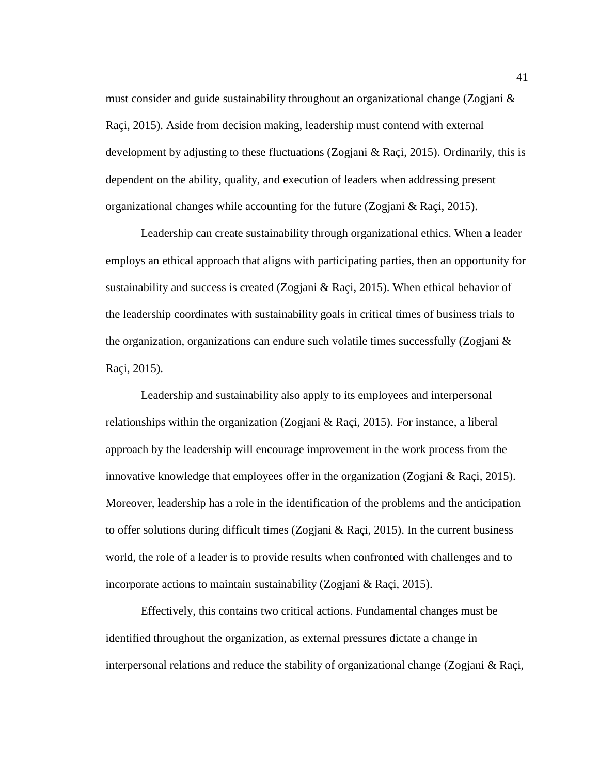must consider and guide sustainability throughout an organizational change (Zogjani & Raçi, 2015). Aside from decision making, leadership must contend with external development by adjusting to these fluctuations (Zogjani & Raçi, 2015). Ordinarily, this is dependent on the ability, quality, and execution of leaders when addressing present organizational changes while accounting for the future (Zogjani & Raçi, 2015).

Leadership can create sustainability through organizational ethics. When a leader employs an ethical approach that aligns with participating parties, then an opportunity for sustainability and success is created (Zogjani & Raçi, 2015). When ethical behavior of the leadership coordinates with sustainability goals in critical times of business trials to the organization, organizations can endure such volatile times successfully (Zogjani  $\&$ Raçi, 2015).

Leadership and sustainability also apply to its employees and interpersonal relationships within the organization (Zogjani & Raçi, 2015). For instance, a liberal approach by the leadership will encourage improvement in the work process from the innovative knowledge that employees offer in the organization (Zogjani  $\&$  Raçi, 2015). Moreover, leadership has a role in the identification of the problems and the anticipation to offer solutions during difficult times (Zogjani & Raçi, 2015). In the current business world, the role of a leader is to provide results when confronted with challenges and to incorporate actions to maintain sustainability (Zogjani & Raçi, 2015).

Effectively, this contains two critical actions. Fundamental changes must be identified throughout the organization, as external pressures dictate a change in interpersonal relations and reduce the stability of organizational change (Zogjani & Raçi,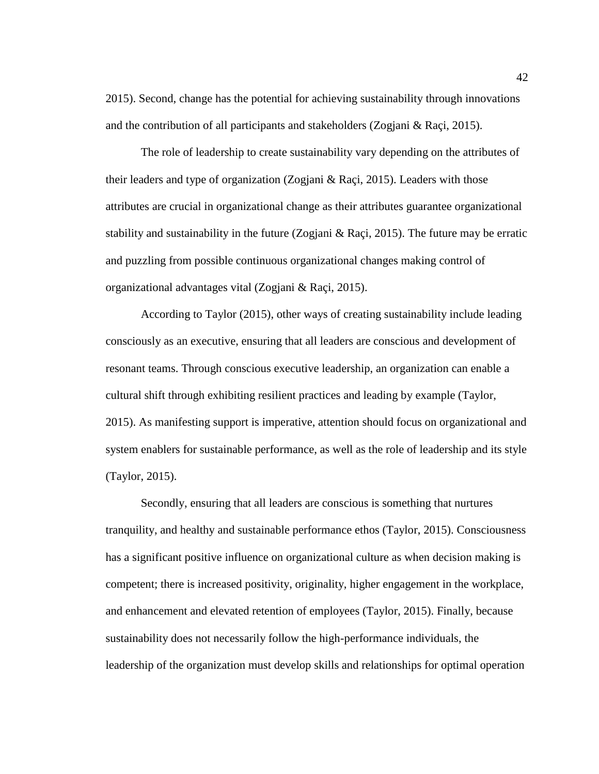2015). Second, change has the potential for achieving sustainability through innovations and the contribution of all participants and stakeholders (Zogjani & Raçi, 2015).

The role of leadership to create sustainability vary depending on the attributes of their leaders and type of organization (Zogjani & Raçi, 2015). Leaders with those attributes are crucial in organizational change as their attributes guarantee organizational stability and sustainability in the future (Zogjani  $\&$  Raçi, 2015). The future may be erratic and puzzling from possible continuous organizational changes making control of organizational advantages vital (Zogjani & Raçi, 2015).

According to Taylor (2015), other ways of creating sustainability include leading consciously as an executive, ensuring that all leaders are conscious and development of resonant teams. Through conscious executive leadership, an organization can enable a cultural shift through exhibiting resilient practices and leading by example (Taylor, 2015). As manifesting support is imperative, attention should focus on organizational and system enablers for sustainable performance, as well as the role of leadership and its style (Taylor, 2015).

Secondly, ensuring that all leaders are conscious is something that nurtures tranquility, and healthy and sustainable performance ethos (Taylor, 2015). Consciousness has a significant positive influence on organizational culture as when decision making is competent; there is increased positivity, originality, higher engagement in the workplace, and enhancement and elevated retention of employees (Taylor, 2015). Finally, because sustainability does not necessarily follow the high-performance individuals, the leadership of the organization must develop skills and relationships for optimal operation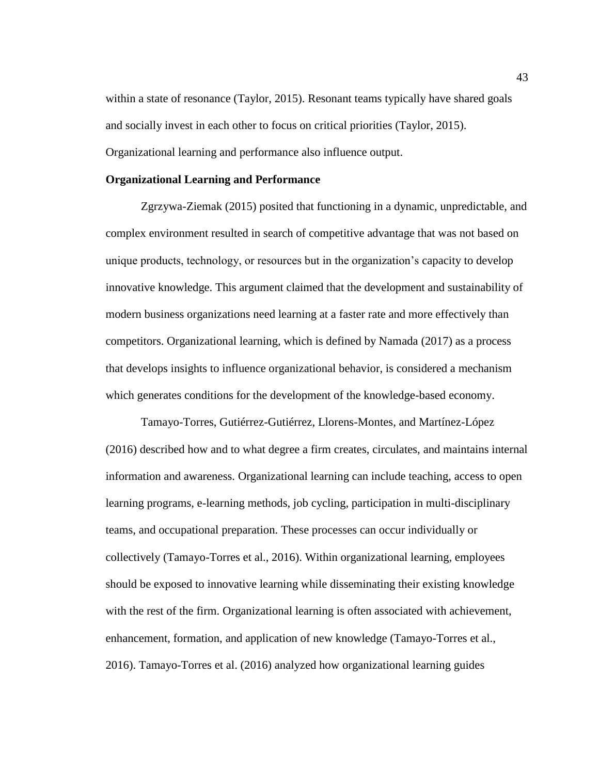within a state of resonance (Taylor, 2015). Resonant teams typically have shared goals and socially invest in each other to focus on critical priorities (Taylor, 2015). Organizational learning and performance also influence output.

# **Organizational Learning and Performance**

Zgrzywa-Ziemak (2015) posited that functioning in a dynamic, unpredictable, and complex environment resulted in search of competitive advantage that was not based on unique products, technology, or resources but in the organization's capacity to develop innovative knowledge. This argument claimed that the development and sustainability of modern business organizations need learning at a faster rate and more effectively than competitors. Organizational learning, which is defined by Namada (2017) as a process that develops insights to influence organizational behavior, is considered a mechanism which generates conditions for the development of the knowledge-based economy.

Tamayo-Torres, Gutiérrez-Gutiérrez, Llorens-Montes, and Martínez-López (2016) described how and to what degree a firm creates, circulates, and maintains internal information and awareness. Organizational learning can include teaching, access to open learning programs, e-learning methods, job cycling, participation in multi-disciplinary teams, and occupational preparation. These processes can occur individually or collectively (Tamayo-Torres et al., 2016). Within organizational learning, employees should be exposed to innovative learning while disseminating their existing knowledge with the rest of the firm. Organizational learning is often associated with achievement, enhancement, formation, and application of new knowledge (Tamayo-Torres et al., 2016). Tamayo-Torres et al. (2016) analyzed how organizational learning guides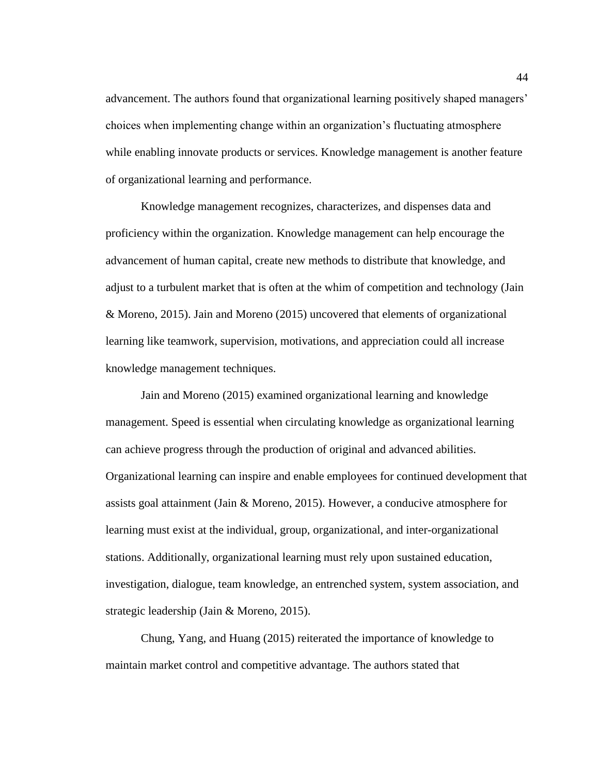advancement. The authors found that organizational learning positively shaped managers' choices when implementing change within an organization's fluctuating atmosphere while enabling innovate products or services. Knowledge management is another feature of organizational learning and performance.

Knowledge management recognizes, characterizes, and dispenses data and proficiency within the organization. Knowledge management can help encourage the advancement of human capital, create new methods to distribute that knowledge, and adjust to a turbulent market that is often at the whim of competition and technology (Jain & Moreno, 2015). Jain and Moreno (2015) uncovered that elements of organizational learning like teamwork, supervision, motivations, and appreciation could all increase knowledge management techniques.

Jain and Moreno (2015) examined organizational learning and knowledge management. Speed is essential when circulating knowledge as organizational learning can achieve progress through the production of original and advanced abilities. Organizational learning can inspire and enable employees for continued development that assists goal attainment (Jain & Moreno, 2015). However, a conducive atmosphere for learning must exist at the individual, group, organizational, and inter-organizational stations. Additionally, organizational learning must rely upon sustained education, investigation, dialogue, team knowledge, an entrenched system, system association, and strategic leadership (Jain & Moreno, 2015).

Chung, Yang, and Huang (2015) reiterated the importance of knowledge to maintain market control and competitive advantage. The authors stated that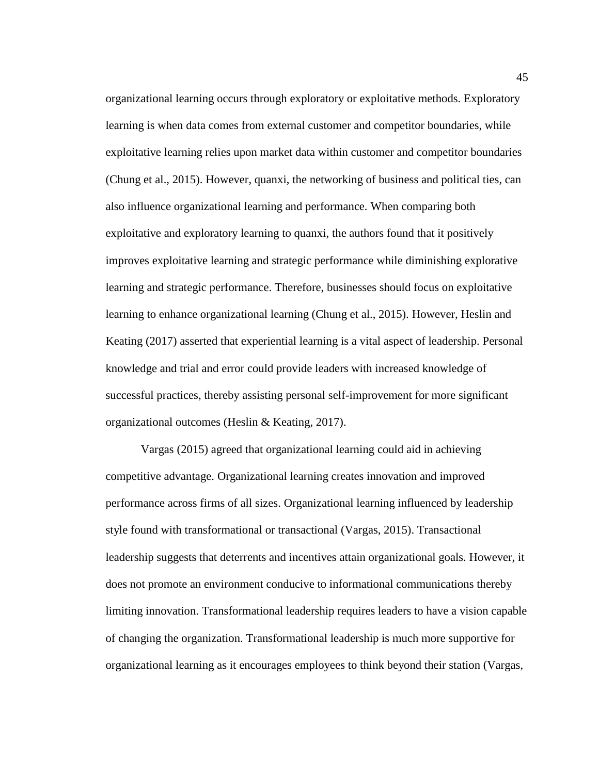organizational learning occurs through exploratory or exploitative methods. Exploratory learning is when data comes from external customer and competitor boundaries, while exploitative learning relies upon market data within customer and competitor boundaries (Chung et al., 2015). However, quanxi, the networking of business and political ties, can also influence organizational learning and performance. When comparing both exploitative and exploratory learning to quanxi, the authors found that it positively improves exploitative learning and strategic performance while diminishing explorative learning and strategic performance. Therefore, businesses should focus on exploitative learning to enhance organizational learning (Chung et al., 2015). However, Heslin and Keating (2017) asserted that experiential learning is a vital aspect of leadership. Personal knowledge and trial and error could provide leaders with increased knowledge of successful practices, thereby assisting personal self-improvement for more significant organizational outcomes (Heslin & Keating, 2017).

Vargas (2015) agreed that organizational learning could aid in achieving competitive advantage. Organizational learning creates innovation and improved performance across firms of all sizes. Organizational learning influenced by leadership style found with transformational or transactional (Vargas, 2015). Transactional leadership suggests that deterrents and incentives attain organizational goals. However, it does not promote an environment conducive to informational communications thereby limiting innovation. Transformational leadership requires leaders to have a vision capable of changing the organization. Transformational leadership is much more supportive for organizational learning as it encourages employees to think beyond their station (Vargas,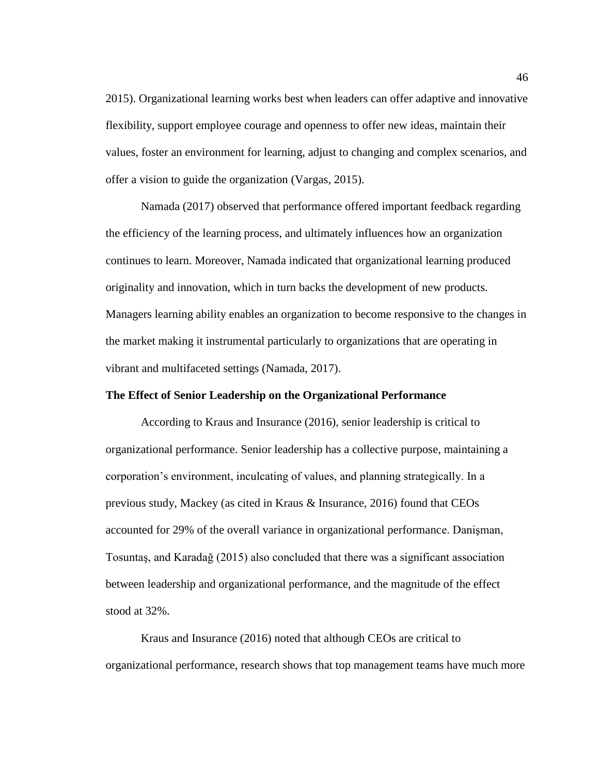2015). Organizational learning works best when leaders can offer adaptive and innovative flexibility, support employee courage and openness to offer new ideas, maintain their values, foster an environment for learning, adjust to changing and complex scenarios, and offer a vision to guide the organization (Vargas, 2015).

Namada (2017) observed that performance offered important feedback regarding the efficiency of the learning process, and ultimately influences how an organization continues to learn. Moreover, Namada indicated that organizational learning produced originality and innovation, which in turn backs the development of new products. Managers learning ability enables an organization to become responsive to the changes in the market making it instrumental particularly to organizations that are operating in vibrant and multifaceted settings (Namada, 2017).

# **The Effect of Senior Leadership on the Organizational Performance**

According to Kraus and Insurance (2016), senior leadership is critical to organizational performance. Senior leadership has a collective purpose, maintaining a corporation's environment, inculcating of values, and planning strategically. In a previous study, Mackey (as cited in Kraus & Insurance, 2016) found that CEOs accounted for 29% of the overall variance in organizational performance. Danişman, Tosuntaş, and Karadağ (2015) also concluded that there was a significant association between leadership and organizational performance, and the magnitude of the effect stood at 32%.

Kraus and Insurance (2016) noted that although CEOs are critical to organizational performance, research shows that top management teams have much more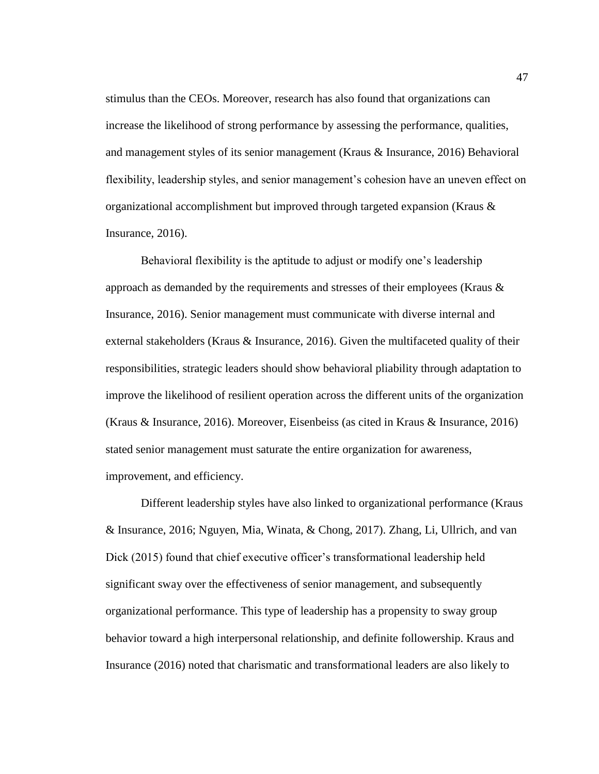stimulus than the CEOs. Moreover, research has also found that organizations can increase the likelihood of strong performance by assessing the performance, qualities, and management styles of its senior management (Kraus & Insurance, 2016) Behavioral flexibility, leadership styles, and senior management's cohesion have an uneven effect on organizational accomplishment but improved through targeted expansion (Kraus & Insurance, 2016).

Behavioral flexibility is the aptitude to adjust or modify one's leadership approach as demanded by the requirements and stresses of their employees (Kraus  $\&$ Insurance, 2016). Senior management must communicate with diverse internal and external stakeholders (Kraus & Insurance, 2016). Given the multifaceted quality of their responsibilities, strategic leaders should show behavioral pliability through adaptation to improve the likelihood of resilient operation across the different units of the organization (Kraus & Insurance, 2016). Moreover, Eisenbeiss (as cited in Kraus & Insurance, 2016) stated senior management must saturate the entire organization for awareness, improvement, and efficiency.

Different leadership styles have also linked to organizational performance (Kraus & Insurance, 2016; Nguyen, Mia, Winata, & Chong, 2017). Zhang, Li, Ullrich, and van Dick (2015) found that chief executive officer's transformational leadership held significant sway over the effectiveness of senior management, and subsequently organizational performance. This type of leadership has a propensity to sway group behavior toward a high interpersonal relationship, and definite followership. Kraus and Insurance (2016) noted that charismatic and transformational leaders are also likely to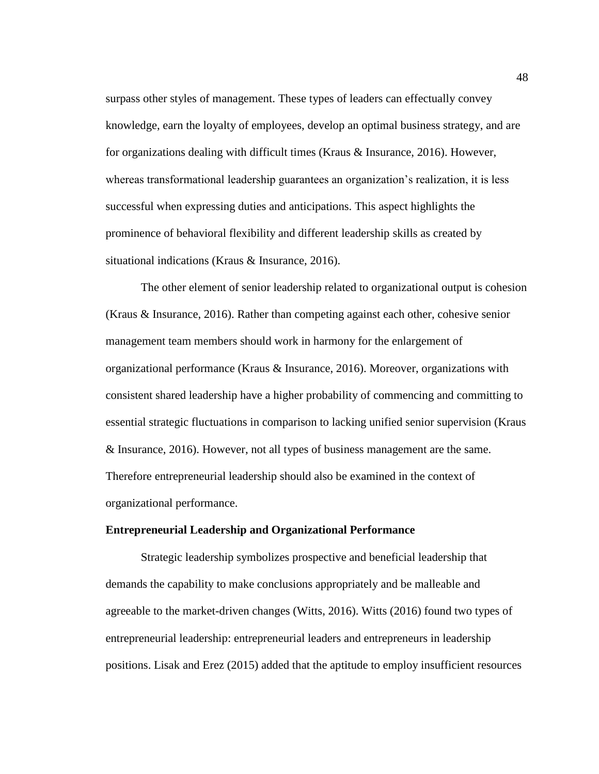surpass other styles of management. These types of leaders can effectually convey knowledge, earn the loyalty of employees, develop an optimal business strategy, and are for organizations dealing with difficult times (Kraus & Insurance, 2016). However, whereas transformational leadership guarantees an organization's realization, it is less successful when expressing duties and anticipations. This aspect highlights the prominence of behavioral flexibility and different leadership skills as created by situational indications (Kraus & Insurance, 2016).

The other element of senior leadership related to organizational output is cohesion (Kraus & Insurance, 2016). Rather than competing against each other, cohesive senior management team members should work in harmony for the enlargement of organizational performance (Kraus & Insurance, 2016). Moreover, organizations with consistent shared leadership have a higher probability of commencing and committing to essential strategic fluctuations in comparison to lacking unified senior supervision (Kraus & Insurance, 2016). However, not all types of business management are the same. Therefore entrepreneurial leadership should also be examined in the context of organizational performance.

# **Entrepreneurial Leadership and Organizational Performance**

Strategic leadership symbolizes prospective and beneficial leadership that demands the capability to make conclusions appropriately and be malleable and agreeable to the market-driven changes (Witts, 2016). Witts (2016) found two types of entrepreneurial leadership: entrepreneurial leaders and entrepreneurs in leadership positions. Lisak and Erez (2015) added that the aptitude to employ insufficient resources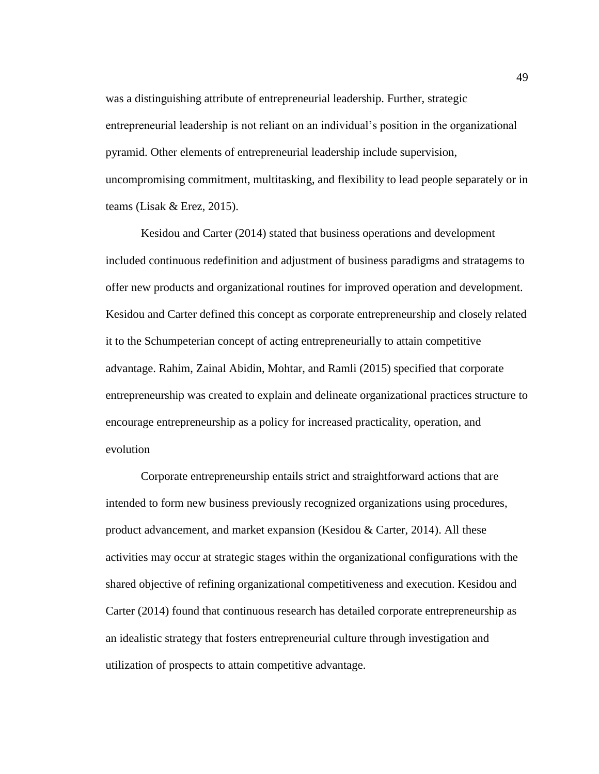was a distinguishing attribute of entrepreneurial leadership. Further, strategic entrepreneurial leadership is not reliant on an individual's position in the organizational pyramid. Other elements of entrepreneurial leadership include supervision, uncompromising commitment, multitasking, and flexibility to lead people separately or in teams (Lisak & Erez, 2015).

Kesidou and Carter (2014) stated that business operations and development included continuous redefinition and adjustment of business paradigms and stratagems to offer new products and organizational routines for improved operation and development. Kesidou and Carter defined this concept as corporate entrepreneurship and closely related it to the Schumpeterian concept of acting entrepreneurially to attain competitive advantage. Rahim, Zainal Abidin, Mohtar, and Ramli (2015) specified that corporate entrepreneurship was created to explain and delineate organizational practices structure to encourage entrepreneurship as a policy for increased practicality, operation, and evolution

Corporate entrepreneurship entails strict and straightforward actions that are intended to form new business previously recognized organizations using procedures, product advancement, and market expansion (Kesidou & Carter, 2014). All these activities may occur at strategic stages within the organizational configurations with the shared objective of refining organizational competitiveness and execution. Kesidou and Carter (2014) found that continuous research has detailed corporate entrepreneurship as an idealistic strategy that fosters entrepreneurial culture through investigation and utilization of prospects to attain competitive advantage.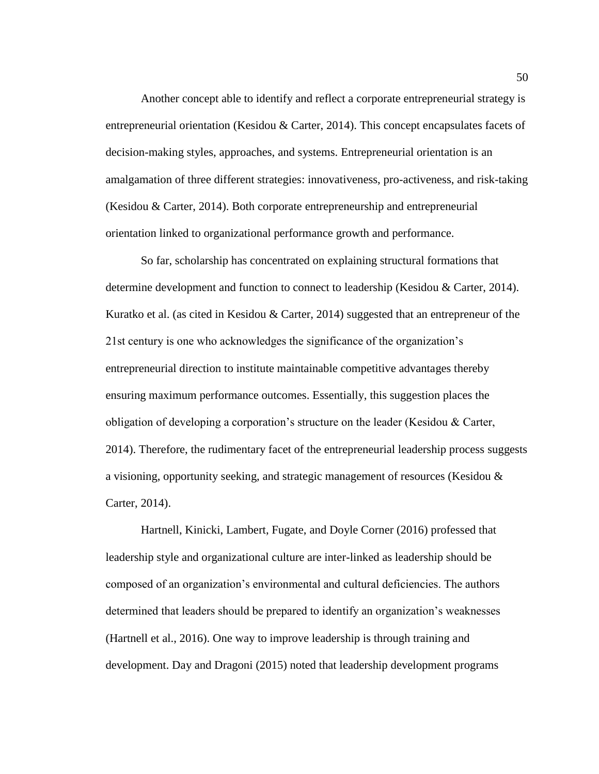Another concept able to identify and reflect a corporate entrepreneurial strategy is entrepreneurial orientation (Kesidou & Carter, 2014). This concept encapsulates facets of decision-making styles, approaches, and systems. Entrepreneurial orientation is an amalgamation of three different strategies: innovativeness, pro-activeness, and risk-taking (Kesidou & Carter, 2014). Both corporate entrepreneurship and entrepreneurial orientation linked to organizational performance growth and performance.

So far, scholarship has concentrated on explaining structural formations that determine development and function to connect to leadership (Kesidou & Carter, 2014). Kuratko et al. (as cited in Kesidou & Carter, 2014) suggested that an entrepreneur of the 21st century is one who acknowledges the significance of the organization's entrepreneurial direction to institute maintainable competitive advantages thereby ensuring maximum performance outcomes. Essentially, this suggestion places the obligation of developing a corporation's structure on the leader (Kesidou & Carter, 2014). Therefore, the rudimentary facet of the entrepreneurial leadership process suggests a visioning, opportunity seeking, and strategic management of resources (Kesidou & Carter, 2014).

Hartnell, Kinicki, Lambert, Fugate, and Doyle Corner (2016) professed that leadership style and organizational culture are inter-linked as leadership should be composed of an organization's environmental and cultural deficiencies. The authors determined that leaders should be prepared to identify an organization's weaknesses (Hartnell et al., 2016). One way to improve leadership is through training and development. Day and Dragoni (2015) noted that leadership development programs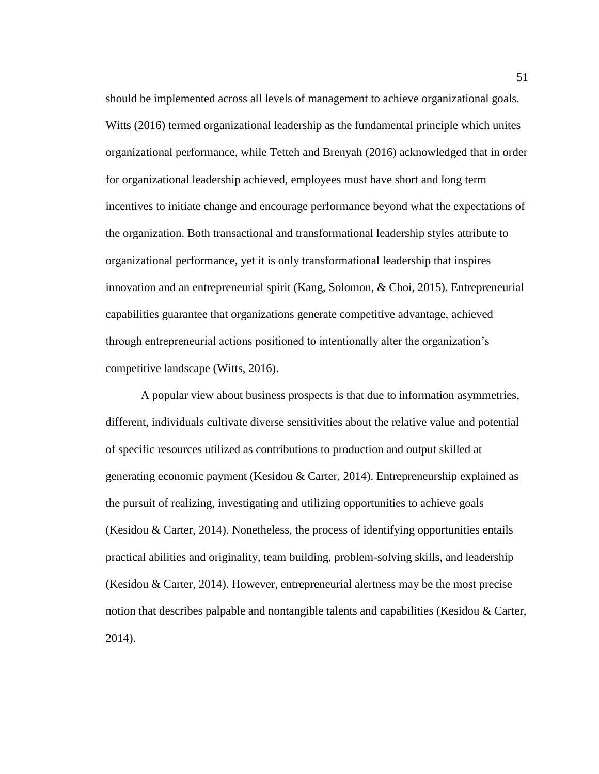should be implemented across all levels of management to achieve organizational goals. Witts (2016) termed organizational leadership as the fundamental principle which unites organizational performance, while Tetteh and Brenyah (2016) acknowledged that in order for organizational leadership achieved, employees must have short and long term incentives to initiate change and encourage performance beyond what the expectations of the organization. Both transactional and transformational leadership styles attribute to organizational performance, yet it is only transformational leadership that inspires innovation and an entrepreneurial spirit (Kang, Solomon, & Choi, 2015). Entrepreneurial capabilities guarantee that organizations generate competitive advantage, achieved through entrepreneurial actions positioned to intentionally alter the organization's competitive landscape (Witts, 2016).

A popular view about business prospects is that due to information asymmetries, different, individuals cultivate diverse sensitivities about the relative value and potential of specific resources utilized as contributions to production and output skilled at generating economic payment (Kesidou & Carter, 2014). Entrepreneurship explained as the pursuit of realizing, investigating and utilizing opportunities to achieve goals (Kesidou & Carter, 2014). Nonetheless, the process of identifying opportunities entails practical abilities and originality, team building, problem-solving skills, and leadership (Kesidou & Carter, 2014). However, entrepreneurial alertness may be the most precise notion that describes palpable and nontangible talents and capabilities (Kesidou & Carter, 2014).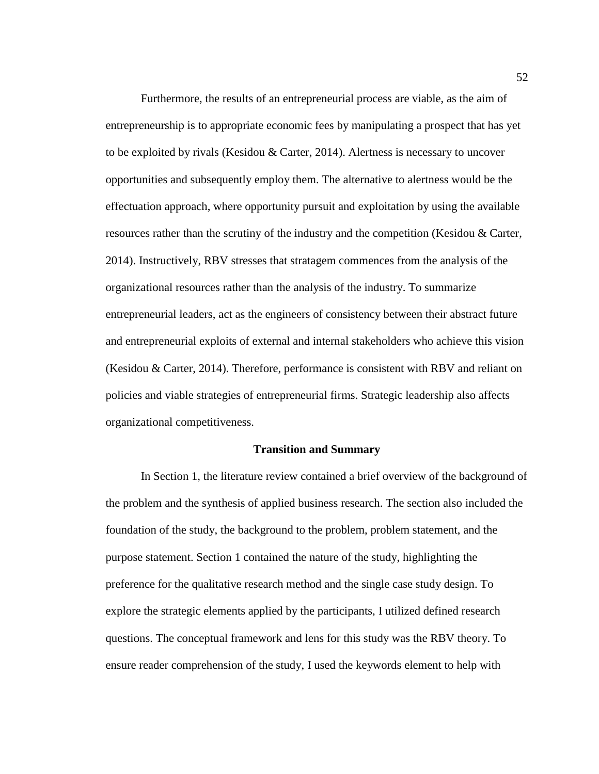Furthermore, the results of an entrepreneurial process are viable, as the aim of entrepreneurship is to appropriate economic fees by manipulating a prospect that has yet to be exploited by rivals (Kesidou & Carter, 2014). Alertness is necessary to uncover opportunities and subsequently employ them. The alternative to alertness would be the effectuation approach, where opportunity pursuit and exploitation by using the available resources rather than the scrutiny of the industry and the competition (Kesidou & Carter, 2014). Instructively, RBV stresses that stratagem commences from the analysis of the organizational resources rather than the analysis of the industry. To summarize entrepreneurial leaders, act as the engineers of consistency between their abstract future and entrepreneurial exploits of external and internal stakeholders who achieve this vision (Kesidou & Carter, 2014). Therefore, performance is consistent with RBV and reliant on policies and viable strategies of entrepreneurial firms. Strategic leadership also affects organizational competitiveness.

#### **Transition and Summary**

In Section 1, the literature review contained a brief overview of the background of the problem and the synthesis of applied business research. The section also included the foundation of the study, the background to the problem, problem statement, and the purpose statement. Section 1 contained the nature of the study, highlighting the preference for the qualitative research method and the single case study design. To explore the strategic elements applied by the participants, I utilized defined research questions. The conceptual framework and lens for this study was the RBV theory. To ensure reader comprehension of the study, I used the keywords element to help with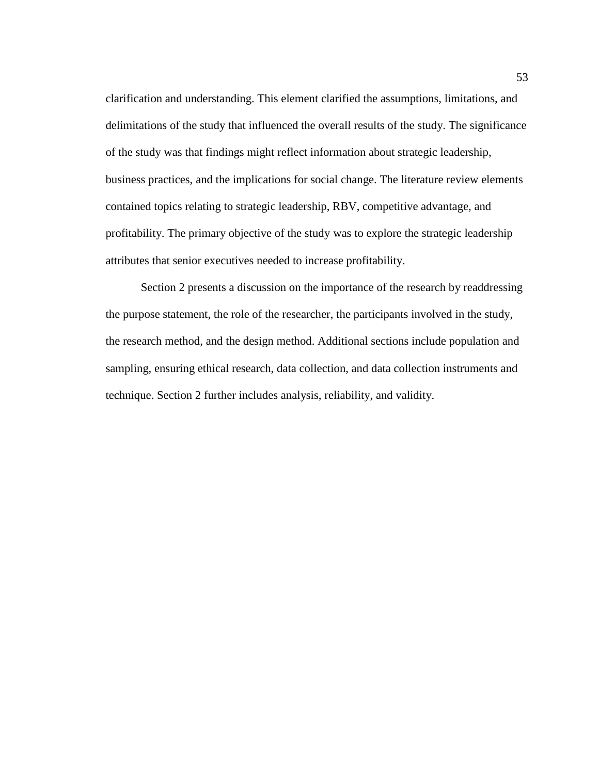clarification and understanding. This element clarified the assumptions, limitations, and delimitations of the study that influenced the overall results of the study. The significance of the study was that findings might reflect information about strategic leadership, business practices, and the implications for social change. The literature review elements contained topics relating to strategic leadership, RBV, competitive advantage, and profitability. The primary objective of the study was to explore the strategic leadership attributes that senior executives needed to increase profitability.

Section 2 presents a discussion on the importance of the research by readdressing the purpose statement, the role of the researcher, the participants involved in the study, the research method, and the design method. Additional sections include population and sampling, ensuring ethical research, data collection, and data collection instruments and technique. Section 2 further includes analysis, reliability, and validity.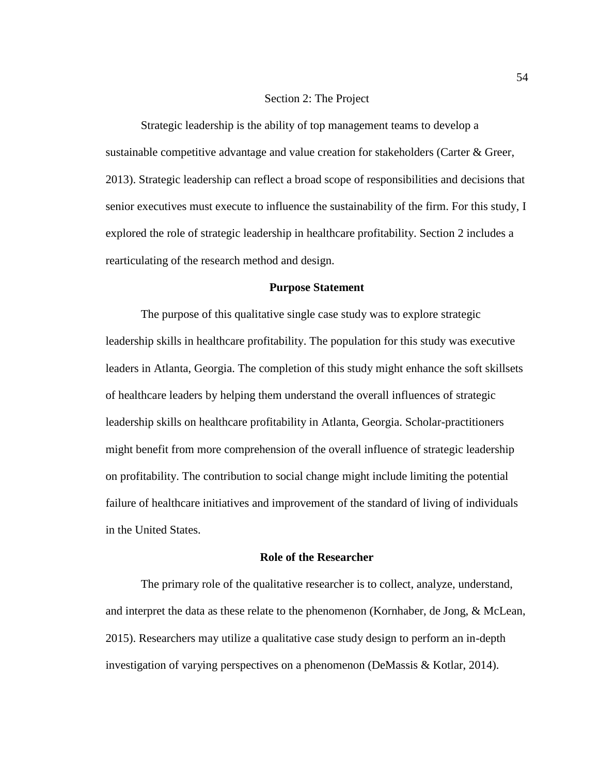# Section 2: The Project

Strategic leadership is the ability of top management teams to develop a sustainable competitive advantage and value creation for stakeholders (Carter & Greer, 2013). Strategic leadership can reflect a broad scope of responsibilities and decisions that senior executives must execute to influence the sustainability of the firm. For this study, I explored the role of strategic leadership in healthcare profitability. Section 2 includes a rearticulating of the research method and design.

# **Purpose Statement**

The purpose of this qualitative single case study was to explore strategic leadership skills in healthcare profitability. The population for this study was executive leaders in Atlanta, Georgia. The completion of this study might enhance the soft skillsets of healthcare leaders by helping them understand the overall influences of strategic leadership skills on healthcare profitability in Atlanta, Georgia. Scholar-practitioners might benefit from more comprehension of the overall influence of strategic leadership on profitability. The contribution to social change might include limiting the potential failure of healthcare initiatives and improvement of the standard of living of individuals in the United States.

#### **Role of the Researcher**

The primary role of the qualitative researcher is to collect, analyze, understand, and interpret the data as these relate to the phenomenon (Kornhaber, de Jong, & McLean, 2015). Researchers may utilize a qualitative case study design to perform an in-depth investigation of varying perspectives on a phenomenon (DeMassis & Kotlar, 2014).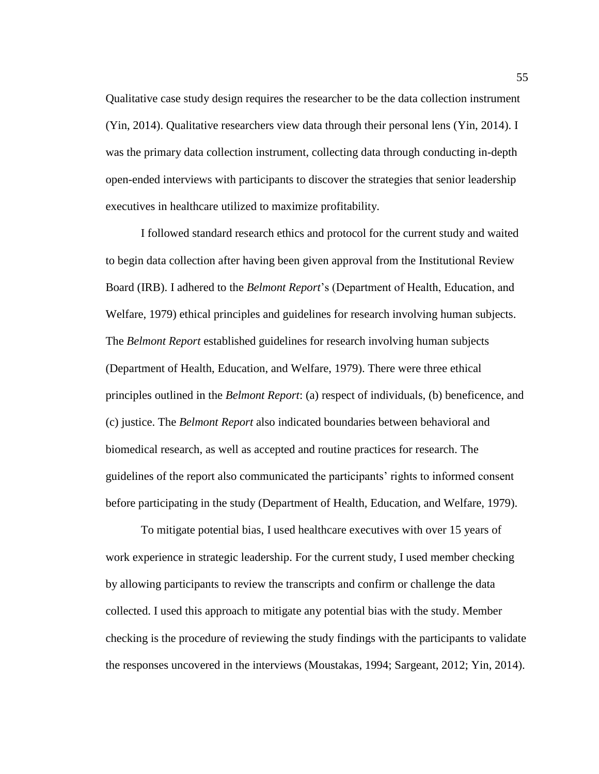Qualitative case study design requires the researcher to be the data collection instrument (Yin, 2014). Qualitative researchers view data through their personal lens (Yin, 2014). I was the primary data collection instrument, collecting data through conducting in-depth open-ended interviews with participants to discover the strategies that senior leadership executives in healthcare utilized to maximize profitability.

I followed standard research ethics and protocol for the current study and waited to begin data collection after having been given approval from the Institutional Review Board (IRB). I adhered to the *Belmont Report*'s (Department of Health, Education, and Welfare, 1979) ethical principles and guidelines for research involving human subjects. The *Belmont Report* established guidelines for research involving human subjects (Department of Health, Education, and Welfare, 1979). There were three ethical principles outlined in the *Belmont Report*: (a) respect of individuals, (b) beneficence, and (c) justice. The *Belmont Report* also indicated boundaries between behavioral and biomedical research, as well as accepted and routine practices for research. The guidelines of the report also communicated the participants' rights to informed consent before participating in the study (Department of Health, Education, and Welfare, 1979).

To mitigate potential bias, I used healthcare executives with over 15 years of work experience in strategic leadership. For the current study, I used member checking by allowing participants to review the transcripts and confirm or challenge the data collected. I used this approach to mitigate any potential bias with the study. Member checking is the procedure of reviewing the study findings with the participants to validate the responses uncovered in the interviews (Moustakas, 1994; Sargeant, 2012; Yin, 2014).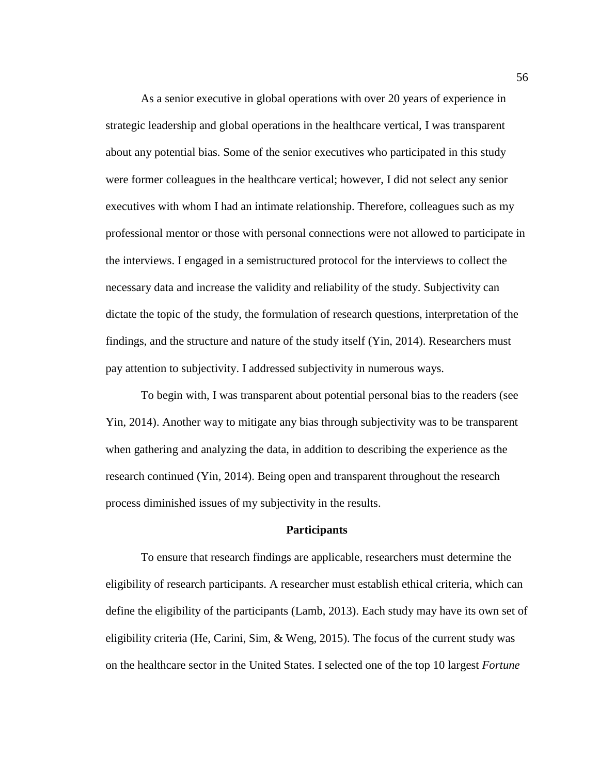As a senior executive in global operations with over 20 years of experience in strategic leadership and global operations in the healthcare vertical, I was transparent about any potential bias. Some of the senior executives who participated in this study were former colleagues in the healthcare vertical; however, I did not select any senior executives with whom I had an intimate relationship. Therefore, colleagues such as my professional mentor or those with personal connections were not allowed to participate in the interviews. I engaged in a semistructured protocol for the interviews to collect the necessary data and increase the validity and reliability of the study. Subjectivity can dictate the topic of the study, the formulation of research questions, interpretation of the findings, and the structure and nature of the study itself (Yin, 2014). Researchers must pay attention to subjectivity. I addressed subjectivity in numerous ways.

To begin with, I was transparent about potential personal bias to the readers (see Yin, 2014). Another way to mitigate any bias through subjectivity was to be transparent when gathering and analyzing the data, in addition to describing the experience as the research continued (Yin, 2014). Being open and transparent throughout the research process diminished issues of my subjectivity in the results.

#### **Participants**

To ensure that research findings are applicable, researchers must determine the eligibility of research participants. A researcher must establish ethical criteria, which can define the eligibility of the participants (Lamb, 2013). Each study may have its own set of eligibility criteria (He, Carini, Sim, & Weng, 2015). The focus of the current study was on the healthcare sector in the United States. I selected one of the top 10 largest *Fortune*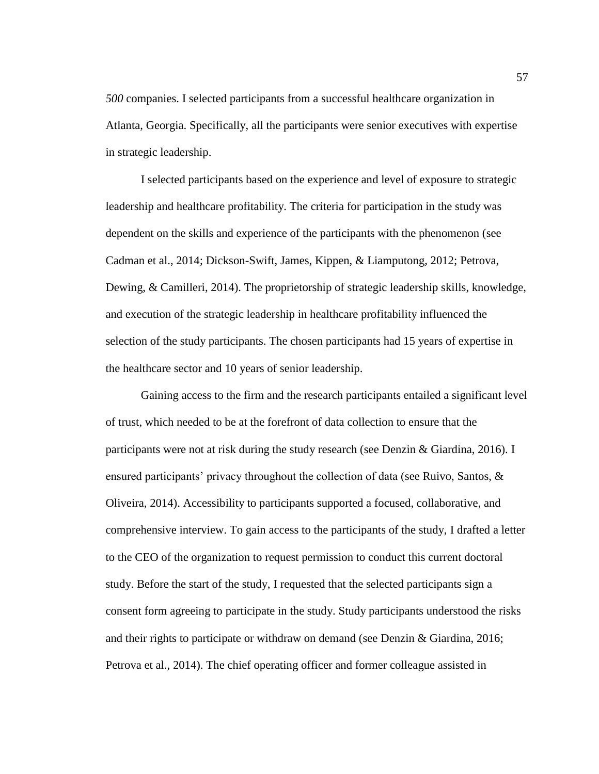*500* companies. I selected participants from a successful healthcare organization in Atlanta, Georgia. Specifically, all the participants were senior executives with expertise in strategic leadership.

I selected participants based on the experience and level of exposure to strategic leadership and healthcare profitability. The criteria for participation in the study was dependent on the skills and experience of the participants with the phenomenon (see Cadman et al., 2014; Dickson-Swift, James, Kippen, & Liamputong, 2012; Petrova, Dewing, & Camilleri, 2014). The proprietorship of strategic leadership skills, knowledge, and execution of the strategic leadership in healthcare profitability influenced the selection of the study participants. The chosen participants had 15 years of expertise in the healthcare sector and 10 years of senior leadership.

Gaining access to the firm and the research participants entailed a significant level of trust, which needed to be at the forefront of data collection to ensure that the participants were not at risk during the study research (see Denzin & Giardina, 2016). I ensured participants' privacy throughout the collection of data (see Ruivo, Santos,  $\&$ Oliveira, 2014). Accessibility to participants supported a focused, collaborative, and comprehensive interview. To gain access to the participants of the study, I drafted a letter to the CEO of the organization to request permission to conduct this current doctoral study. Before the start of the study, I requested that the selected participants sign a consent form agreeing to participate in the study. Study participants understood the risks and their rights to participate or withdraw on demand (see Denzin & Giardina, 2016; Petrova et al., 2014). The chief operating officer and former colleague assisted in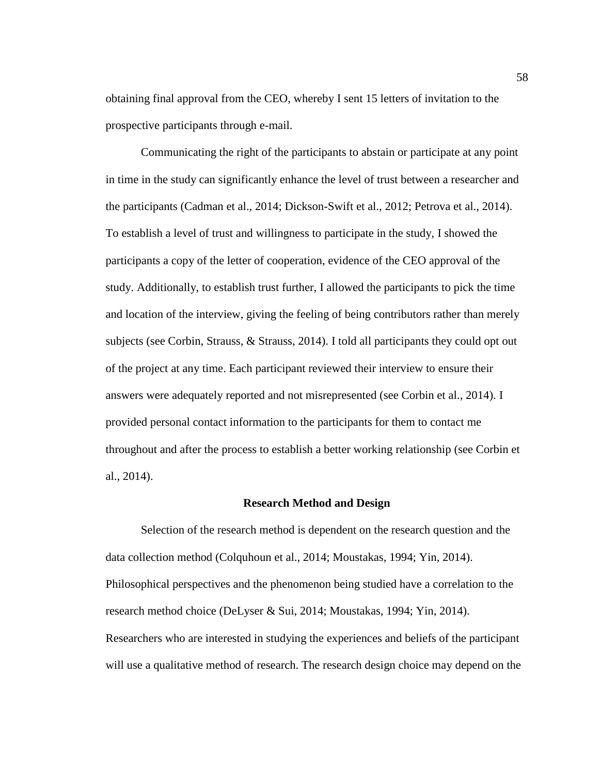obtaining final approval from the CEO, whereby I sent 15 letters of invitation to the prospective participants through e-mail.

Communicating the right of the participants to abstain or participate at any point in time in the study can significantly enhance the level of trust between a researcher and the participants (Cadman et al., 2014; Dickson-Swift et al., 2012; Petrova et al., 2014). To establish a level of trust and willingness to participate in the study, I showed the participants a copy of the letter of cooperation, evidence of the CEO approval of the study. Additionally, to establish trust further, I allowed the participants to pick the time and location of the interview, giving the feeling of being contributors rather than merely subjects (see Corbin, Strauss, & Strauss, 2014). I told all participants they could opt out of the project at any time. Each participant reviewed their interview to ensure their answers were adequately reported and not misrepresented (see Corbin et al., 2014). I provided personal contact information to the participants for them to contact me throughout and after the process to establish a better working relationship (see Corbin et al., 2014).

#### **Research Method and Design**

Selection of the research method is dependent on the research question and the data collection method (Colquhoun et al., 2014; Moustakas, 1994; Yin, 2014). Philosophical perspectives and the phenomenon being studied have a correlation to the research method choice (DeLyser & Sui, 2014; Moustakas, 1994; Yin, 2014). Researchers who are interested in studying the experiences and beliefs of the participant will use a qualitative method of research. The research design choice may depend on the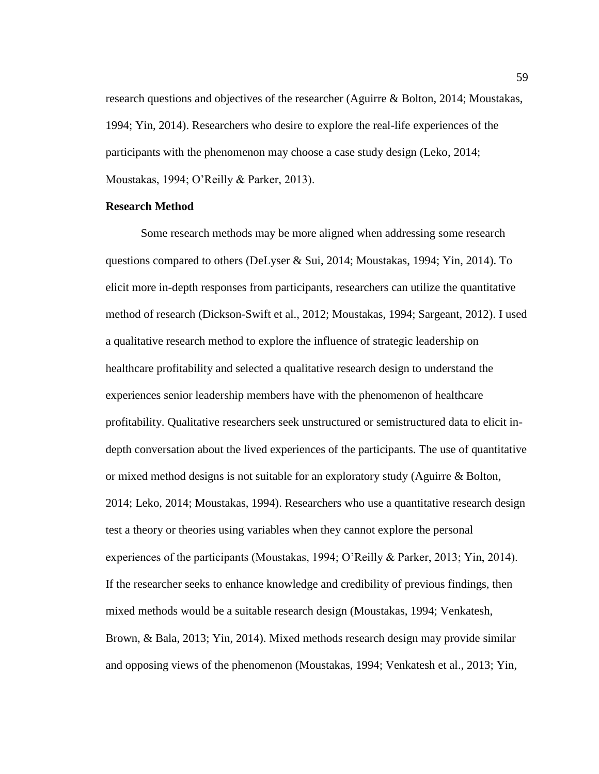research questions and objectives of the researcher (Aguirre & Bolton, 2014; Moustakas, 1994; Yin, 2014). Researchers who desire to explore the real-life experiences of the participants with the phenomenon may choose a case study design (Leko, 2014; Moustakas, 1994; O'Reilly & Parker, 2013).

# **Research Method**

Some research methods may be more aligned when addressing some research questions compared to others (DeLyser & Sui, 2014; Moustakas, 1994; Yin, 2014). To elicit more in-depth responses from participants, researchers can utilize the quantitative method of research (Dickson-Swift et al., 2012; Moustakas, 1994; Sargeant, 2012). I used a qualitative research method to explore the influence of strategic leadership on healthcare profitability and selected a qualitative research design to understand the experiences senior leadership members have with the phenomenon of healthcare profitability. Qualitative researchers seek unstructured or semistructured data to elicit indepth conversation about the lived experiences of the participants. The use of quantitative or mixed method designs is not suitable for an exploratory study (Aguirre & Bolton, 2014; Leko, 2014; Moustakas, 1994). Researchers who use a quantitative research design test a theory or theories using variables when they cannot explore the personal experiences of the participants (Moustakas, 1994; O'Reilly & Parker, 2013; Yin, 2014). If the researcher seeks to enhance knowledge and credibility of previous findings, then mixed methods would be a suitable research design (Moustakas, 1994; Venkatesh, Brown, & Bala, 2013; Yin, 2014). Mixed methods research design may provide similar and opposing views of the phenomenon (Moustakas, 1994; Venkatesh et al., 2013; Yin,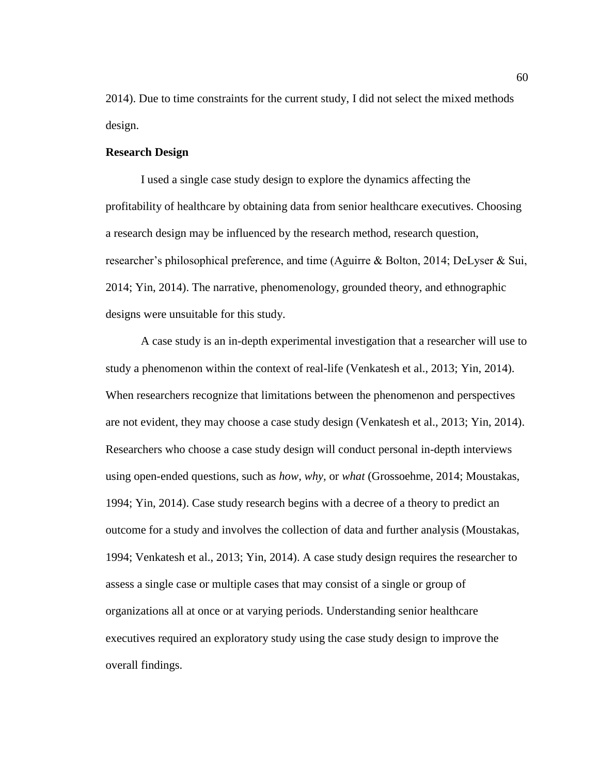2014). Due to time constraints for the current study, I did not select the mixed methods design.

# **Research Design**

I used a single case study design to explore the dynamics affecting the profitability of healthcare by obtaining data from senior healthcare executives. Choosing a research design may be influenced by the research method, research question, researcher's philosophical preference, and time (Aguirre & Bolton, 2014; DeLyser & Sui, 2014; Yin, 2014). The narrative, phenomenology, grounded theory, and ethnographic designs were unsuitable for this study.

A case study is an in-depth experimental investigation that a researcher will use to study a phenomenon within the context of real-life (Venkatesh et al., 2013; Yin, 2014). When researchers recognize that limitations between the phenomenon and perspectives are not evident, they may choose a case study design (Venkatesh et al., 2013; Yin, 2014). Researchers who choose a case study design will conduct personal in-depth interviews using open-ended questions, such as *how, why,* or *what* (Grossoehme, 2014; Moustakas, 1994; Yin, 2014). Case study research begins with a decree of a theory to predict an outcome for a study and involves the collection of data and further analysis (Moustakas, 1994; Venkatesh et al., 2013; Yin, 2014). A case study design requires the researcher to assess a single case or multiple cases that may consist of a single or group of organizations all at once or at varying periods. Understanding senior healthcare executives required an exploratory study using the case study design to improve the overall findings.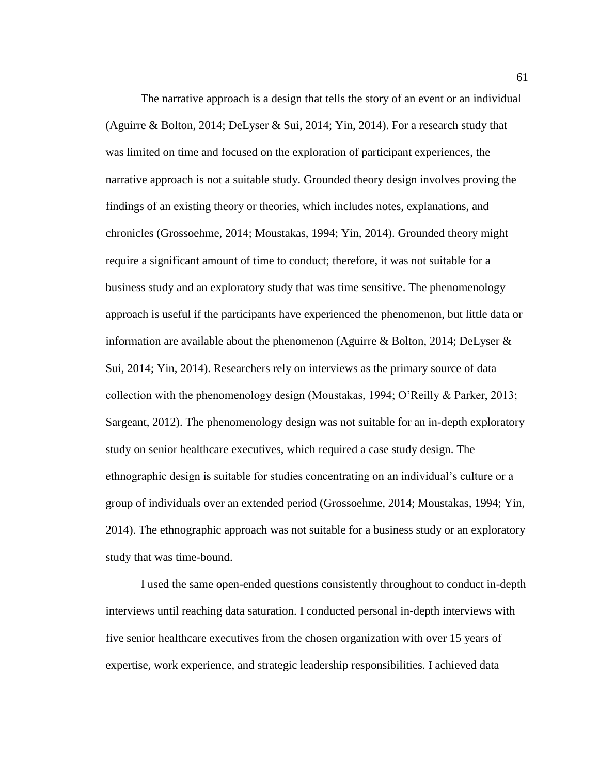The narrative approach is a design that tells the story of an event or an individual (Aguirre & Bolton, 2014; DeLyser & Sui, 2014; Yin, 2014). For a research study that was limited on time and focused on the exploration of participant experiences, the narrative approach is not a suitable study. Grounded theory design involves proving the findings of an existing theory or theories, which includes notes, explanations, and chronicles (Grossoehme, 2014; Moustakas, 1994; Yin, 2014). Grounded theory might require a significant amount of time to conduct; therefore, it was not suitable for a business study and an exploratory study that was time sensitive. The phenomenology approach is useful if the participants have experienced the phenomenon, but little data or information are available about the phenomenon (Aguirre & Bolton, 2014; DeLyser & Sui, 2014; Yin, 2014). Researchers rely on interviews as the primary source of data collection with the phenomenology design (Moustakas, 1994; O'Reilly & Parker, 2013; Sargeant, 2012). The phenomenology design was not suitable for an in-depth exploratory study on senior healthcare executives, which required a case study design. The ethnographic design is suitable for studies concentrating on an individual's culture or a group of individuals over an extended period (Grossoehme, 2014; Moustakas, 1994; Yin, 2014). The ethnographic approach was not suitable for a business study or an exploratory study that was time-bound.

I used the same open-ended questions consistently throughout to conduct in-depth interviews until reaching data saturation. I conducted personal in-depth interviews with five senior healthcare executives from the chosen organization with over 15 years of expertise, work experience, and strategic leadership responsibilities. I achieved data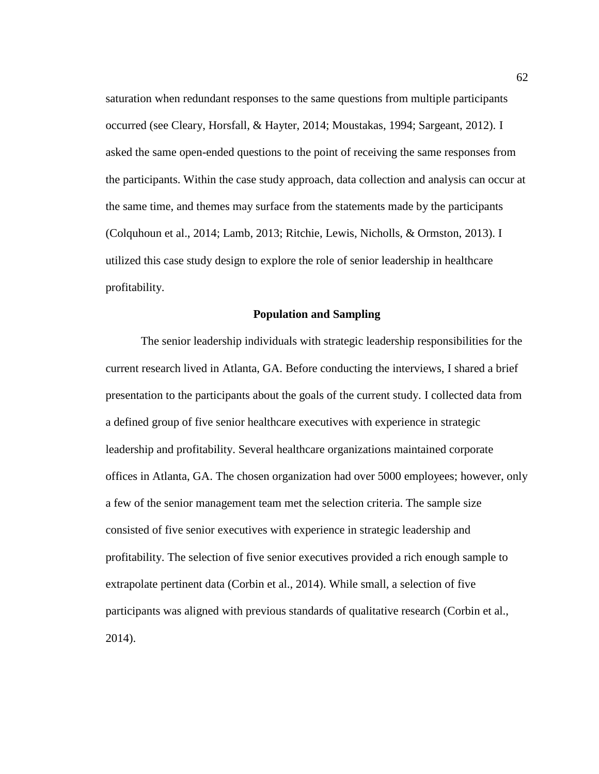saturation when redundant responses to the same questions from multiple participants occurred (see Cleary, Horsfall, & Hayter, 2014; Moustakas, 1994; Sargeant, 2012). I asked the same open-ended questions to the point of receiving the same responses from the participants. Within the case study approach, data collection and analysis can occur at the same time, and themes may surface from the statements made by the participants (Colquhoun et al., 2014; Lamb, 2013; Ritchie, Lewis, Nicholls, & Ormston, 2013). I utilized this case study design to explore the role of senior leadership in healthcare profitability.

#### **Population and Sampling**

The senior leadership individuals with strategic leadership responsibilities for the current research lived in Atlanta, GA. Before conducting the interviews, I shared a brief presentation to the participants about the goals of the current study. I collected data from a defined group of five senior healthcare executives with experience in strategic leadership and profitability. Several healthcare organizations maintained corporate offices in Atlanta, GA. The chosen organization had over 5000 employees; however, only a few of the senior management team met the selection criteria. The sample size consisted of five senior executives with experience in strategic leadership and profitability. The selection of five senior executives provided a rich enough sample to extrapolate pertinent data (Corbin et al., 2014). While small, a selection of five participants was aligned with previous standards of qualitative research (Corbin et al., 2014).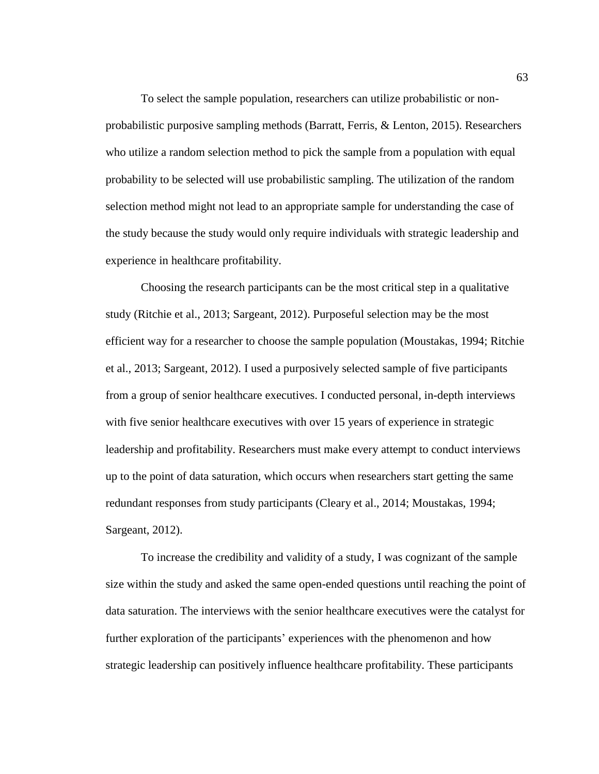To select the sample population, researchers can utilize probabilistic or nonprobabilistic purposive sampling methods (Barratt, Ferris, & Lenton, 2015). Researchers who utilize a random selection method to pick the sample from a population with equal probability to be selected will use probabilistic sampling. The utilization of the random selection method might not lead to an appropriate sample for understanding the case of the study because the study would only require individuals with strategic leadership and experience in healthcare profitability.

Choosing the research participants can be the most critical step in a qualitative study (Ritchie et al., 2013; Sargeant, 2012). Purposeful selection may be the most efficient way for a researcher to choose the sample population (Moustakas, 1994; Ritchie et al., 2013; Sargeant, 2012). I used a purposively selected sample of five participants from a group of senior healthcare executives. I conducted personal, in-depth interviews with five senior healthcare executives with over 15 years of experience in strategic leadership and profitability. Researchers must make every attempt to conduct interviews up to the point of data saturation, which occurs when researchers start getting the same redundant responses from study participants (Cleary et al., 2014; Moustakas, 1994; Sargeant, 2012).

To increase the credibility and validity of a study, I was cognizant of the sample size within the study and asked the same open-ended questions until reaching the point of data saturation. The interviews with the senior healthcare executives were the catalyst for further exploration of the participants' experiences with the phenomenon and how strategic leadership can positively influence healthcare profitability. These participants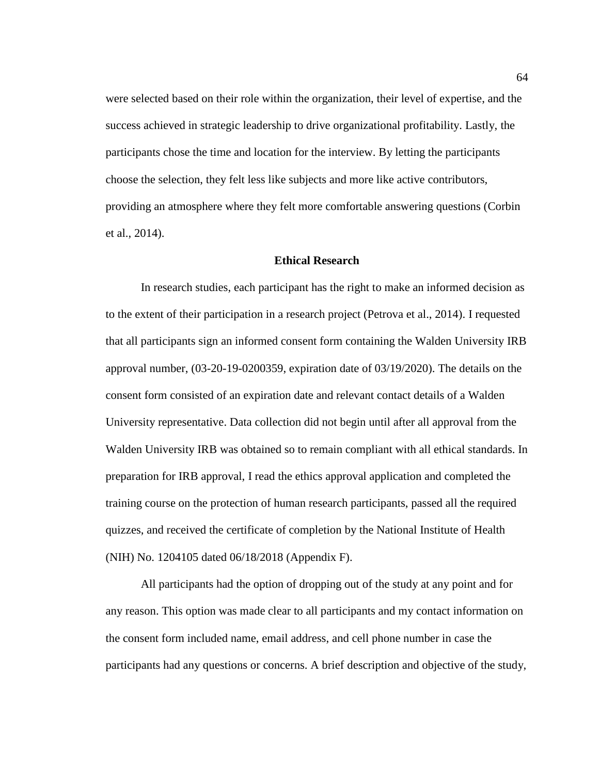were selected based on their role within the organization, their level of expertise, and the success achieved in strategic leadership to drive organizational profitability. Lastly, the participants chose the time and location for the interview. By letting the participants choose the selection, they felt less like subjects and more like active contributors, providing an atmosphere where they felt more comfortable answering questions (Corbin et al., 2014).

### **Ethical Research**

In research studies, each participant has the right to make an informed decision as to the extent of their participation in a research project (Petrova et al., 2014). I requested that all participants sign an informed consent form containing the Walden University IRB approval number, (03-20-19-0200359, expiration date of 03/19/2020). The details on the consent form consisted of an expiration date and relevant contact details of a Walden University representative. Data collection did not begin until after all approval from the Walden University IRB was obtained so to remain compliant with all ethical standards. In preparation for IRB approval, I read the ethics approval application and completed the training course on the protection of human research participants, passed all the required quizzes, and received the certificate of completion by the National Institute of Health (NIH) No. 1204105 dated 06/18/2018 (Appendix F).

All participants had the option of dropping out of the study at any point and for any reason. This option was made clear to all participants and my contact information on the consent form included name, email address, and cell phone number in case the participants had any questions or concerns. A brief description and objective of the study,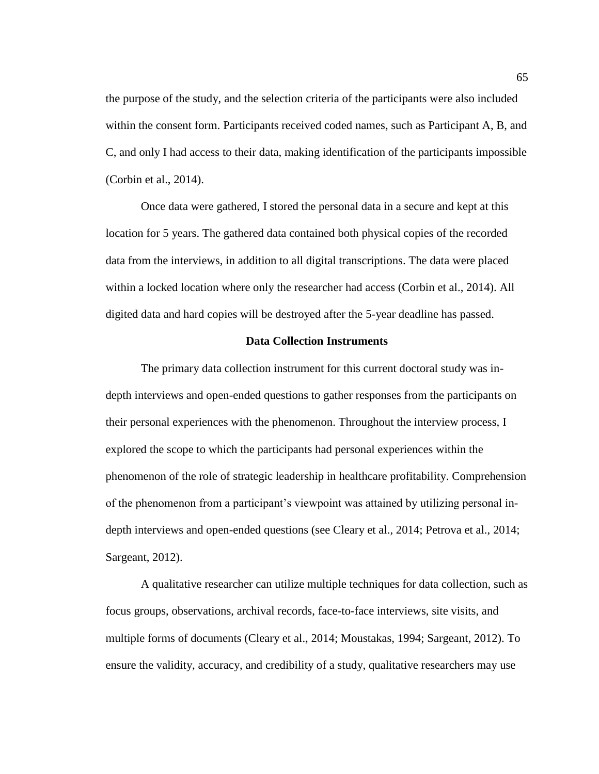the purpose of the study, and the selection criteria of the participants were also included within the consent form. Participants received coded names, such as Participant A, B, and C, and only I had access to their data, making identification of the participants impossible (Corbin et al., 2014).

Once data were gathered, I stored the personal data in a secure and kept at this location for 5 years. The gathered data contained both physical copies of the recorded data from the interviews, in addition to all digital transcriptions. The data were placed within a locked location where only the researcher had access (Corbin et al., 2014). All digited data and hard copies will be destroyed after the 5-year deadline has passed.

### **Data Collection Instruments**

The primary data collection instrument for this current doctoral study was indepth interviews and open-ended questions to gather responses from the participants on their personal experiences with the phenomenon. Throughout the interview process, I explored the scope to which the participants had personal experiences within the phenomenon of the role of strategic leadership in healthcare profitability. Comprehension of the phenomenon from a participant's viewpoint was attained by utilizing personal indepth interviews and open-ended questions (see Cleary et al., 2014; Petrova et al., 2014; Sargeant, 2012).

A qualitative researcher can utilize multiple techniques for data collection, such as focus groups, observations, archival records, face-to-face interviews, site visits, and multiple forms of documents (Cleary et al., 2014; Moustakas, 1994; Sargeant, 2012). To ensure the validity, accuracy, and credibility of a study, qualitative researchers may use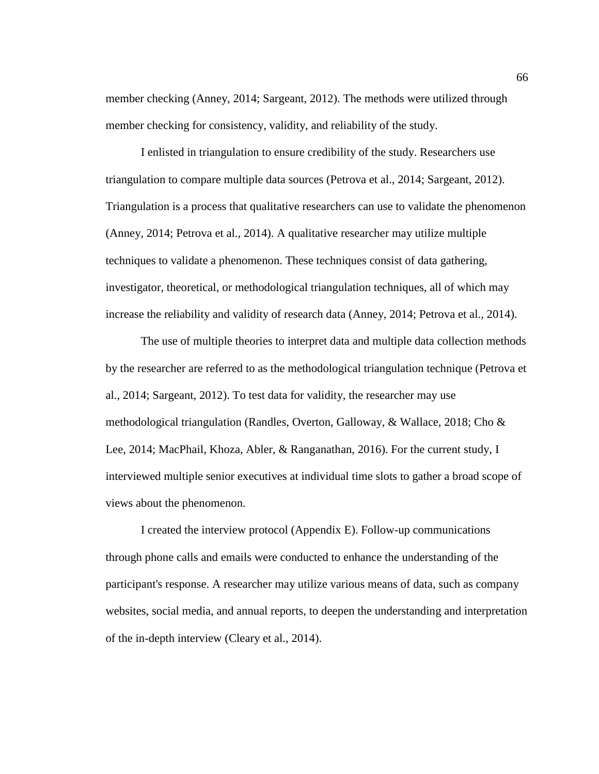member checking (Anney, 2014; Sargeant, 2012). The methods were utilized through member checking for consistency, validity, and reliability of the study.

I enlisted in triangulation to ensure credibility of the study. Researchers use triangulation to compare multiple data sources (Petrova et al., 2014; Sargeant, 2012). Triangulation is a process that qualitative researchers can use to validate the phenomenon (Anney, 2014; Petrova et al., 2014). A qualitative researcher may utilize multiple techniques to validate a phenomenon. These techniques consist of data gathering, investigator, theoretical, or methodological triangulation techniques, all of which may increase the reliability and validity of research data (Anney, 2014; Petrova et al., 2014).

The use of multiple theories to interpret data and multiple data collection methods by the researcher are referred to as the methodological triangulation technique (Petrova et al., 2014; Sargeant, 2012). To test data for validity, the researcher may use methodological triangulation (Randles, Overton, Galloway, & Wallace, 2018; Cho & Lee, 2014; MacPhail, Khoza, Abler, & Ranganathan, 2016). For the current study, I interviewed multiple senior executives at individual time slots to gather a broad scope of views about the phenomenon.

I created the interview protocol (Appendix E). Follow-up communications through phone calls and emails were conducted to enhance the understanding of the participant's response. A researcher may utilize various means of data, such as company websites, social media, and annual reports, to deepen the understanding and interpretation of the in-depth interview (Cleary et al., 2014).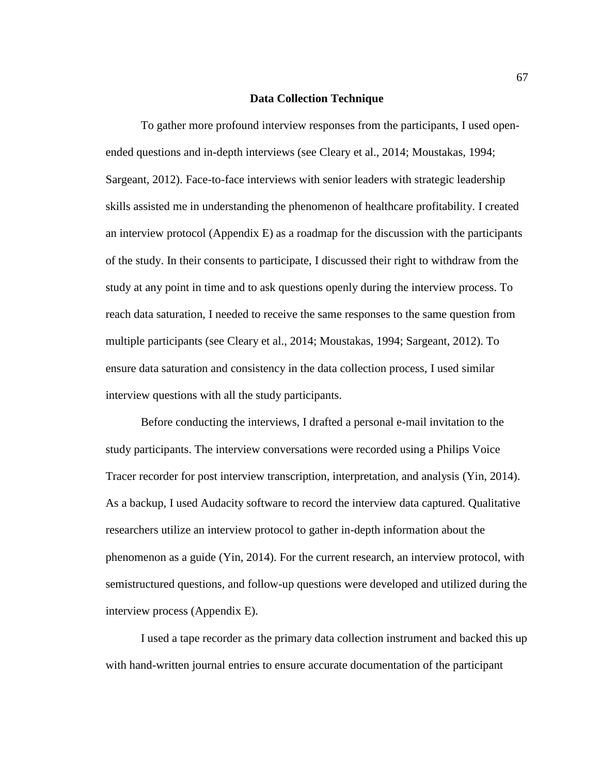#### **Data Collection Technique**

To gather more profound interview responses from the participants, I used openended questions and in-depth interviews (see Cleary et al., 2014; Moustakas, 1994; Sargeant, 2012). Face-to-face interviews with senior leaders with strategic leadership skills assisted me in understanding the phenomenon of healthcare profitability. I created an interview protocol (Appendix E) as a roadmap for the discussion with the participants of the study. In their consents to participate, I discussed their right to withdraw from the study at any point in time and to ask questions openly during the interview process. To reach data saturation, I needed to receive the same responses to the same question from multiple participants (see Cleary et al., 2014; Moustakas, 1994; Sargeant, 2012). To ensure data saturation and consistency in the data collection process, I used similar interview questions with all the study participants.

Before conducting the interviews, I drafted a personal e-mail invitation to the study participants. The interview conversations were recorded using a Philips Voice Tracer recorder for post interview transcription, interpretation, and analysis (Yin, 2014). As a backup, I used Audacity software to record the interview data captured. Qualitative researchers utilize an interview protocol to gather in-depth information about the phenomenon as a guide (Yin, 2014). For the current research, an interview protocol, with semistructured questions, and follow-up questions were developed and utilized during the interview process (Appendix E).

I used a tape recorder as the primary data collection instrument and backed this up with hand-written journal entries to ensure accurate documentation of the participant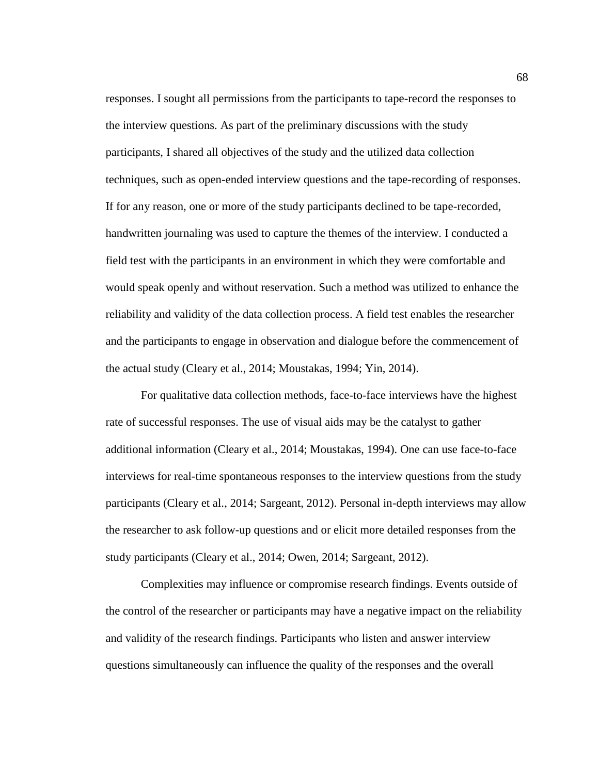responses. I sought all permissions from the participants to tape-record the responses to the interview questions. As part of the preliminary discussions with the study participants, I shared all objectives of the study and the utilized data collection techniques, such as open-ended interview questions and the tape-recording of responses. If for any reason, one or more of the study participants declined to be tape-recorded, handwritten journaling was used to capture the themes of the interview. I conducted a field test with the participants in an environment in which they were comfortable and would speak openly and without reservation. Such a method was utilized to enhance the reliability and validity of the data collection process. A field test enables the researcher and the participants to engage in observation and dialogue before the commencement of the actual study (Cleary et al., 2014; Moustakas, 1994; Yin, 2014).

For qualitative data collection methods, face-to-face interviews have the highest rate of successful responses. The use of visual aids may be the catalyst to gather additional information (Cleary et al., 2014; Moustakas, 1994). One can use face-to-face interviews for real-time spontaneous responses to the interview questions from the study participants (Cleary et al., 2014; Sargeant, 2012). Personal in-depth interviews may allow the researcher to ask follow-up questions and or elicit more detailed responses from the study participants (Cleary et al., 2014; Owen, 2014; Sargeant, 2012).

Complexities may influence or compromise research findings. Events outside of the control of the researcher or participants may have a negative impact on the reliability and validity of the research findings. Participants who listen and answer interview questions simultaneously can influence the quality of the responses and the overall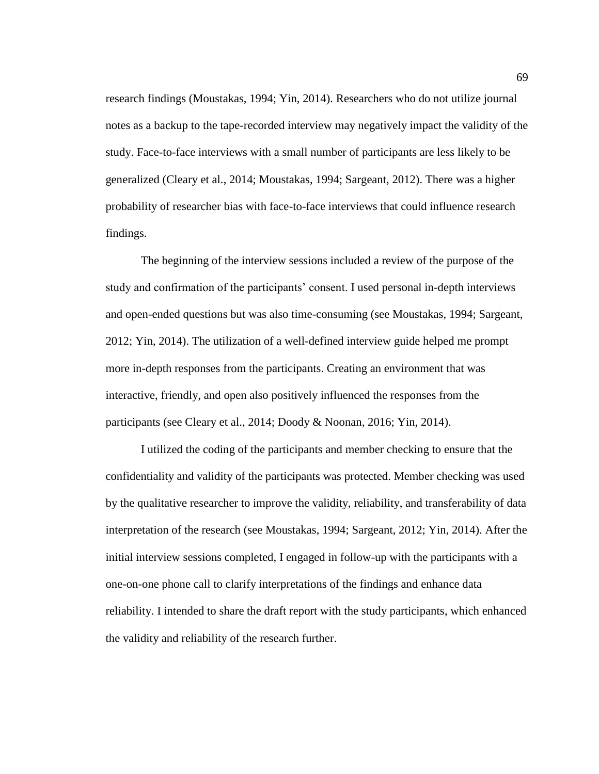research findings (Moustakas, 1994; Yin, 2014). Researchers who do not utilize journal notes as a backup to the tape-recorded interview may negatively impact the validity of the study. Face-to-face interviews with a small number of participants are less likely to be generalized (Cleary et al., 2014; Moustakas, 1994; Sargeant, 2012). There was a higher probability of researcher bias with face-to-face interviews that could influence research findings.

The beginning of the interview sessions included a review of the purpose of the study and confirmation of the participants' consent. I used personal in-depth interviews and open-ended questions but was also time-consuming (see Moustakas, 1994; Sargeant, 2012; Yin, 2014). The utilization of a well-defined interview guide helped me prompt more in-depth responses from the participants. Creating an environment that was interactive, friendly, and open also positively influenced the responses from the participants (see Cleary et al., 2014; Doody & Noonan, 2016; Yin, 2014).

I utilized the coding of the participants and member checking to ensure that the confidentiality and validity of the participants was protected. Member checking was used by the qualitative researcher to improve the validity, reliability, and transferability of data interpretation of the research (see Moustakas, 1994; Sargeant, 2012; Yin, 2014). After the initial interview sessions completed, I engaged in follow-up with the participants with a one-on-one phone call to clarify interpretations of the findings and enhance data reliability. I intended to share the draft report with the study participants, which enhanced the validity and reliability of the research further.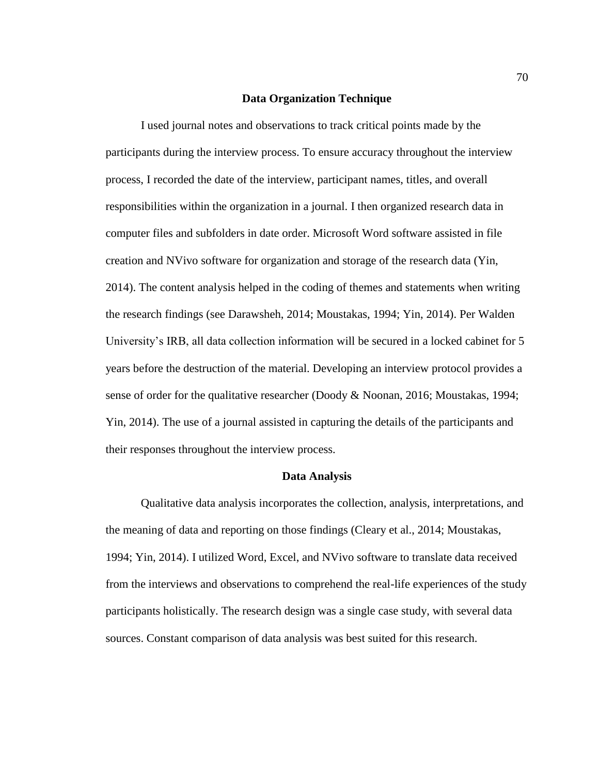## **Data Organization Technique**

I used journal notes and observations to track critical points made by the participants during the interview process. To ensure accuracy throughout the interview process, I recorded the date of the interview, participant names, titles, and overall responsibilities within the organization in a journal. I then organized research data in computer files and subfolders in date order. Microsoft Word software assisted in file creation and NVivo software for organization and storage of the research data (Yin, 2014). The content analysis helped in the coding of themes and statements when writing the research findings (see Darawsheh, 2014; Moustakas, 1994; Yin, 2014). Per Walden University's IRB, all data collection information will be secured in a locked cabinet for 5 years before the destruction of the material. Developing an interview protocol provides a sense of order for the qualitative researcher (Doody & Noonan, 2016; Moustakas, 1994; Yin, 2014). The use of a journal assisted in capturing the details of the participants and their responses throughout the interview process.

#### **Data Analysis**

Qualitative data analysis incorporates the collection, analysis, interpretations, and the meaning of data and reporting on those findings (Cleary et al., 2014; Moustakas, 1994; Yin, 2014). I utilized Word, Excel, and NVivo software to translate data received from the interviews and observations to comprehend the real-life experiences of the study participants holistically. The research design was a single case study, with several data sources. Constant comparison of data analysis was best suited for this research.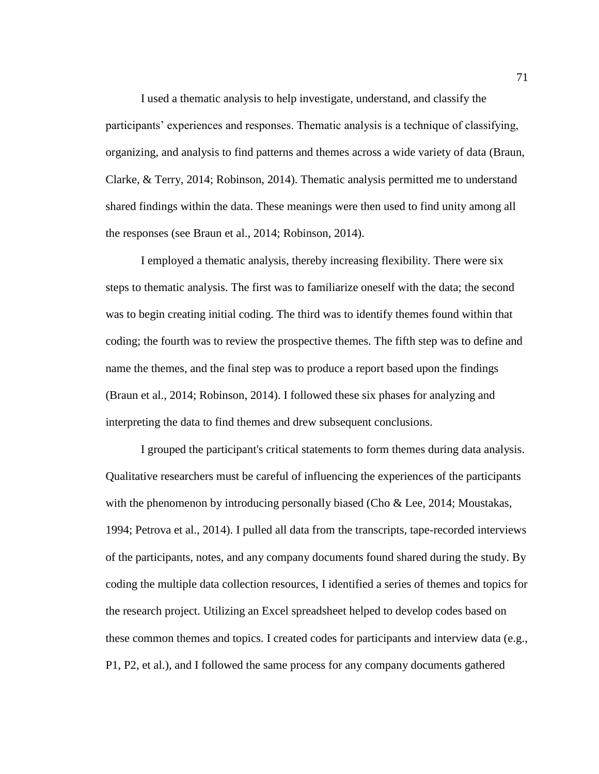I used a thematic analysis to help investigate, understand, and classify the participants' experiences and responses. Thematic analysis is a technique of classifying, organizing, and analysis to find patterns and themes across a wide variety of data (Braun, Clarke, & Terry, 2014; Robinson, 2014). Thematic analysis permitted me to understand shared findings within the data. These meanings were then used to find unity among all the responses (see Braun et al., 2014; Robinson, 2014).

I employed a thematic analysis, thereby increasing flexibility. There were six steps to thematic analysis. The first was to familiarize oneself with the data; the second was to begin creating initial coding. The third was to identify themes found within that coding; the fourth was to review the prospective themes. The fifth step was to define and name the themes, and the final step was to produce a report based upon the findings (Braun et al., 2014; Robinson, 2014). I followed these six phases for analyzing and interpreting the data to find themes and drew subsequent conclusions.

I grouped the participant's critical statements to form themes during data analysis. Qualitative researchers must be careful of influencing the experiences of the participants with the phenomenon by introducing personally biased (Cho & Lee, 2014; Moustakas, 1994; Petrova et al., 2014). I pulled all data from the transcripts, tape-recorded interviews of the participants, notes, and any company documents found shared during the study. By coding the multiple data collection resources, I identified a series of themes and topics for the research project. Utilizing an Excel spreadsheet helped to develop codes based on these common themes and topics. I created codes for participants and interview data (e.g., P1, P2, et al.), and I followed the same process for any company documents gathered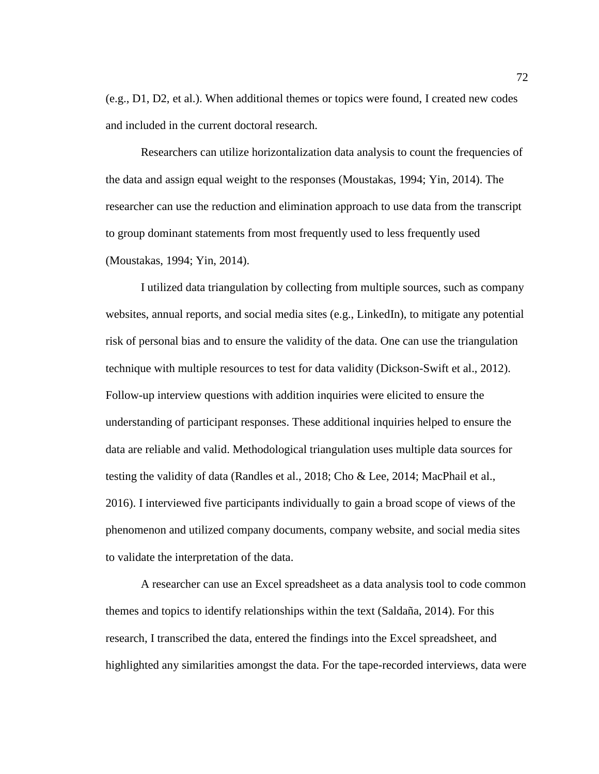(e.g., D1, D2, et al.). When additional themes or topics were found, I created new codes and included in the current doctoral research.

Researchers can utilize horizontalization data analysis to count the frequencies of the data and assign equal weight to the responses (Moustakas, 1994; Yin, 2014). The researcher can use the reduction and elimination approach to use data from the transcript to group dominant statements from most frequently used to less frequently used (Moustakas, 1994; Yin, 2014).

I utilized data triangulation by collecting from multiple sources, such as company websites, annual reports, and social media sites (e.g., LinkedIn), to mitigate any potential risk of personal bias and to ensure the validity of the data. One can use the triangulation technique with multiple resources to test for data validity (Dickson-Swift et al., 2012). Follow-up interview questions with addition inquiries were elicited to ensure the understanding of participant responses. These additional inquiries helped to ensure the data are reliable and valid. Methodological triangulation uses multiple data sources for testing the validity of data (Randles et al., 2018; Cho & Lee, 2014; MacPhail et al., 2016). I interviewed five participants individually to gain a broad scope of views of the phenomenon and utilized company documents, company website, and social media sites to validate the interpretation of the data.

A researcher can use an Excel spreadsheet as a data analysis tool to code common themes and topics to identify relationships within the text (Saldaña, 2014). For this research, I transcribed the data, entered the findings into the Excel spreadsheet, and highlighted any similarities amongst the data. For the tape-recorded interviews, data were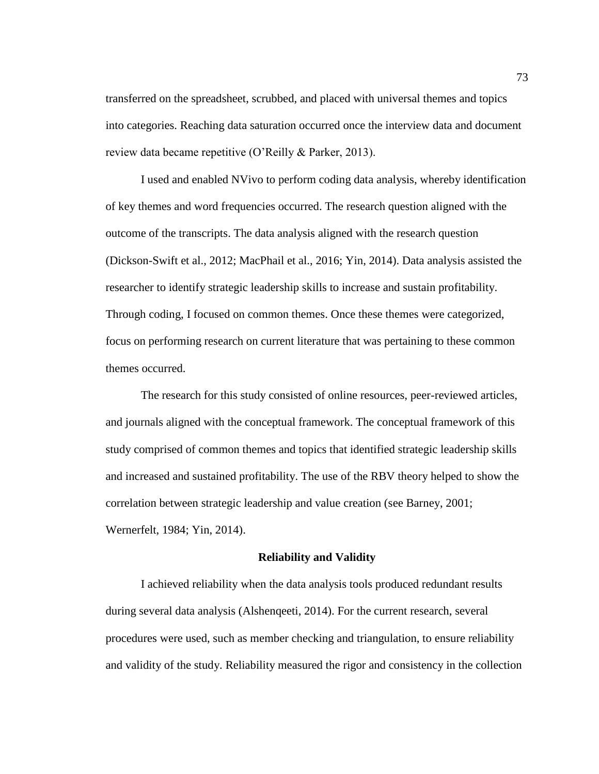transferred on the spreadsheet, scrubbed, and placed with universal themes and topics into categories. Reaching data saturation occurred once the interview data and document review data became repetitive (O'Reilly & Parker, 2013).

I used and enabled NVivo to perform coding data analysis, whereby identification of key themes and word frequencies occurred. The research question aligned with the outcome of the transcripts. The data analysis aligned with the research question (Dickson-Swift et al., 2012; MacPhail et al., 2016; Yin, 2014). Data analysis assisted the researcher to identify strategic leadership skills to increase and sustain profitability. Through coding, I focused on common themes. Once these themes were categorized, focus on performing research on current literature that was pertaining to these common themes occurred.

The research for this study consisted of online resources, peer-reviewed articles, and journals aligned with the conceptual framework. The conceptual framework of this study comprised of common themes and topics that identified strategic leadership skills and increased and sustained profitability. The use of the RBV theory helped to show the correlation between strategic leadership and value creation (see Barney, 2001; Wernerfelt, 1984; Yin, 2014).

#### **Reliability and Validity**

I achieved reliability when the data analysis tools produced redundant results during several data analysis (Alshenqeeti, 2014). For the current research, several procedures were used, such as member checking and triangulation, to ensure reliability and validity of the study. Reliability measured the rigor and consistency in the collection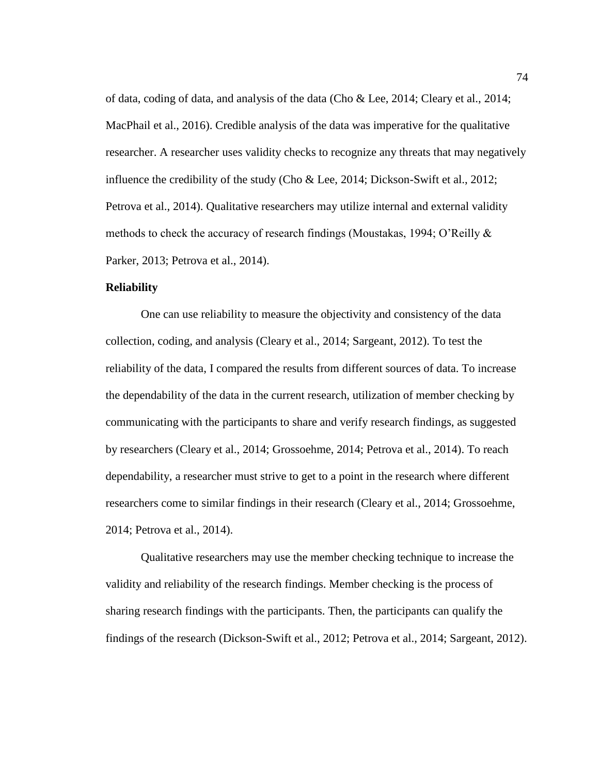of data, coding of data, and analysis of the data (Cho & Lee, 2014; Cleary et al., 2014; MacPhail et al., 2016). Credible analysis of the data was imperative for the qualitative researcher. A researcher uses validity checks to recognize any threats that may negatively influence the credibility of the study (Cho & Lee, 2014; Dickson-Swift et al., 2012; Petrova et al., 2014). Qualitative researchers may utilize internal and external validity methods to check the accuracy of research findings (Moustakas, 1994; O'Reilly & Parker, 2013; Petrova et al., 2014).

## **Reliability**

One can use reliability to measure the objectivity and consistency of the data collection, coding, and analysis (Cleary et al., 2014; Sargeant, 2012). To test the reliability of the data, I compared the results from different sources of data. To increase the dependability of the data in the current research, utilization of member checking by communicating with the participants to share and verify research findings, as suggested by researchers (Cleary et al., 2014; Grossoehme, 2014; Petrova et al., 2014). To reach dependability, a researcher must strive to get to a point in the research where different researchers come to similar findings in their research (Cleary et al., 2014; Grossoehme, 2014; Petrova et al., 2014).

Qualitative researchers may use the member checking technique to increase the validity and reliability of the research findings. Member checking is the process of sharing research findings with the participants. Then, the participants can qualify the findings of the research (Dickson-Swift et al., 2012; Petrova et al., 2014; Sargeant, 2012).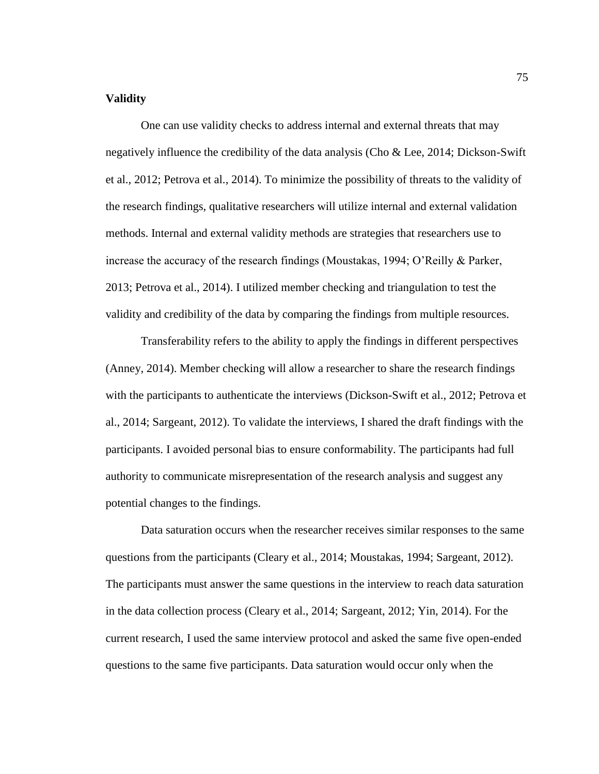# **Validity**

One can use validity checks to address internal and external threats that may negatively influence the credibility of the data analysis (Cho & Lee, 2014; Dickson-Swift et al., 2012; Petrova et al., 2014). To minimize the possibility of threats to the validity of the research findings, qualitative researchers will utilize internal and external validation methods. Internal and external validity methods are strategies that researchers use to increase the accuracy of the research findings (Moustakas, 1994; O'Reilly & Parker, 2013; Petrova et al., 2014). I utilized member checking and triangulation to test the validity and credibility of the data by comparing the findings from multiple resources.

Transferability refers to the ability to apply the findings in different perspectives (Anney, 2014). Member checking will allow a researcher to share the research findings with the participants to authenticate the interviews (Dickson-Swift et al., 2012; Petrova et al., 2014; Sargeant, 2012). To validate the interviews, I shared the draft findings with the participants. I avoided personal bias to ensure conformability. The participants had full authority to communicate misrepresentation of the research analysis and suggest any potential changes to the findings.

Data saturation occurs when the researcher receives similar responses to the same questions from the participants (Cleary et al., 2014; Moustakas, 1994; Sargeant, 2012). The participants must answer the same questions in the interview to reach data saturation in the data collection process (Cleary et al., 2014; Sargeant, 2012; Yin, 2014). For the current research, I used the same interview protocol and asked the same five open-ended questions to the same five participants. Data saturation would occur only when the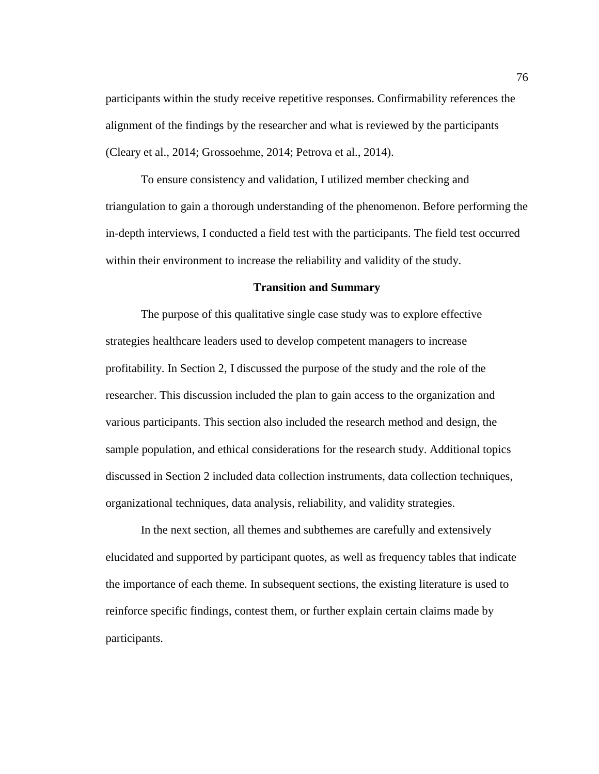participants within the study receive repetitive responses. Confirmability references the alignment of the findings by the researcher and what is reviewed by the participants (Cleary et al., 2014; Grossoehme, 2014; Petrova et al., 2014).

To ensure consistency and validation, I utilized member checking and triangulation to gain a thorough understanding of the phenomenon. Before performing the in-depth interviews, I conducted a field test with the participants. The field test occurred within their environment to increase the reliability and validity of the study.

## **Transition and Summary**

The purpose of this qualitative single case study was to explore effective strategies healthcare leaders used to develop competent managers to increase profitability. In Section 2, I discussed the purpose of the study and the role of the researcher. This discussion included the plan to gain access to the organization and various participants. This section also included the research method and design, the sample population, and ethical considerations for the research study. Additional topics discussed in Section 2 included data collection instruments, data collection techniques, organizational techniques, data analysis, reliability, and validity strategies.

In the next section, all themes and subthemes are carefully and extensively elucidated and supported by participant quotes, as well as frequency tables that indicate the importance of each theme. In subsequent sections, the existing literature is used to reinforce specific findings, contest them, or further explain certain claims made by participants.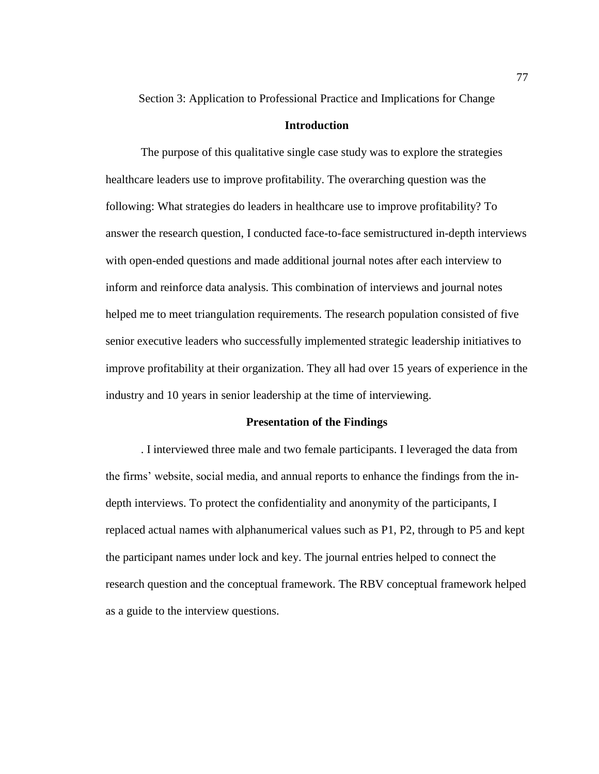Section 3: Application to Professional Practice and Implications for Change

## **Introduction**

The purpose of this qualitative single case study was to explore the strategies healthcare leaders use to improve profitability. The overarching question was the following: What strategies do leaders in healthcare use to improve profitability? To answer the research question, I conducted face-to-face semistructured in-depth interviews with open-ended questions and made additional journal notes after each interview to inform and reinforce data analysis. This combination of interviews and journal notes helped me to meet triangulation requirements. The research population consisted of five senior executive leaders who successfully implemented strategic leadership initiatives to improve profitability at their organization. They all had over 15 years of experience in the industry and 10 years in senior leadership at the time of interviewing.

## **Presentation of the Findings**

. I interviewed three male and two female participants. I leveraged the data from the firms' website, social media, and annual reports to enhance the findings from the indepth interviews. To protect the confidentiality and anonymity of the participants, I replaced actual names with alphanumerical values such as P1, P2, through to P5 and kept the participant names under lock and key. The journal entries helped to connect the research question and the conceptual framework. The RBV conceptual framework helped as a guide to the interview questions.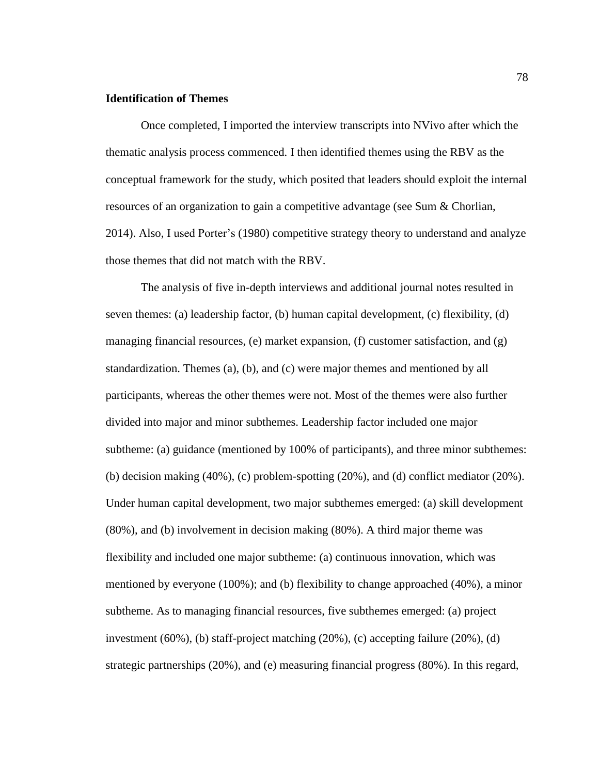## **Identification of Themes**

Once completed, I imported the interview transcripts into NVivo after which the thematic analysis process commenced. I then identified themes using the RBV as the conceptual framework for the study, which posited that leaders should exploit the internal resources of an organization to gain a competitive advantage (see Sum & Chorlian, 2014). Also, I used Porter's (1980) competitive strategy theory to understand and analyze those themes that did not match with the RBV.

The analysis of five in-depth interviews and additional journal notes resulted in seven themes: (a) leadership factor, (b) human capital development, (c) flexibility, (d) managing financial resources, (e) market expansion, (f) customer satisfaction, and (g) standardization. Themes (a), (b), and (c) were major themes and mentioned by all participants, whereas the other themes were not. Most of the themes were also further divided into major and minor subthemes. Leadership factor included one major subtheme: (a) guidance (mentioned by 100% of participants), and three minor subthemes: (b) decision making (40%), (c) problem-spotting (20%), and (d) conflict mediator (20%). Under human capital development, two major subthemes emerged: (a) skill development (80%), and (b) involvement in decision making (80%). A third major theme was flexibility and included one major subtheme: (a) continuous innovation, which was mentioned by everyone (100%); and (b) flexibility to change approached (40%), a minor subtheme. As to managing financial resources, five subthemes emerged: (a) project investment (60%), (b) staff-project matching (20%), (c) accepting failure (20%), (d) strategic partnerships (20%), and (e) measuring financial progress (80%). In this regard,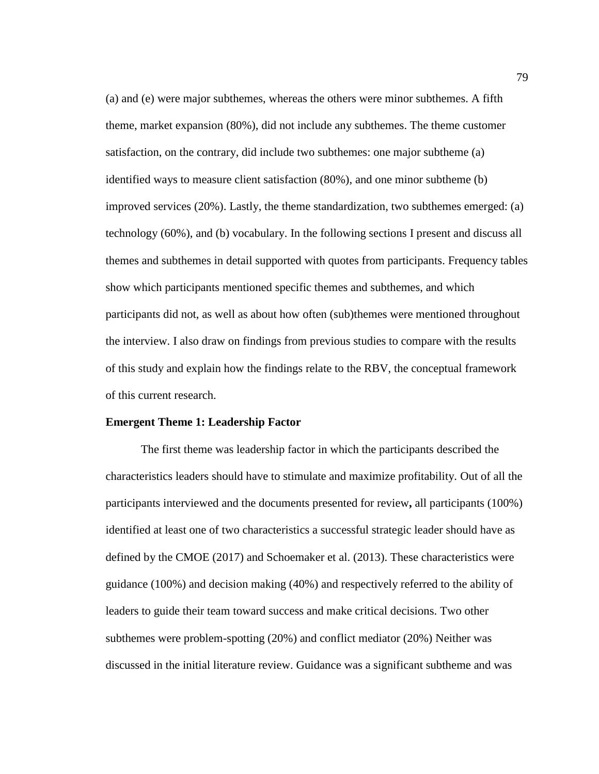(a) and (e) were major subthemes, whereas the others were minor subthemes. A fifth theme, market expansion (80%), did not include any subthemes. The theme customer satisfaction, on the contrary, did include two subthemes: one major subtheme (a) identified ways to measure client satisfaction (80%), and one minor subtheme (b) improved services (20%). Lastly, the theme standardization, two subthemes emerged: (a) technology (60%), and (b) vocabulary. In the following sections I present and discuss all themes and subthemes in detail supported with quotes from participants. Frequency tables show which participants mentioned specific themes and subthemes, and which participants did not, as well as about how often (sub)themes were mentioned throughout the interview. I also draw on findings from previous studies to compare with the results of this study and explain how the findings relate to the RBV, the conceptual framework of this current research.

#### **Emergent Theme 1: Leadership Factor**

The first theme was leadership factor in which the participants described the characteristics leaders should have to stimulate and maximize profitability. Out of all the participants interviewed and the documents presented for review**,** all participants (100%) identified at least one of two characteristics a successful strategic leader should have as defined by the CMOE (2017) and Schoemaker et al. (2013). These characteristics were guidance (100%) and decision making (40%) and respectively referred to the ability of leaders to guide their team toward success and make critical decisions. Two other subthemes were problem-spotting (20%) and conflict mediator (20%) Neither was discussed in the initial literature review. Guidance was a significant subtheme and was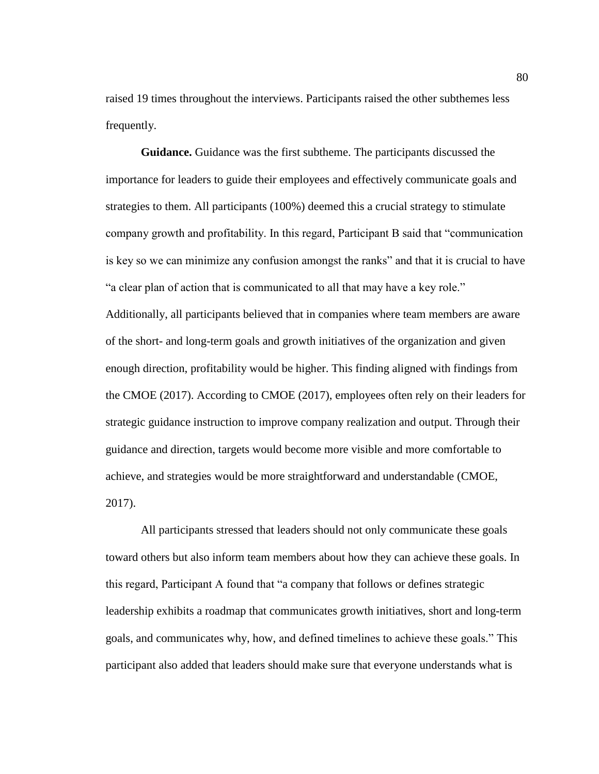raised 19 times throughout the interviews. Participants raised the other subthemes less frequently.

**Guidance.** Guidance was the first subtheme. The participants discussed the importance for leaders to guide their employees and effectively communicate goals and strategies to them. All participants (100%) deemed this a crucial strategy to stimulate company growth and profitability. In this regard, Participant B said that "communication is key so we can minimize any confusion amongst the ranks" and that it is crucial to have "a clear plan of action that is communicated to all that may have a key role." Additionally, all participants believed that in companies where team members are aware of the short- and long-term goals and growth initiatives of the organization and given enough direction, profitability would be higher. This finding aligned with findings from the CMOE (2017). According to CMOE (2017), employees often rely on their leaders for strategic guidance instruction to improve company realization and output. Through their guidance and direction, targets would become more visible and more comfortable to achieve, and strategies would be more straightforward and understandable (CMOE, 2017).

All participants stressed that leaders should not only communicate these goals toward others but also inform team members about how they can achieve these goals. In this regard, Participant A found that "a company that follows or defines strategic leadership exhibits a roadmap that communicates growth initiatives, short and long-term goals, and communicates why, how, and defined timelines to achieve these goals." This participant also added that leaders should make sure that everyone understands what is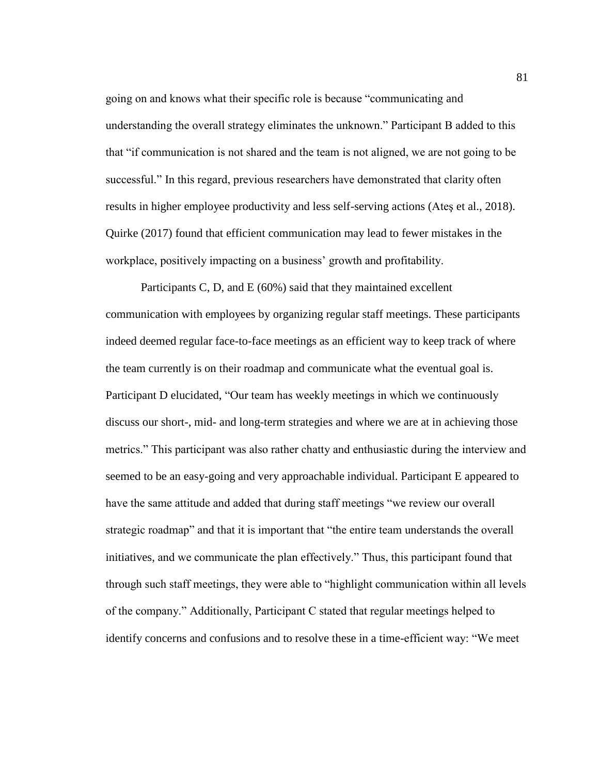going on and knows what their specific role is because "communicating and understanding the overall strategy eliminates the unknown." Participant B added to this that "if communication is not shared and the team is not aligned, we are not going to be successful." In this regard, previous researchers have demonstrated that clarity often results in higher employee productivity and less self-serving actions (Ateş et al., 2018). Quirke (2017) found that efficient communication may lead to fewer mistakes in the workplace, positively impacting on a business' growth and profitability.

Participants C, D, and E (60%) said that they maintained excellent communication with employees by organizing regular staff meetings. These participants indeed deemed regular face-to-face meetings as an efficient way to keep track of where the team currently is on their roadmap and communicate what the eventual goal is. Participant D elucidated, "Our team has weekly meetings in which we continuously discuss our short-, mid- and long-term strategies and where we are at in achieving those metrics." This participant was also rather chatty and enthusiastic during the interview and seemed to be an easy-going and very approachable individual. Participant E appeared to have the same attitude and added that during staff meetings "we review our overall strategic roadmap" and that it is important that "the entire team understands the overall initiatives, and we communicate the plan effectively." Thus, this participant found that through such staff meetings, they were able to "highlight communication within all levels of the company." Additionally, Participant C stated that regular meetings helped to identify concerns and confusions and to resolve these in a time-efficient way: "We meet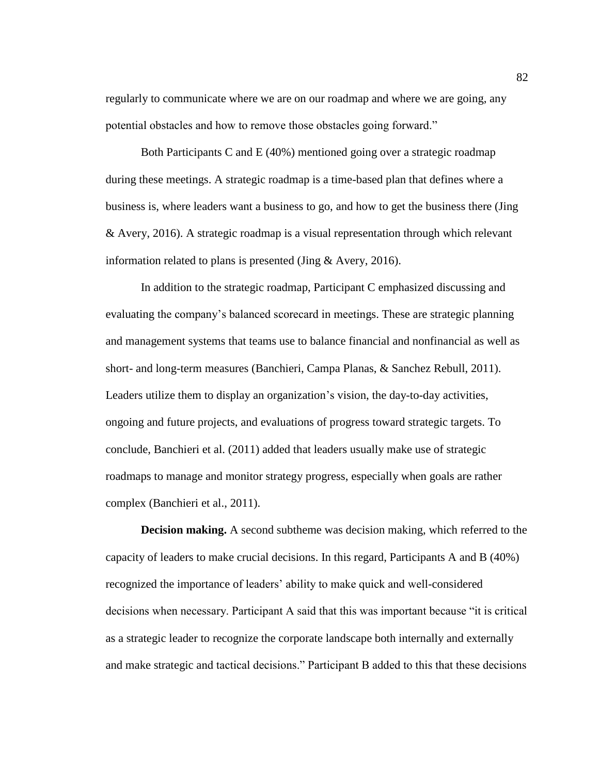regularly to communicate where we are on our roadmap and where we are going, any potential obstacles and how to remove those obstacles going forward."

Both Participants C and E (40%) mentioned going over a strategic roadmap during these meetings. A strategic roadmap is a time-based plan that defines where a business is, where leaders want a business to go, and how to get the business there (Jing & Avery, 2016). A strategic roadmap is a visual representation through which relevant information related to plans is presented (Jing & Avery, 2016).

In addition to the strategic roadmap, Participant C emphasized discussing and evaluating the company's balanced scorecard in meetings. These are strategic planning and management systems that teams use to balance financial and nonfinancial as well as short- and long-term measures (Banchieri, Campa Planas, & Sanchez Rebull, 2011). Leaders utilize them to display an organization's vision, the day-to-day activities, ongoing and future projects, and evaluations of progress toward strategic targets. To conclude, Banchieri et al. (2011) added that leaders usually make use of strategic roadmaps to manage and monitor strategy progress, especially when goals are rather complex (Banchieri et al., 2011).

**Decision making.** A second subtheme was decision making, which referred to the capacity of leaders to make crucial decisions. In this regard, Participants A and B (40%) recognized the importance of leaders' ability to make quick and well-considered decisions when necessary. Participant A said that this was important because "it is critical as a strategic leader to recognize the corporate landscape both internally and externally and make strategic and tactical decisions." Participant B added to this that these decisions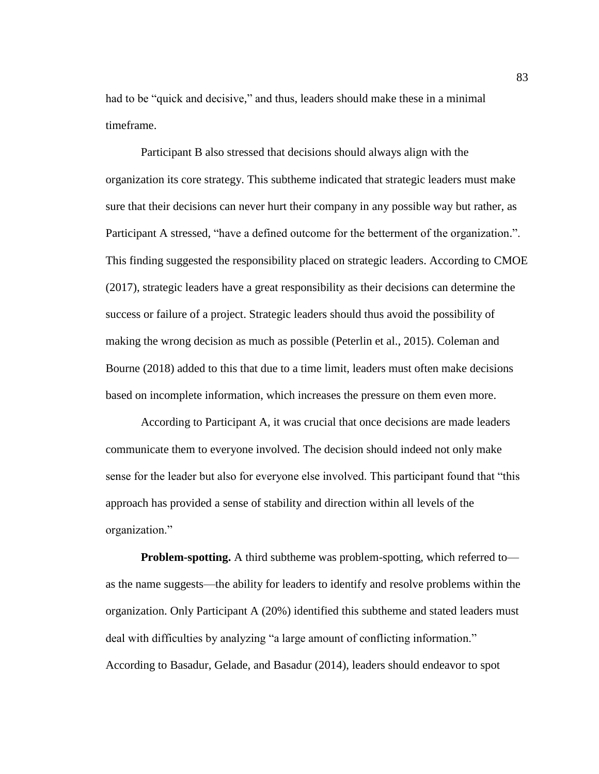had to be "quick and decisive," and thus, leaders should make these in a minimal timeframe.

Participant B also stressed that decisions should always align with the organization its core strategy. This subtheme indicated that strategic leaders must make sure that their decisions can never hurt their company in any possible way but rather, as Participant A stressed, "have a defined outcome for the betterment of the organization.". This finding suggested the responsibility placed on strategic leaders. According to CMOE (2017), strategic leaders have a great responsibility as their decisions can determine the success or failure of a project. Strategic leaders should thus avoid the possibility of making the wrong decision as much as possible (Peterlin et al., 2015). Coleman and Bourne (2018) added to this that due to a time limit, leaders must often make decisions based on incomplete information, which increases the pressure on them even more.

According to Participant A, it was crucial that once decisions are made leaders communicate them to everyone involved. The decision should indeed not only make sense for the leader but also for everyone else involved. This participant found that "this approach has provided a sense of stability and direction within all levels of the organization."

**Problem-spotting.** A third subtheme was problem-spotting, which referred to as the name suggests—the ability for leaders to identify and resolve problems within the organization. Only Participant A (20%) identified this subtheme and stated leaders must deal with difficulties by analyzing "a large amount of conflicting information." According to Basadur, Gelade, and Basadur (2014), leaders should endeavor to spot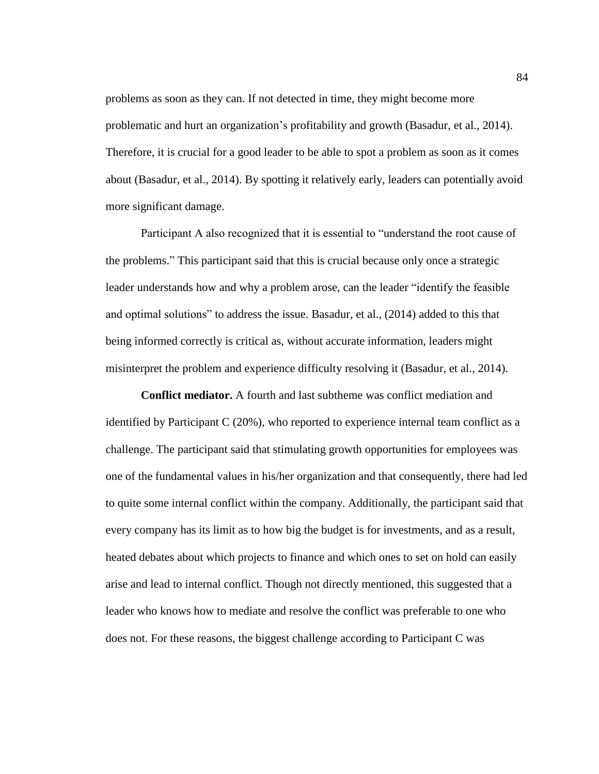problems as soon as they can. If not detected in time, they might become more problematic and hurt an organization's profitability and growth (Basadur, et al., 2014). Therefore, it is crucial for a good leader to be able to spot a problem as soon as it comes about (Basadur, et al., 2014). By spotting it relatively early, leaders can potentially avoid more significant damage.

Participant A also recognized that it is essential to "understand the root cause of the problems." This participant said that this is crucial because only once a strategic leader understands how and why a problem arose, can the leader "identify the feasible and optimal solutions" to address the issue. Basadur, et al., (2014) added to this that being informed correctly is critical as, without accurate information, leaders might misinterpret the problem and experience difficulty resolving it (Basadur, et al., 2014).

**Conflict mediator.** A fourth and last subtheme was conflict mediation and identified by Participant C (20%), who reported to experience internal team conflict as a challenge. The participant said that stimulating growth opportunities for employees was one of the fundamental values in his/her organization and that consequently, there had led to quite some internal conflict within the company. Additionally, the participant said that every company has its limit as to how big the budget is for investments, and as a result, heated debates about which projects to finance and which ones to set on hold can easily arise and lead to internal conflict. Though not directly mentioned, this suggested that a leader who knows how to mediate and resolve the conflict was preferable to one who does not. For these reasons, the biggest challenge according to Participant C was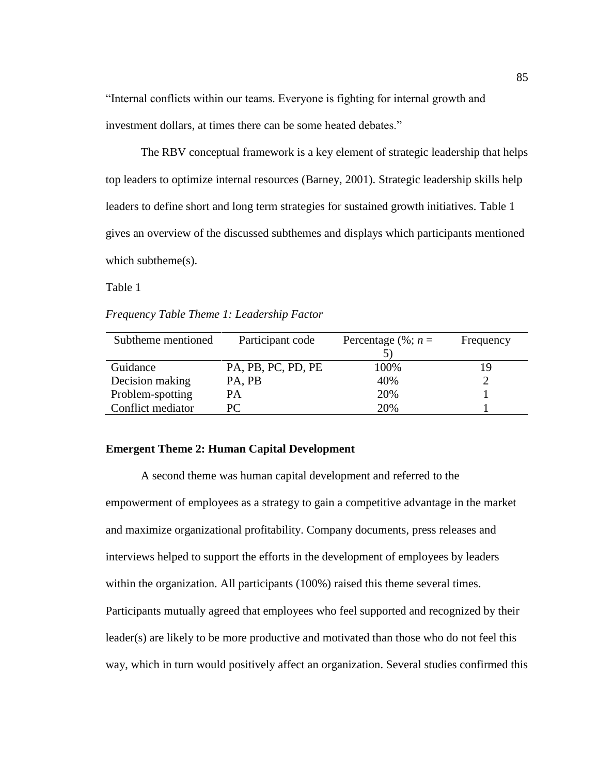"Internal conflicts within our teams. Everyone is fighting for internal growth and investment dollars, at times there can be some heated debates."

The RBV conceptual framework is a key element of strategic leadership that helps top leaders to optimize internal resources (Barney, 2001). Strategic leadership skills help leaders to define short and long term strategies for sustained growth initiatives. Table 1 gives an overview of the discussed subthemes and displays which participants mentioned which subtheme(s).

Table 1

*Frequency Table Theme 1: Leadership Factor*

| Subtheme mentioned | Participant code   | Percentage $(\%; n =$ | Frequency |
|--------------------|--------------------|-----------------------|-----------|
|                    |                    |                       |           |
| Guidance           | PA, PB, PC, PD, PE | 100%                  | 19        |
| Decision making    | PA, PB             | 40%                   |           |
| Problem-spotting   | <b>PA</b>          | 20%                   |           |
| Conflict mediator  | PC.                | 20%                   |           |

# **Emergent Theme 2: Human Capital Development**

A second theme was human capital development and referred to the empowerment of employees as a strategy to gain a competitive advantage in the market and maximize organizational profitability. Company documents, press releases and interviews helped to support the efforts in the development of employees by leaders within the organization. All participants (100%) raised this theme several times. Participants mutually agreed that employees who feel supported and recognized by their leader(s) are likely to be more productive and motivated than those who do not feel this way, which in turn would positively affect an organization. Several studies confirmed this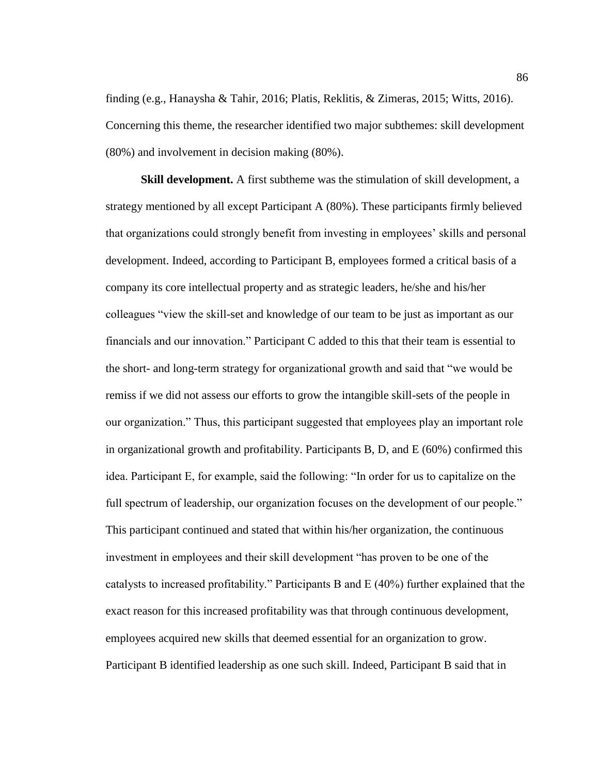finding (e.g., Hanaysha & Tahir, 2016; Platis, Reklitis, & Zimeras, 2015; Witts, 2016). Concerning this theme, the researcher identified two major subthemes: skill development (80%) and involvement in decision making (80%).

**Skill development.** A first subtheme was the stimulation of skill development, a strategy mentioned by all except Participant A (80%). These participants firmly believed that organizations could strongly benefit from investing in employees' skills and personal development. Indeed, according to Participant B, employees formed a critical basis of a company its core intellectual property and as strategic leaders, he/she and his/her colleagues "view the skill-set and knowledge of our team to be just as important as our financials and our innovation." Participant C added to this that their team is essential to the short- and long-term strategy for organizational growth and said that "we would be remiss if we did not assess our efforts to grow the intangible skill-sets of the people in our organization." Thus, this participant suggested that employees play an important role in organizational growth and profitability. Participants B, D, and E (60%) confirmed this idea. Participant E, for example, said the following: "In order for us to capitalize on the full spectrum of leadership, our organization focuses on the development of our people." This participant continued and stated that within his/her organization, the continuous investment in employees and their skill development "has proven to be one of the catalysts to increased profitability." Participants B and E (40%) further explained that the exact reason for this increased profitability was that through continuous development, employees acquired new skills that deemed essential for an organization to grow. Participant B identified leadership as one such skill. Indeed, Participant B said that in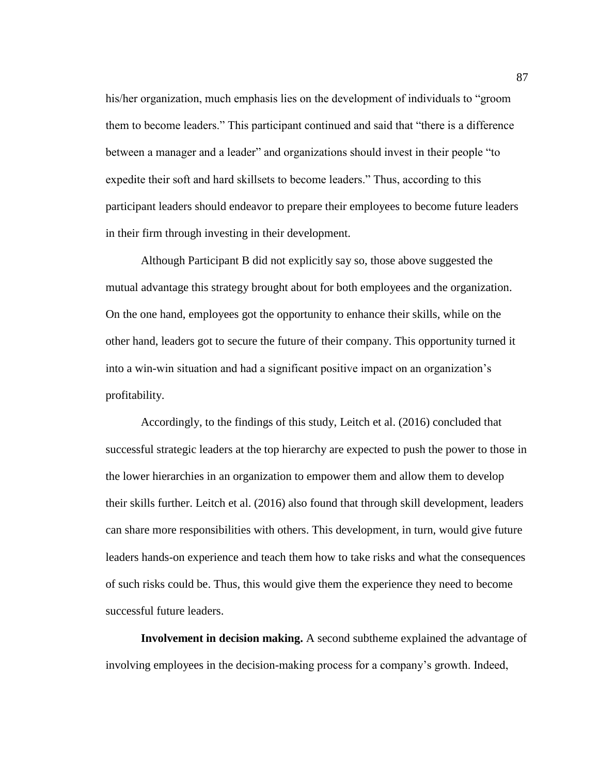his/her organization, much emphasis lies on the development of individuals to "groom them to become leaders." This participant continued and said that "there is a difference between a manager and a leader" and organizations should invest in their people "to expedite their soft and hard skillsets to become leaders." Thus, according to this participant leaders should endeavor to prepare their employees to become future leaders in their firm through investing in their development.

Although Participant B did not explicitly say so, those above suggested the mutual advantage this strategy brought about for both employees and the organization. On the one hand, employees got the opportunity to enhance their skills, while on the other hand, leaders got to secure the future of their company. This opportunity turned it into a win-win situation and had a significant positive impact on an organization's profitability.

Accordingly, to the findings of this study, Leitch et al. (2016) concluded that successful strategic leaders at the top hierarchy are expected to push the power to those in the lower hierarchies in an organization to empower them and allow them to develop their skills further. Leitch et al. (2016) also found that through skill development, leaders can share more responsibilities with others. This development, in turn, would give future leaders hands-on experience and teach them how to take risks and what the consequences of such risks could be. Thus, this would give them the experience they need to become successful future leaders.

**Involvement in decision making.** A second subtheme explained the advantage of involving employees in the decision-making process for a company's growth. Indeed,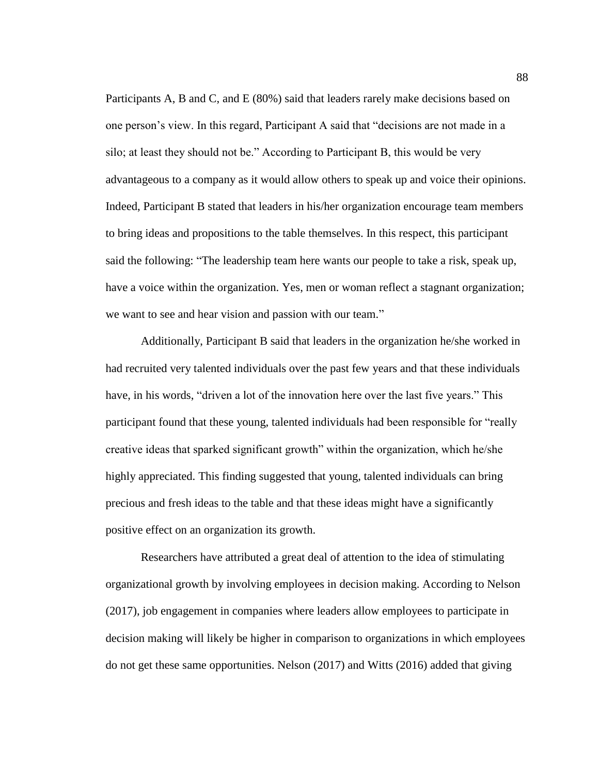Participants A, B and C, and E (80%) said that leaders rarely make decisions based on one person's view. In this regard, Participant A said that "decisions are not made in a silo; at least they should not be." According to Participant B, this would be very advantageous to a company as it would allow others to speak up and voice their opinions. Indeed, Participant B stated that leaders in his/her organization encourage team members to bring ideas and propositions to the table themselves. In this respect, this participant said the following: "The leadership team here wants our people to take a risk, speak up, have a voice within the organization. Yes, men or woman reflect a stagnant organization; we want to see and hear vision and passion with our team."

Additionally, Participant B said that leaders in the organization he/she worked in had recruited very talented individuals over the past few years and that these individuals have, in his words, "driven a lot of the innovation here over the last five years." This participant found that these young, talented individuals had been responsible for "really creative ideas that sparked significant growth" within the organization, which he/she highly appreciated. This finding suggested that young, talented individuals can bring precious and fresh ideas to the table and that these ideas might have a significantly positive effect on an organization its growth.

Researchers have attributed a great deal of attention to the idea of stimulating organizational growth by involving employees in decision making. According to Nelson (2017), job engagement in companies where leaders allow employees to participate in decision making will likely be higher in comparison to organizations in which employees do not get these same opportunities. Nelson (2017) and Witts (2016) added that giving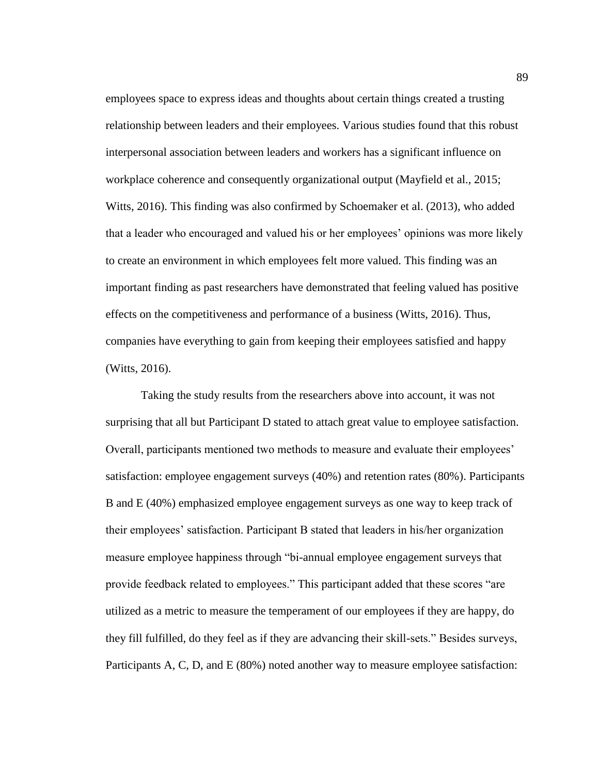employees space to express ideas and thoughts about certain things created a trusting relationship between leaders and their employees. Various studies found that this robust interpersonal association between leaders and workers has a significant influence on workplace coherence and consequently organizational output (Mayfield et al., 2015; Witts, 2016). This finding was also confirmed by Schoemaker et al. (2013), who added that a leader who encouraged and valued his or her employees' opinions was more likely to create an environment in which employees felt more valued. This finding was an important finding as past researchers have demonstrated that feeling valued has positive effects on the competitiveness and performance of a business (Witts, 2016). Thus, companies have everything to gain from keeping their employees satisfied and happy (Witts, 2016).

Taking the study results from the researchers above into account, it was not surprising that all but Participant D stated to attach great value to employee satisfaction. Overall, participants mentioned two methods to measure and evaluate their employees' satisfaction: employee engagement surveys (40%) and retention rates (80%). Participants B and E (40%) emphasized employee engagement surveys as one way to keep track of their employees' satisfaction. Participant B stated that leaders in his/her organization measure employee happiness through "bi-annual employee engagement surveys that provide feedback related to employees." This participant added that these scores "are utilized as a metric to measure the temperament of our employees if they are happy, do they fill fulfilled, do they feel as if they are advancing their skill-sets." Besides surveys, Participants A, C, D, and E (80%) noted another way to measure employee satisfaction: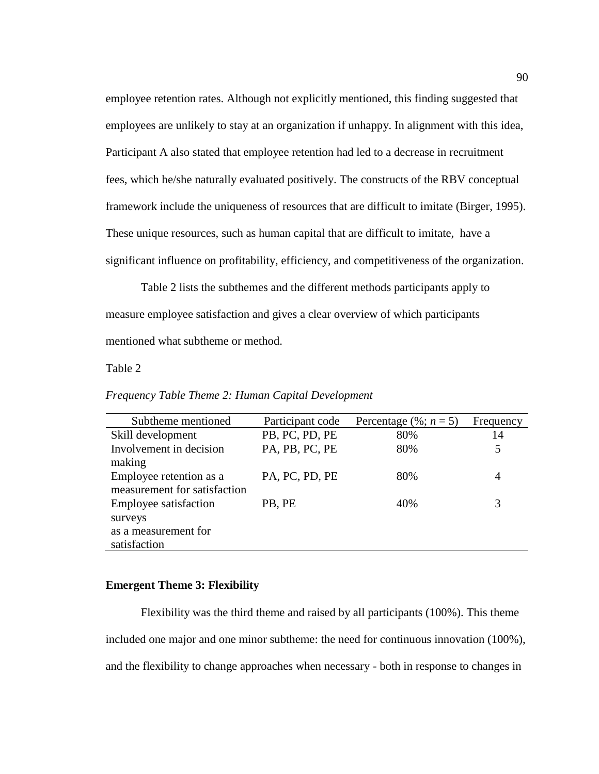employee retention rates. Although not explicitly mentioned, this finding suggested that employees are unlikely to stay at an organization if unhappy. In alignment with this idea, Participant A also stated that employee retention had led to a decrease in recruitment fees, which he/she naturally evaluated positively. The constructs of the RBV conceptual framework include the uniqueness of resources that are difficult to imitate (Birger, 1995). These unique resources, such as human capital that are difficult to imitate, have a significant influence on profitability, efficiency, and competitiveness of the organization.

Table 2 lists the subthemes and the different methods participants apply to measure employee satisfaction and gives a clear overview of which participants mentioned what subtheme or method.

### Table 2

| Subtheme mentioned           | Participant code | Percentage (%; $n = 5$ ) | Frequency |
|------------------------------|------------------|--------------------------|-----------|
| Skill development            | PB, PC, PD, PE   | 80%                      | 14        |
| Involvement in decision      | PA, PB, PC, PE   | 80%                      | 5         |
| making                       |                  |                          |           |
| Employee retention as a      | PA, PC, PD, PE   | 80%                      | 4         |
| measurement for satisfaction |                  |                          |           |
| Employee satisfaction        | PB, PE           | 40%                      |           |
| surveys                      |                  |                          |           |
| as a measurement for         |                  |                          |           |
| satisfaction                 |                  |                          |           |

*Frequency Table Theme 2: Human Capital Development*

## **Emergent Theme 3: Flexibility**

Flexibility was the third theme and raised by all participants (100%). This theme included one major and one minor subtheme: the need for continuous innovation (100%), and the flexibility to change approaches when necessary - both in response to changes in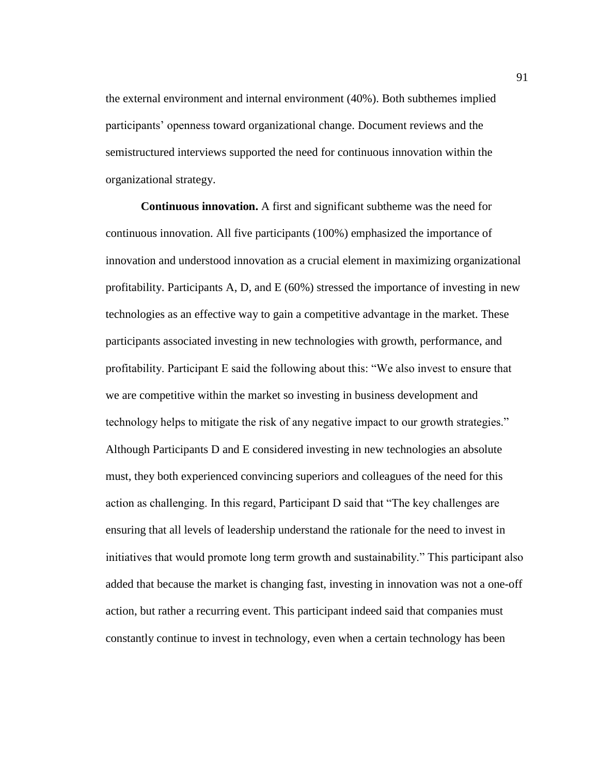the external environment and internal environment (40%). Both subthemes implied participants' openness toward organizational change. Document reviews and the semistructured interviews supported the need for continuous innovation within the organizational strategy.

**Continuous innovation.** A first and significant subtheme was the need for continuous innovation. All five participants (100%) emphasized the importance of innovation and understood innovation as a crucial element in maximizing organizational profitability. Participants A, D, and E (60%) stressed the importance of investing in new technologies as an effective way to gain a competitive advantage in the market. These participants associated investing in new technologies with growth, performance, and profitability. Participant E said the following about this: "We also invest to ensure that we are competitive within the market so investing in business development and technology helps to mitigate the risk of any negative impact to our growth strategies." Although Participants D and E considered investing in new technologies an absolute must, they both experienced convincing superiors and colleagues of the need for this action as challenging. In this regard, Participant D said that "The key challenges are ensuring that all levels of leadership understand the rationale for the need to invest in initiatives that would promote long term growth and sustainability." This participant also added that because the market is changing fast, investing in innovation was not a one-off action, but rather a recurring event. This participant indeed said that companies must constantly continue to invest in technology, even when a certain technology has been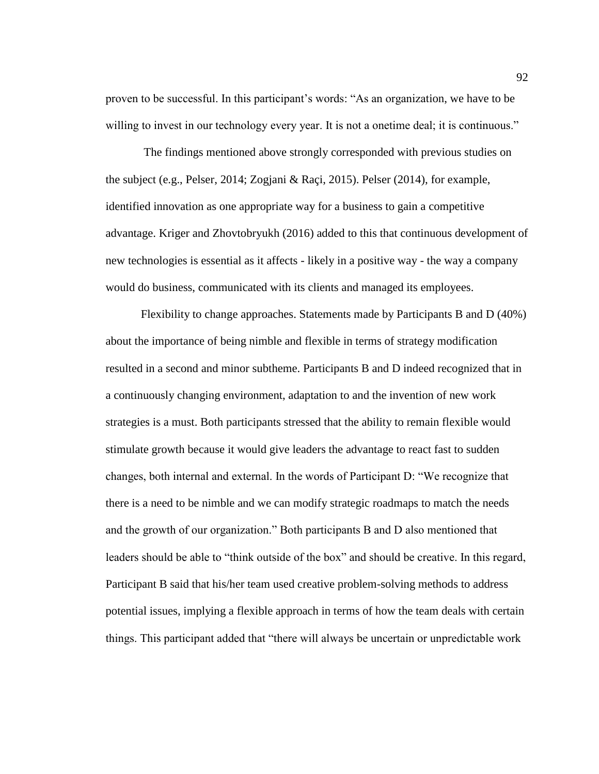proven to be successful. In this participant's words: "As an organization, we have to be willing to invest in our technology every year. It is not a onetime deal; it is continuous."

The findings mentioned above strongly corresponded with previous studies on the subject (e.g., Pelser, 2014; Zogjani & Raçi, 2015). Pelser (2014), for example, identified innovation as one appropriate way for a business to gain a competitive advantage. Kriger and Zhovtobryukh (2016) added to this that continuous development of new technologies is essential as it affects - likely in a positive way - the way a company would do business, communicated with its clients and managed its employees.

Flexibility to change approaches. Statements made by Participants B and D (40%) about the importance of being nimble and flexible in terms of strategy modification resulted in a second and minor subtheme. Participants B and D indeed recognized that in a continuously changing environment, adaptation to and the invention of new work strategies is a must. Both participants stressed that the ability to remain flexible would stimulate growth because it would give leaders the advantage to react fast to sudden changes, both internal and external. In the words of Participant D: "We recognize that there is a need to be nimble and we can modify strategic roadmaps to match the needs and the growth of our organization." Both participants B and D also mentioned that leaders should be able to "think outside of the box" and should be creative. In this regard, Participant B said that his/her team used creative problem-solving methods to address potential issues, implying a flexible approach in terms of how the team deals with certain things. This participant added that "there will always be uncertain or unpredictable work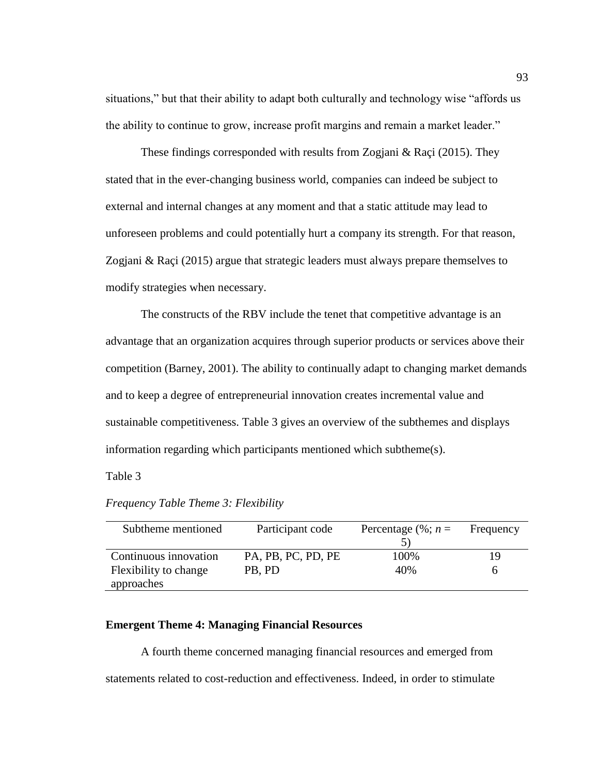situations," but that their ability to adapt both culturally and technology wise "affords us the ability to continue to grow, increase profit margins and remain a market leader."

These findings corresponded with results from Zogjani & Raçi (2015). They stated that in the ever-changing business world, companies can indeed be subject to external and internal changes at any moment and that a static attitude may lead to unforeseen problems and could potentially hurt a company its strength. For that reason, Zogjani & Raçi (2015) argue that strategic leaders must always prepare themselves to modify strategies when necessary.

The constructs of the RBV include the tenet that competitive advantage is an advantage that an organization acquires through superior products or services above their competition (Barney, 2001). The ability to continually adapt to changing market demands and to keep a degree of entrepreneurial innovation creates incremental value and sustainable competitiveness. Table 3 gives an overview of the subthemes and displays information regarding which participants mentioned which subtheme(s).

Table 3

| Subtheme mentioned    | Participant code   | Percentage $(\%; n =$ | Frequency |
|-----------------------|--------------------|-----------------------|-----------|
|                       |                    |                       |           |
| Continuous innovation | PA, PB, PC, PD, PE | 100%                  | 19        |
| Flexibility to change | PB, PD             | 40%                   |           |
| approaches            |                    |                       |           |

*Frequency Table Theme 3: Flexibility*

# **Emergent Theme 4: Managing Financial Resources**

A fourth theme concerned managing financial resources and emerged from statements related to cost-reduction and effectiveness. Indeed, in order to stimulate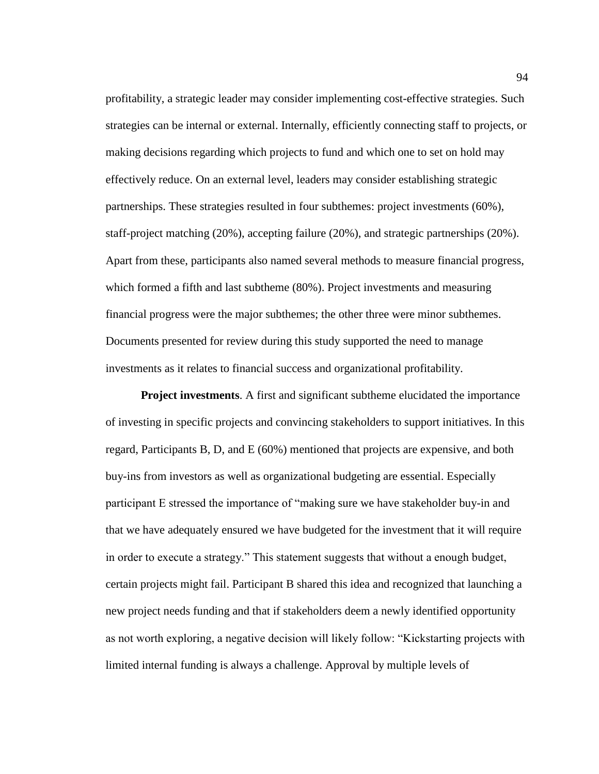profitability, a strategic leader may consider implementing cost-effective strategies. Such strategies can be internal or external. Internally, efficiently connecting staff to projects, or making decisions regarding which projects to fund and which one to set on hold may effectively reduce. On an external level, leaders may consider establishing strategic partnerships. These strategies resulted in four subthemes: project investments (60%), staff-project matching (20%), accepting failure (20%), and strategic partnerships (20%). Apart from these, participants also named several methods to measure financial progress, which formed a fifth and last subtheme (80%). Project investments and measuring financial progress were the major subthemes; the other three were minor subthemes. Documents presented for review during this study supported the need to manage investments as it relates to financial success and organizational profitability.

**Project investments**. A first and significant subtheme elucidated the importance of investing in specific projects and convincing stakeholders to support initiatives. In this regard, Participants B, D, and E (60%) mentioned that projects are expensive, and both buy-ins from investors as well as organizational budgeting are essential. Especially participant E stressed the importance of "making sure we have stakeholder buy-in and that we have adequately ensured we have budgeted for the investment that it will require in order to execute a strategy." This statement suggests that without a enough budget, certain projects might fail. Participant B shared this idea and recognized that launching a new project needs funding and that if stakeholders deem a newly identified opportunity as not worth exploring, a negative decision will likely follow: "Kickstarting projects with limited internal funding is always a challenge. Approval by multiple levels of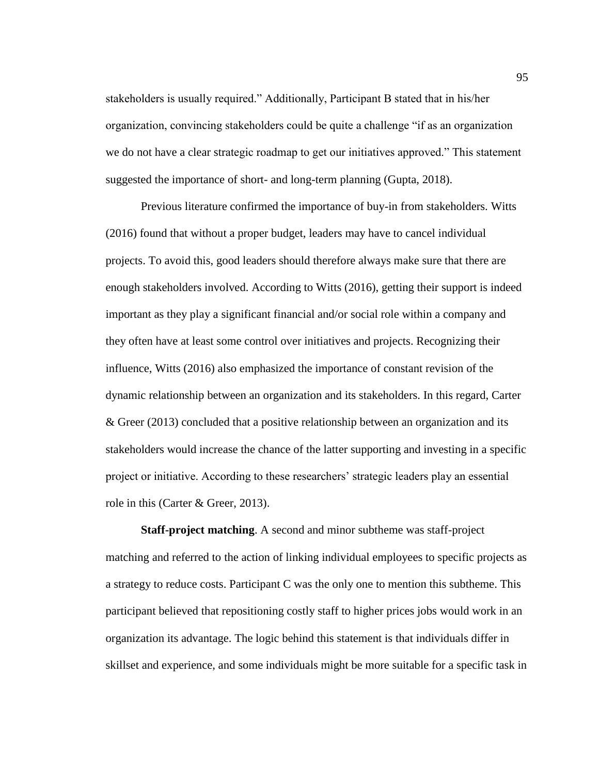stakeholders is usually required." Additionally, Participant B stated that in his/her organization, convincing stakeholders could be quite a challenge "if as an organization we do not have a clear strategic roadmap to get our initiatives approved." This statement suggested the importance of short- and long-term planning (Gupta, 2018).

Previous literature confirmed the importance of buy-in from stakeholders. Witts (2016) found that without a proper budget, leaders may have to cancel individual projects. To avoid this, good leaders should therefore always make sure that there are enough stakeholders involved. According to Witts (2016), getting their support is indeed important as they play a significant financial and/or social role within a company and they often have at least some control over initiatives and projects. Recognizing their influence, Witts (2016) also emphasized the importance of constant revision of the dynamic relationship between an organization and its stakeholders. In this regard, Carter & Greer (2013) concluded that a positive relationship between an organization and its stakeholders would increase the chance of the latter supporting and investing in a specific project or initiative. According to these researchers' strategic leaders play an essential role in this (Carter & Greer, 2013).

**Staff-project matching**. A second and minor subtheme was staff-project matching and referred to the action of linking individual employees to specific projects as a strategy to reduce costs. Participant C was the only one to mention this subtheme. This participant believed that repositioning costly staff to higher prices jobs would work in an organization its advantage. The logic behind this statement is that individuals differ in skillset and experience, and some individuals might be more suitable for a specific task in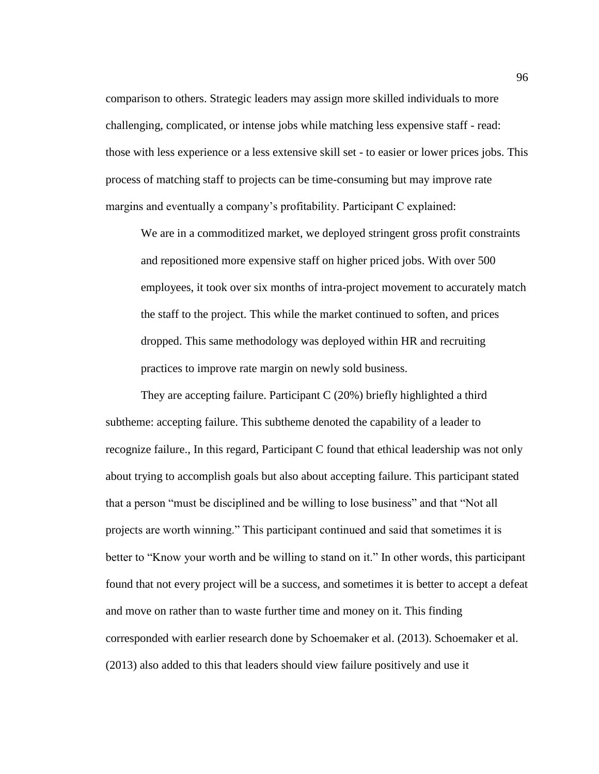comparison to others. Strategic leaders may assign more skilled individuals to more challenging, complicated, or intense jobs while matching less expensive staff - read: those with less experience or a less extensive skill set - to easier or lower prices jobs. This process of matching staff to projects can be time-consuming but may improve rate margins and eventually a company's profitability. Participant C explained:

We are in a commoditized market, we deployed stringent gross profit constraints and repositioned more expensive staff on higher priced jobs. With over 500 employees, it took over six months of intra-project movement to accurately match the staff to the project. This while the market continued to soften, and prices dropped. This same methodology was deployed within HR and recruiting practices to improve rate margin on newly sold business.

They are accepting failure. Participant C (20%) briefly highlighted a third subtheme: accepting failure. This subtheme denoted the capability of a leader to recognize failure., In this regard, Participant C found that ethical leadership was not only about trying to accomplish goals but also about accepting failure. This participant stated that a person "must be disciplined and be willing to lose business" and that "Not all projects are worth winning." This participant continued and said that sometimes it is better to "Know your worth and be willing to stand on it." In other words, this participant found that not every project will be a success, and sometimes it is better to accept a defeat and move on rather than to waste further time and money on it. This finding corresponded with earlier research done by Schoemaker et al. (2013). Schoemaker et al. (2013) also added to this that leaders should view failure positively and use it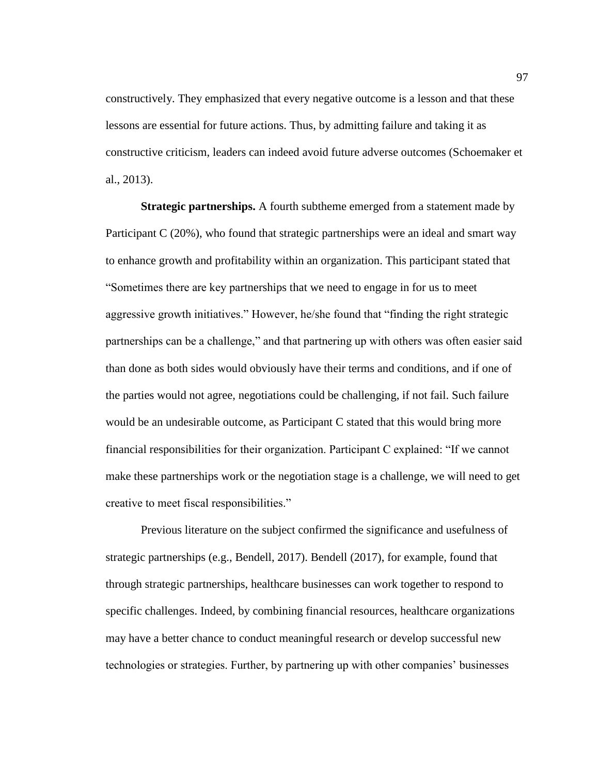constructively. They emphasized that every negative outcome is a lesson and that these lessons are essential for future actions. Thus, by admitting failure and taking it as constructive criticism, leaders can indeed avoid future adverse outcomes (Schoemaker et al., 2013).

**Strategic partnerships.** A fourth subtheme emerged from a statement made by Participant C (20%), who found that strategic partnerships were an ideal and smart way to enhance growth and profitability within an organization. This participant stated that "Sometimes there are key partnerships that we need to engage in for us to meet aggressive growth initiatives." However, he/she found that "finding the right strategic partnerships can be a challenge," and that partnering up with others was often easier said than done as both sides would obviously have their terms and conditions, and if one of the parties would not agree, negotiations could be challenging, if not fail. Such failure would be an undesirable outcome, as Participant C stated that this would bring more financial responsibilities for their organization. Participant C explained: "If we cannot make these partnerships work or the negotiation stage is a challenge, we will need to get creative to meet fiscal responsibilities."

Previous literature on the subject confirmed the significance and usefulness of strategic partnerships (e.g., Bendell, 2017). Bendell (2017), for example, found that through strategic partnerships, healthcare businesses can work together to respond to specific challenges. Indeed, by combining financial resources, healthcare organizations may have a better chance to conduct meaningful research or develop successful new technologies or strategies. Further, by partnering up with other companies' businesses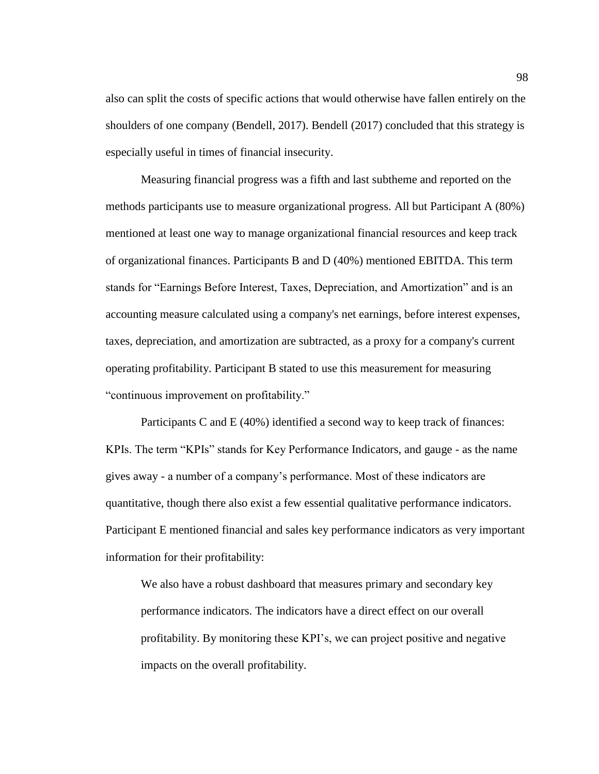also can split the costs of specific actions that would otherwise have fallen entirely on the shoulders of one company (Bendell, 2017). Bendell (2017) concluded that this strategy is especially useful in times of financial insecurity.

Measuring financial progress was a fifth and last subtheme and reported on the methods participants use to measure organizational progress. All but Participant A (80%) mentioned at least one way to manage organizational financial resources and keep track of organizational finances. Participants B and D (40%) mentioned EBITDA. This term stands for "Earnings Before Interest, Taxes, Depreciation, and Amortization" and is an accounting measure calculated using a company's net earnings, before interest expenses, taxes, depreciation, and amortization are subtracted, as a proxy for a company's current operating profitability. Participant B stated to use this measurement for measuring "continuous improvement on profitability."

Participants C and E (40%) identified a second way to keep track of finances: KPIs. The term "KPIs" stands for Key Performance Indicators, and gauge - as the name gives away - a number of a company's performance. Most of these indicators are quantitative, though there also exist a few essential qualitative performance indicators. Participant E mentioned financial and sales key performance indicators as very important information for their profitability:

We also have a robust dashboard that measures primary and secondary key performance indicators. The indicators have a direct effect on our overall profitability. By monitoring these KPI's, we can project positive and negative impacts on the overall profitability.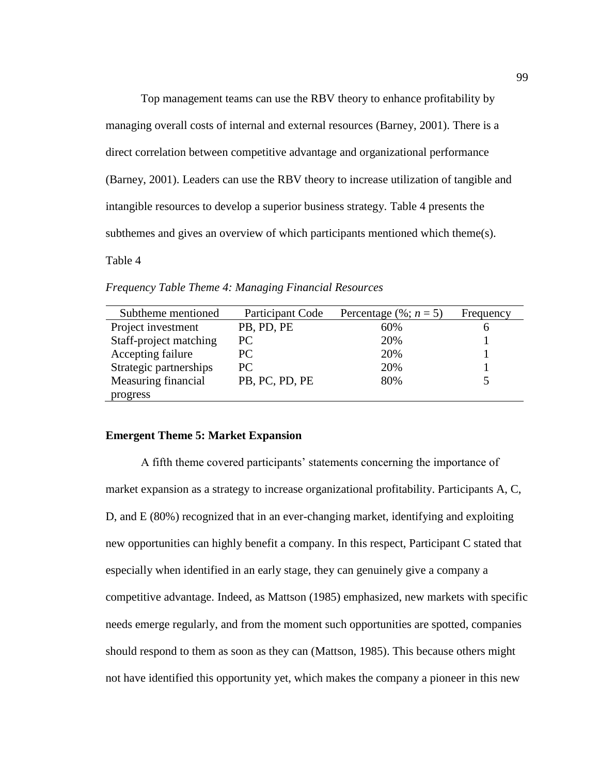Top management teams can use the RBV theory to enhance profitability by managing overall costs of internal and external resources (Barney, 2001). There is a direct correlation between competitive advantage and organizational performance (Barney, 2001). Leaders can use the RBV theory to increase utilization of tangible and intangible resources to develop a superior business strategy. Table 4 presents the subthemes and gives an overview of which participants mentioned which theme(s).

Table 4

| Subtheme mentioned     | Participant Code | Percentage $(\%; n = 5)$ | Frequency |
|------------------------|------------------|--------------------------|-----------|
| Project investment     | PB, PD, PE       | 60%                      | n         |
| Staff-project matching | PC.              | 20%                      |           |
| Accepting failure      | PC               | 20%                      |           |
| Strategic partnerships | PC.              | 20%                      |           |
| Measuring financial    | PB, PC, PD, PE   | 80%                      |           |
| progress               |                  |                          |           |

*Frequency Table Theme 4: Managing Financial Resources*

# **Emergent Theme 5: Market Expansion**

A fifth theme covered participants' statements concerning the importance of market expansion as a strategy to increase organizational profitability. Participants A, C, D, and E (80%) recognized that in an ever-changing market, identifying and exploiting new opportunities can highly benefit a company. In this respect, Participant C stated that especially when identified in an early stage, they can genuinely give a company a competitive advantage. Indeed, as Mattson (1985) emphasized, new markets with specific needs emerge regularly, and from the moment such opportunities are spotted, companies should respond to them as soon as they can (Mattson, 1985). This because others might not have identified this opportunity yet, which makes the company a pioneer in this new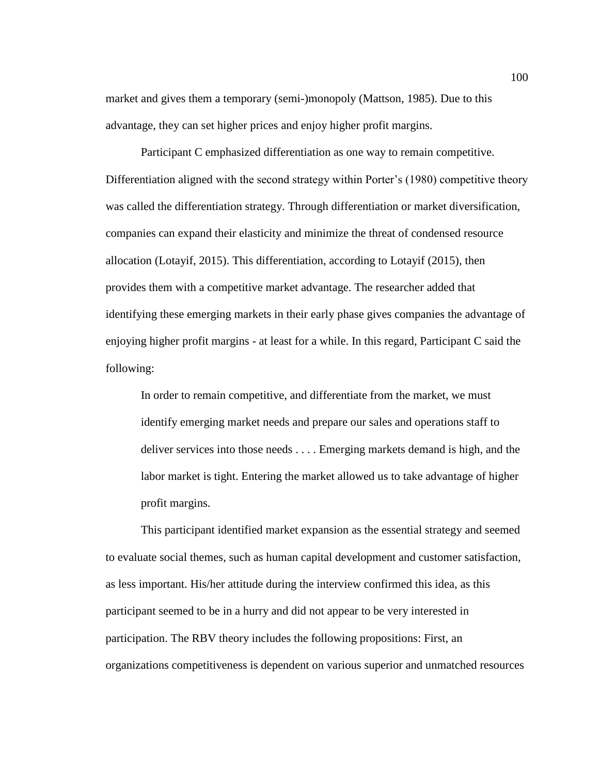market and gives them a temporary (semi-)monopoly (Mattson, 1985). Due to this advantage, they can set higher prices and enjoy higher profit margins.

Participant C emphasized differentiation as one way to remain competitive. Differentiation aligned with the second strategy within Porter's (1980) competitive theory was called the differentiation strategy. Through differentiation or market diversification, companies can expand their elasticity and minimize the threat of condensed resource allocation (Lotayif, 2015). This differentiation, according to Lotayif (2015), then provides them with a competitive market advantage. The researcher added that identifying these emerging markets in their early phase gives companies the advantage of enjoying higher profit margins - at least for a while. In this regard, Participant C said the following:

In order to remain competitive, and differentiate from the market, we must identify emerging market needs and prepare our sales and operations staff to deliver services into those needs . . . . Emerging markets demand is high, and the labor market is tight. Entering the market allowed us to take advantage of higher profit margins.

This participant identified market expansion as the essential strategy and seemed to evaluate social themes, such as human capital development and customer satisfaction, as less important. His/her attitude during the interview confirmed this idea, as this participant seemed to be in a hurry and did not appear to be very interested in participation. The RBV theory includes the following propositions: First, an organizations competitiveness is dependent on various superior and unmatched resources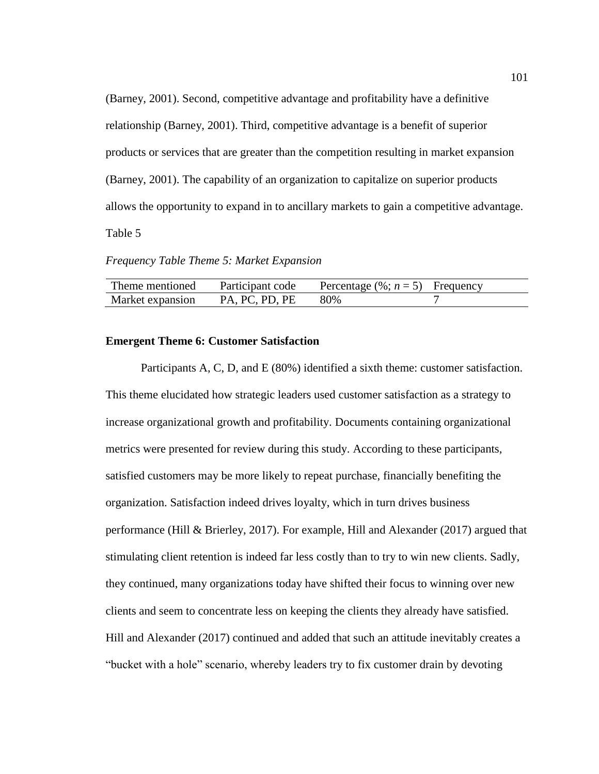(Barney, 2001). Second, competitive advantage and profitability have a definitive relationship (Barney, 2001). Third, competitive advantage is a benefit of superior products or services that are greater than the competition resulting in market expansion (Barney, 2001). The capability of an organization to capitalize on superior products allows the opportunity to expand in to ancillary markets to gain a competitive advantage. Table 5

*Frequency Table Theme 5: Market Expansion*

| Theme mentioned  | Participant code | Percentage $(\%; n = 5)$ Frequency |  |
|------------------|------------------|------------------------------------|--|
| Market expansion | PA. PC. PD. PE   | -80%                               |  |

# **Emergent Theme 6: Customer Satisfaction**

Participants A, C, D, and E (80%) identified a sixth theme: customer satisfaction. This theme elucidated how strategic leaders used customer satisfaction as a strategy to increase organizational growth and profitability. Documents containing organizational metrics were presented for review during this study. According to these participants, satisfied customers may be more likely to repeat purchase, financially benefiting the organization. Satisfaction indeed drives loyalty, which in turn drives business performance (Hill & Brierley, 2017). For example, Hill and Alexander (2017) argued that stimulating client retention is indeed far less costly than to try to win new clients. Sadly, they continued, many organizations today have shifted their focus to winning over new clients and seem to concentrate less on keeping the clients they already have satisfied. Hill and Alexander (2017) continued and added that such an attitude inevitably creates a "bucket with a hole" scenario, whereby leaders try to fix customer drain by devoting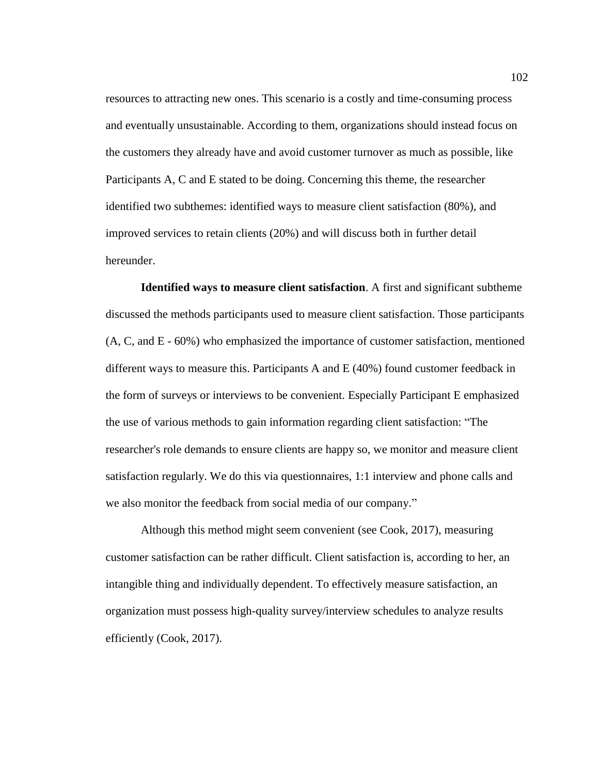resources to attracting new ones. This scenario is a costly and time-consuming process and eventually unsustainable. According to them, organizations should instead focus on the customers they already have and avoid customer turnover as much as possible, like Participants A, C and E stated to be doing. Concerning this theme, the researcher identified two subthemes: identified ways to measure client satisfaction (80%), and improved services to retain clients (20%) and will discuss both in further detail hereunder.

**Identified ways to measure client satisfaction**. A first and significant subtheme discussed the methods participants used to measure client satisfaction. Those participants (A, C, and E - 60%) who emphasized the importance of customer satisfaction, mentioned different ways to measure this. Participants A and E (40%) found customer feedback in the form of surveys or interviews to be convenient. Especially Participant E emphasized the use of various methods to gain information regarding client satisfaction: "The researcher's role demands to ensure clients are happy so, we monitor and measure client satisfaction regularly. We do this via questionnaires, 1:1 interview and phone calls and we also monitor the feedback from social media of our company."

Although this method might seem convenient (see Cook, 2017), measuring customer satisfaction can be rather difficult. Client satisfaction is, according to her, an intangible thing and individually dependent. To effectively measure satisfaction, an organization must possess high-quality survey/interview schedules to analyze results efficiently (Cook, 2017).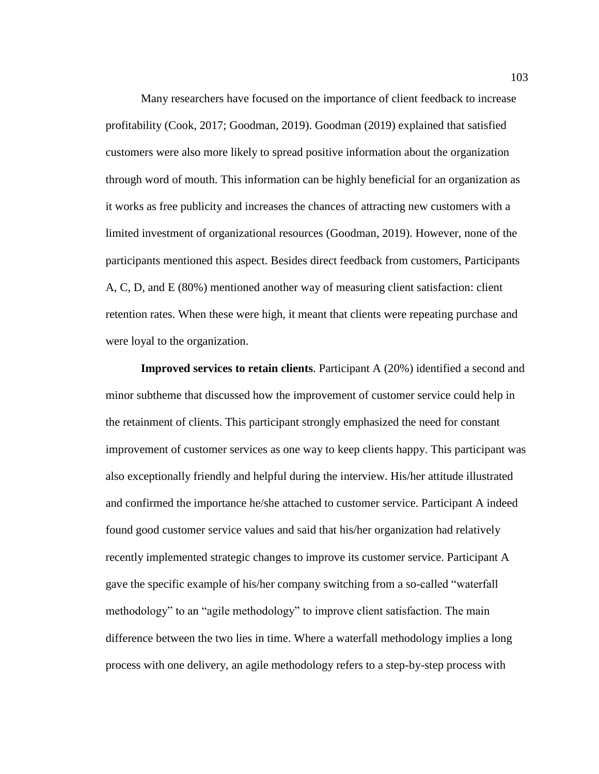Many researchers have focused on the importance of client feedback to increase profitability (Cook, 2017; Goodman, 2019). Goodman (2019) explained that satisfied customers were also more likely to spread positive information about the organization through word of mouth. This information can be highly beneficial for an organization as it works as free publicity and increases the chances of attracting new customers with a limited investment of organizational resources (Goodman, 2019). However, none of the participants mentioned this aspect. Besides direct feedback from customers, Participants A, C, D, and E (80%) mentioned another way of measuring client satisfaction: client retention rates. When these were high, it meant that clients were repeating purchase and were loyal to the organization.

**Improved services to retain clients**. Participant A (20%) identified a second and minor subtheme that discussed how the improvement of customer service could help in the retainment of clients. This participant strongly emphasized the need for constant improvement of customer services as one way to keep clients happy. This participant was also exceptionally friendly and helpful during the interview. His/her attitude illustrated and confirmed the importance he/she attached to customer service. Participant A indeed found good customer service values and said that his/her organization had relatively recently implemented strategic changes to improve its customer service. Participant A gave the specific example of his/her company switching from a so-called "waterfall methodology" to an "agile methodology" to improve client satisfaction. The main difference between the two lies in time. Where a waterfall methodology implies a long process with one delivery, an agile methodology refers to a step-by-step process with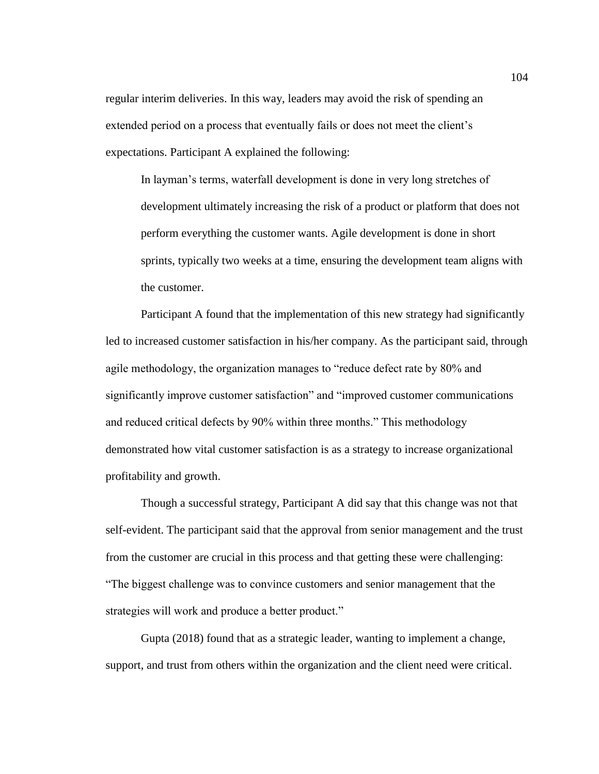regular interim deliveries. In this way, leaders may avoid the risk of spending an extended period on a process that eventually fails or does not meet the client's expectations. Participant A explained the following:

In layman's terms, waterfall development is done in very long stretches of development ultimately increasing the risk of a product or platform that does not perform everything the customer wants. Agile development is done in short sprints, typically two weeks at a time, ensuring the development team aligns with the customer.

Participant A found that the implementation of this new strategy had significantly led to increased customer satisfaction in his/her company. As the participant said, through agile methodology, the organization manages to "reduce defect rate by 80% and significantly improve customer satisfaction" and "improved customer communications and reduced critical defects by 90% within three months." This methodology demonstrated how vital customer satisfaction is as a strategy to increase organizational profitability and growth.

Though a successful strategy, Participant A did say that this change was not that self-evident. The participant said that the approval from senior management and the trust from the customer are crucial in this process and that getting these were challenging: "The biggest challenge was to convince customers and senior management that the strategies will work and produce a better product."

Gupta (2018) found that as a strategic leader, wanting to implement a change, support, and trust from others within the organization and the client need were critical.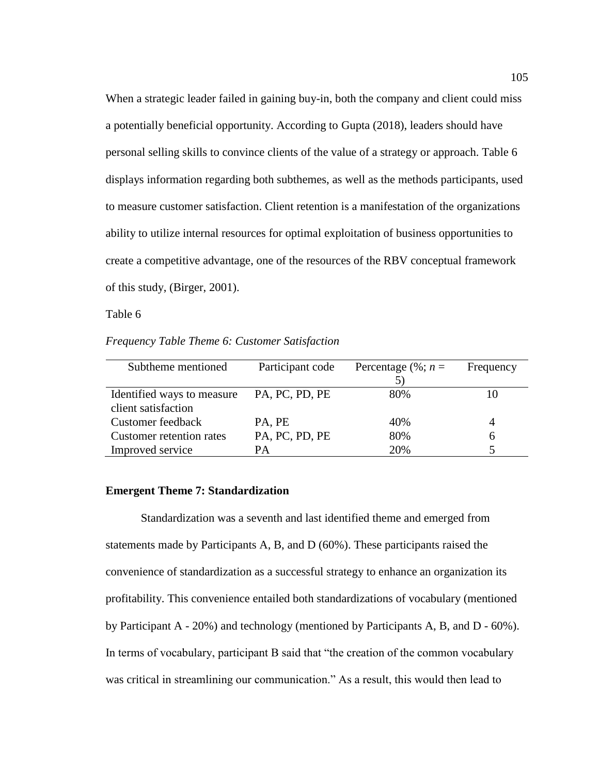When a strategic leader failed in gaining buy-in, both the company and client could miss a potentially beneficial opportunity. According to Gupta (2018), leaders should have personal selling skills to convince clients of the value of a strategy or approach. Table 6 displays information regarding both subthemes, as well as the methods participants, used to measure customer satisfaction. Client retention is a manifestation of the organizations ability to utilize internal resources for optimal exploitation of business opportunities to create a competitive advantage, one of the resources of the RBV conceptual framework of this study, (Birger, 2001).

Table 6

*Frequency Table Theme 6: Customer Satisfaction*

| Subtheme mentioned              | Participant code | Percentage $(\%; n =$ | Frequency |
|---------------------------------|------------------|-----------------------|-----------|
|                                 |                  |                       |           |
| Identified ways to measure      | PA, PC, PD, PE   | 80%                   |           |
| client satisfaction             |                  |                       |           |
| Customer feedback               | PA, PE           | 40%                   |           |
| <b>Customer retention rates</b> | PA, PC, PD, PE   | 80%                   | 6         |
| Improved service                | PА               | 20%                   |           |

## **Emergent Theme 7: Standardization**

Standardization was a seventh and last identified theme and emerged from statements made by Participants A, B, and D (60%). These participants raised the convenience of standardization as a successful strategy to enhance an organization its profitability. This convenience entailed both standardizations of vocabulary (mentioned by Participant A - 20%) and technology (mentioned by Participants A, B, and D - 60%). In terms of vocabulary, participant B said that "the creation of the common vocabulary was critical in streamlining our communication." As a result, this would then lead to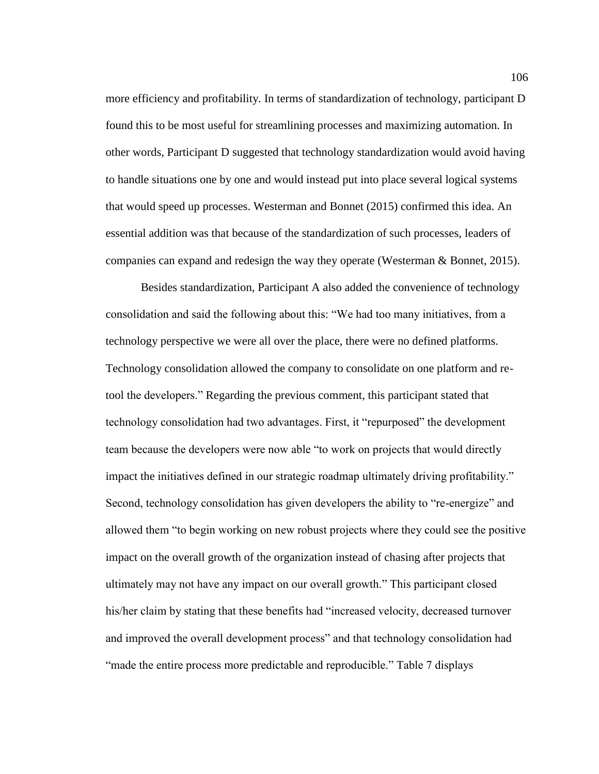more efficiency and profitability. In terms of standardization of technology, participant D found this to be most useful for streamlining processes and maximizing automation. In other words, Participant D suggested that technology standardization would avoid having to handle situations one by one and would instead put into place several logical systems that would speed up processes. Westerman and Bonnet (2015) confirmed this idea. An essential addition was that because of the standardization of such processes, leaders of companies can expand and redesign the way they operate (Westerman & Bonnet, 2015).

Besides standardization, Participant A also added the convenience of technology consolidation and said the following about this: "We had too many initiatives, from a technology perspective we were all over the place, there were no defined platforms. Technology consolidation allowed the company to consolidate on one platform and retool the developers." Regarding the previous comment, this participant stated that technology consolidation had two advantages. First, it "repurposed" the development team because the developers were now able "to work on projects that would directly impact the initiatives defined in our strategic roadmap ultimately driving profitability." Second, technology consolidation has given developers the ability to "re-energize" and allowed them "to begin working on new robust projects where they could see the positive impact on the overall growth of the organization instead of chasing after projects that ultimately may not have any impact on our overall growth." This participant closed his/her claim by stating that these benefits had "increased velocity, decreased turnover and improved the overall development process" and that technology consolidation had "made the entire process more predictable and reproducible." Table 7 displays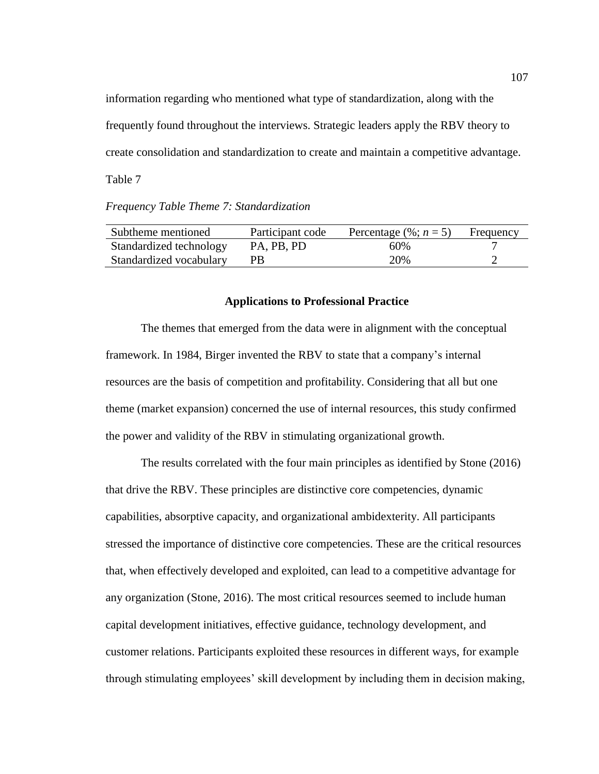information regarding who mentioned what type of standardization, along with the frequently found throughout the interviews. Strategic leaders apply the RBV theory to create consolidation and standardization to create and maintain a competitive advantage. Table 7

*Frequency Table Theme 7: Standardization*

| Subtheme mentioned      | Participant code | Percentage $(\%; n = 5)$ | Frequency |
|-------------------------|------------------|--------------------------|-----------|
| Standardized technology | PA, PB, PD       | 60%                      |           |
| Standardized vocabulary | PB.              | 20%                      |           |

## **Applications to Professional Practice**

The themes that emerged from the data were in alignment with the conceptual framework. In 1984, Birger invented the RBV to state that a company's internal resources are the basis of competition and profitability. Considering that all but one theme (market expansion) concerned the use of internal resources, this study confirmed the power and validity of the RBV in stimulating organizational growth.

The results correlated with the four main principles as identified by Stone (2016) that drive the RBV. These principles are distinctive core competencies, dynamic capabilities, absorptive capacity, and organizational ambidexterity. All participants stressed the importance of distinctive core competencies. These are the critical resources that, when effectively developed and exploited, can lead to a competitive advantage for any organization (Stone, 2016). The most critical resources seemed to include human capital development initiatives, effective guidance, technology development, and customer relations. Participants exploited these resources in different ways, for example through stimulating employees' skill development by including them in decision making,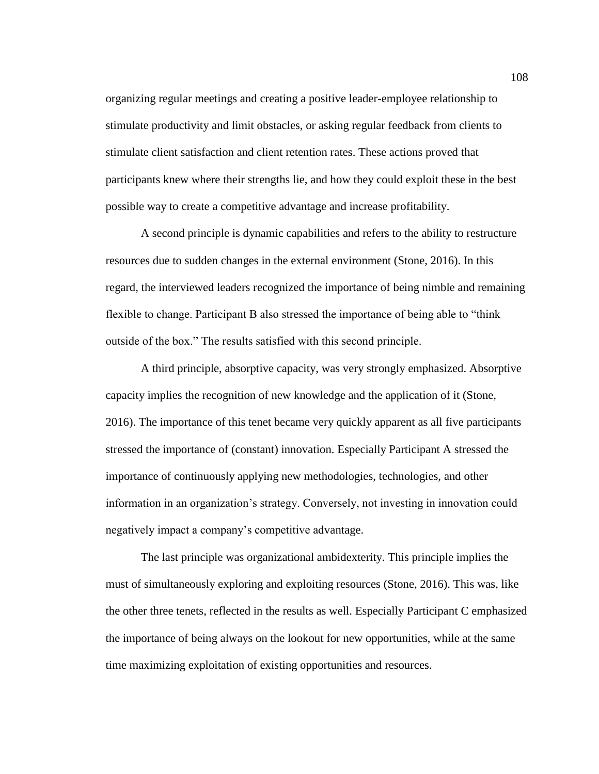organizing regular meetings and creating a positive leader-employee relationship to stimulate productivity and limit obstacles, or asking regular feedback from clients to stimulate client satisfaction and client retention rates. These actions proved that participants knew where their strengths lie, and how they could exploit these in the best possible way to create a competitive advantage and increase profitability.

A second principle is dynamic capabilities and refers to the ability to restructure resources due to sudden changes in the external environment (Stone, 2016). In this regard, the interviewed leaders recognized the importance of being nimble and remaining flexible to change. Participant B also stressed the importance of being able to "think outside of the box." The results satisfied with this second principle.

A third principle, absorptive capacity, was very strongly emphasized. Absorptive capacity implies the recognition of new knowledge and the application of it (Stone, 2016). The importance of this tenet became very quickly apparent as all five participants stressed the importance of (constant) innovation. Especially Participant A stressed the importance of continuously applying new methodologies, technologies, and other information in an organization's strategy. Conversely, not investing in innovation could negatively impact a company's competitive advantage.

The last principle was organizational ambidexterity. This principle implies the must of simultaneously exploring and exploiting resources (Stone, 2016). This was, like the other three tenets, reflected in the results as well. Especially Participant C emphasized the importance of being always on the lookout for new opportunities, while at the same time maximizing exploitation of existing opportunities and resources.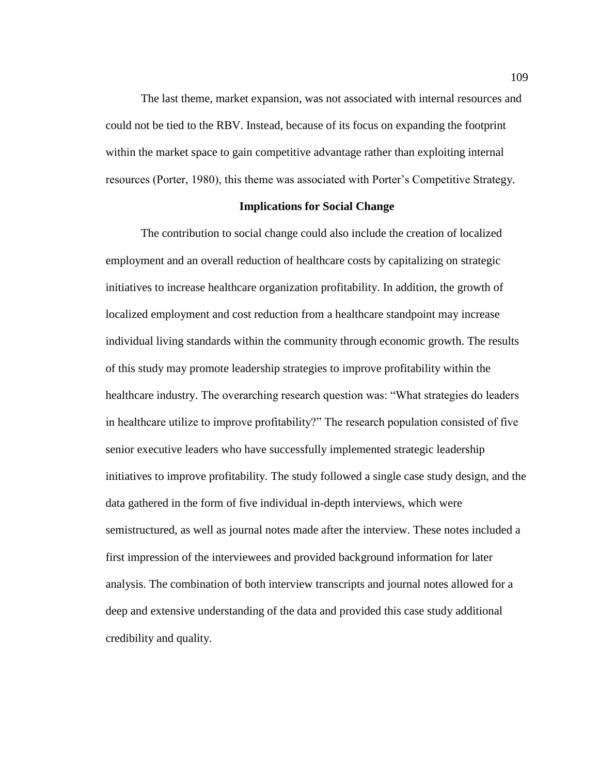The last theme, market expansion, was not associated with internal resources and could not be tied to the RBV. Instead, because of its focus on expanding the footprint within the market space to gain competitive advantage rather than exploiting internal resources (Porter, 1980), this theme was associated with Porter's Competitive Strategy.

#### **Implications for Social Change**

The contribution to social change could also include the creation of localized employment and an overall reduction of healthcare costs by capitalizing on strategic initiatives to increase healthcare organization profitability. In addition, the growth of localized employment and cost reduction from a healthcare standpoint may increase individual living standards within the community through economic growth. The results of this study may promote leadership strategies to improve profitability within the healthcare industry. The overarching research question was: "What strategies do leaders in healthcare utilize to improve profitability?" The research population consisted of five senior executive leaders who have successfully implemented strategic leadership initiatives to improve profitability. The study followed a single case study design, and the data gathered in the form of five individual in-depth interviews, which were semistructured, as well as journal notes made after the interview. These notes included a first impression of the interviewees and provided background information for later analysis. The combination of both interview transcripts and journal notes allowed for a deep and extensive understanding of the data and provided this case study additional credibility and quality.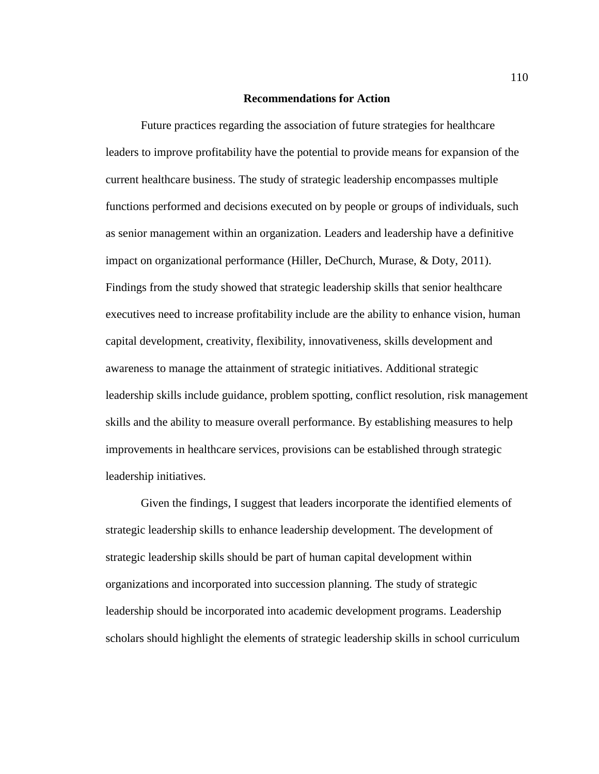## **Recommendations for Action**

Future practices regarding the association of future strategies for healthcare leaders to improve profitability have the potential to provide means for expansion of the current healthcare business. The study of strategic leadership encompasses multiple functions performed and decisions executed on by people or groups of individuals, such as senior management within an organization. Leaders and leadership have a definitive impact on organizational performance (Hiller, DeChurch, Murase, & Doty, 2011). Findings from the study showed that strategic leadership skills that senior healthcare executives need to increase profitability include are the ability to enhance vision, human capital development, creativity, flexibility, innovativeness, skills development and awareness to manage the attainment of strategic initiatives. Additional strategic leadership skills include guidance, problem spotting, conflict resolution, risk management skills and the ability to measure overall performance. By establishing measures to help improvements in healthcare services, provisions can be established through strategic leadership initiatives.

Given the findings, I suggest that leaders incorporate the identified elements of strategic leadership skills to enhance leadership development. The development of strategic leadership skills should be part of human capital development within organizations and incorporated into succession planning. The study of strategic leadership should be incorporated into academic development programs. Leadership scholars should highlight the elements of strategic leadership skills in school curriculum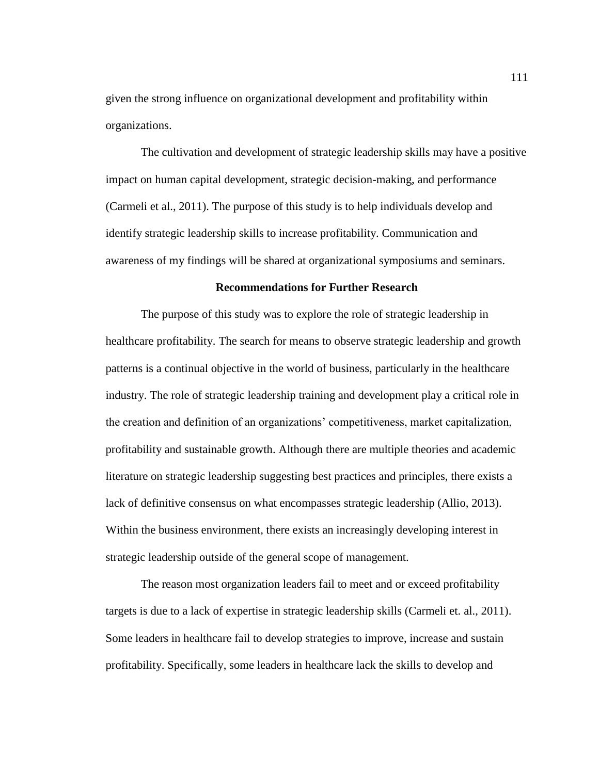given the strong influence on organizational development and profitability within organizations.

The cultivation and development of strategic leadership skills may have a positive impact on human capital development, strategic decision-making, and performance (Carmeli et al., 2011). The purpose of this study is to help individuals develop and identify strategic leadership skills to increase profitability. Communication and awareness of my findings will be shared at organizational symposiums and seminars.

# **Recommendations for Further Research**

The purpose of this study was to explore the role of strategic leadership in healthcare profitability. The search for means to observe strategic leadership and growth patterns is a continual objective in the world of business, particularly in the healthcare industry. The role of strategic leadership training and development play a critical role in the creation and definition of an organizations' competitiveness, market capitalization, profitability and sustainable growth. Although there are multiple theories and academic literature on strategic leadership suggesting best practices and principles, there exists a lack of definitive consensus on what encompasses strategic leadership (Allio, 2013). Within the business environment, there exists an increasingly developing interest in strategic leadership outside of the general scope of management.

The reason most organization leaders fail to meet and or exceed profitability targets is due to a lack of expertise in strategic leadership skills (Carmeli et. al., 2011). Some leaders in healthcare fail to develop strategies to improve, increase and sustain profitability. Specifically, some leaders in healthcare lack the skills to develop and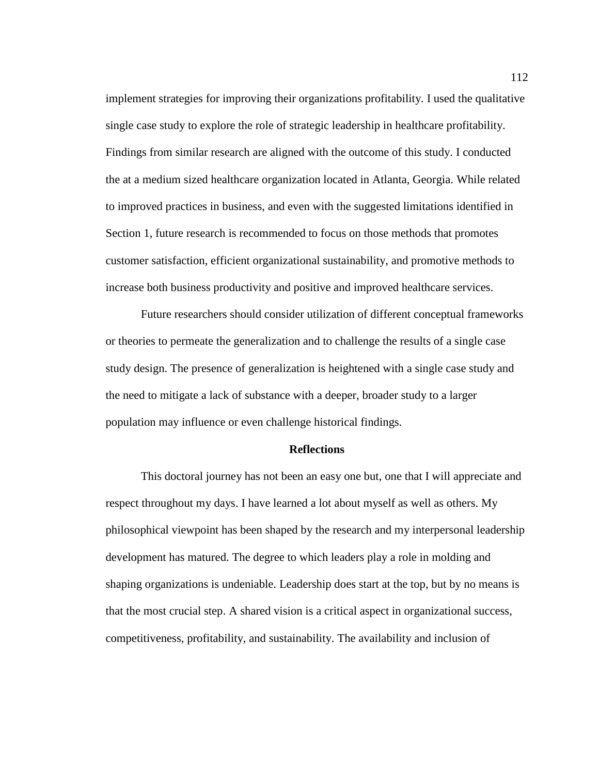implement strategies for improving their organizations profitability. I used the qualitative single case study to explore the role of strategic leadership in healthcare profitability. Findings from similar research are aligned with the outcome of this study. I conducted the at a medium sized healthcare organization located in Atlanta, Georgia. While related to improved practices in business, and even with the suggested limitations identified in Section 1, future research is recommended to focus on those methods that promotes customer satisfaction, efficient organizational sustainability, and promotive methods to increase both business productivity and positive and improved healthcare services.

Future researchers should consider utilization of different conceptual frameworks or theories to permeate the generalization and to challenge the results of a single case study design. The presence of generalization is heightened with a single case study and the need to mitigate a lack of substance with a deeper, broader study to a larger population may influence or even challenge historical findings.

### **Reflections**

This doctoral journey has not been an easy one but, one that I will appreciate and respect throughout my days. I have learned a lot about myself as well as others. My philosophical viewpoint has been shaped by the research and my interpersonal leadership development has matured. The degree to which leaders play a role in molding and shaping organizations is undeniable. Leadership does start at the top, but by no means is that the most crucial step. A shared vision is a critical aspect in organizational success, competitiveness, profitability, and sustainability. The availability and inclusion of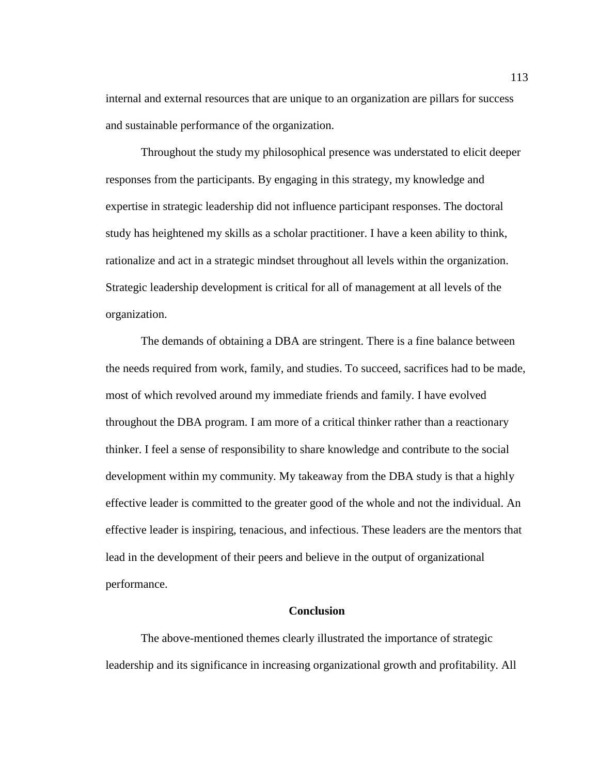internal and external resources that are unique to an organization are pillars for success and sustainable performance of the organization.

Throughout the study my philosophical presence was understated to elicit deeper responses from the participants. By engaging in this strategy, my knowledge and expertise in strategic leadership did not influence participant responses. The doctoral study has heightened my skills as a scholar practitioner. I have a keen ability to think, rationalize and act in a strategic mindset throughout all levels within the organization. Strategic leadership development is critical for all of management at all levels of the organization.

The demands of obtaining a DBA are stringent. There is a fine balance between the needs required from work, family, and studies. To succeed, sacrifices had to be made, most of which revolved around my immediate friends and family. I have evolved throughout the DBA program. I am more of a critical thinker rather than a reactionary thinker. I feel a sense of responsibility to share knowledge and contribute to the social development within my community. My takeaway from the DBA study is that a highly effective leader is committed to the greater good of the whole and not the individual. An effective leader is inspiring, tenacious, and infectious. These leaders are the mentors that lead in the development of their peers and believe in the output of organizational performance.

## **Conclusion**

The above-mentioned themes clearly illustrated the importance of strategic leadership and its significance in increasing organizational growth and profitability. All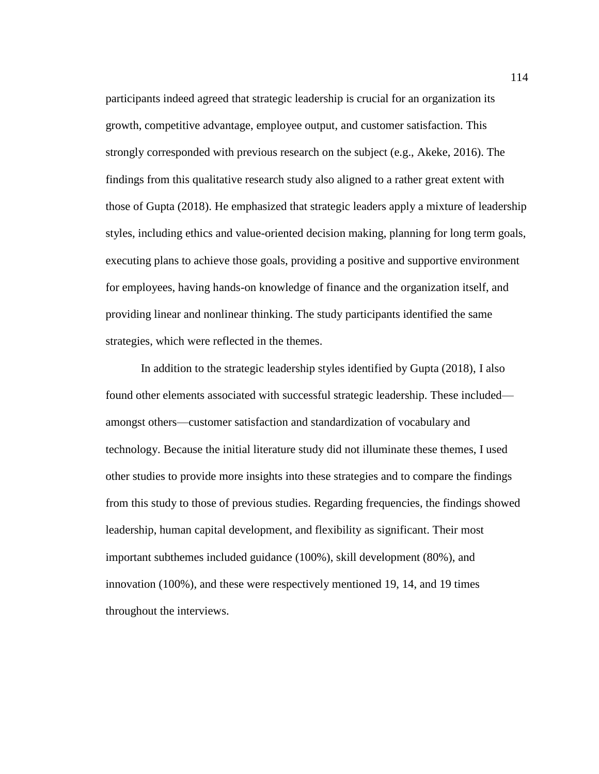participants indeed agreed that strategic leadership is crucial for an organization its growth, competitive advantage, employee output, and customer satisfaction. This strongly corresponded with previous research on the subject (e.g., Akeke, 2016). The findings from this qualitative research study also aligned to a rather great extent with those of Gupta (2018). He emphasized that strategic leaders apply a mixture of leadership styles, including ethics and value-oriented decision making, planning for long term goals, executing plans to achieve those goals, providing a positive and supportive environment for employees, having hands-on knowledge of finance and the organization itself, and providing linear and nonlinear thinking. The study participants identified the same strategies, which were reflected in the themes.

In addition to the strategic leadership styles identified by Gupta (2018), I also found other elements associated with successful strategic leadership. These included amongst others—customer satisfaction and standardization of vocabulary and technology. Because the initial literature study did not illuminate these themes, I used other studies to provide more insights into these strategies and to compare the findings from this study to those of previous studies. Regarding frequencies, the findings showed leadership, human capital development, and flexibility as significant. Their most important subthemes included guidance (100%), skill development (80%), and innovation (100%), and these were respectively mentioned 19, 14, and 19 times throughout the interviews.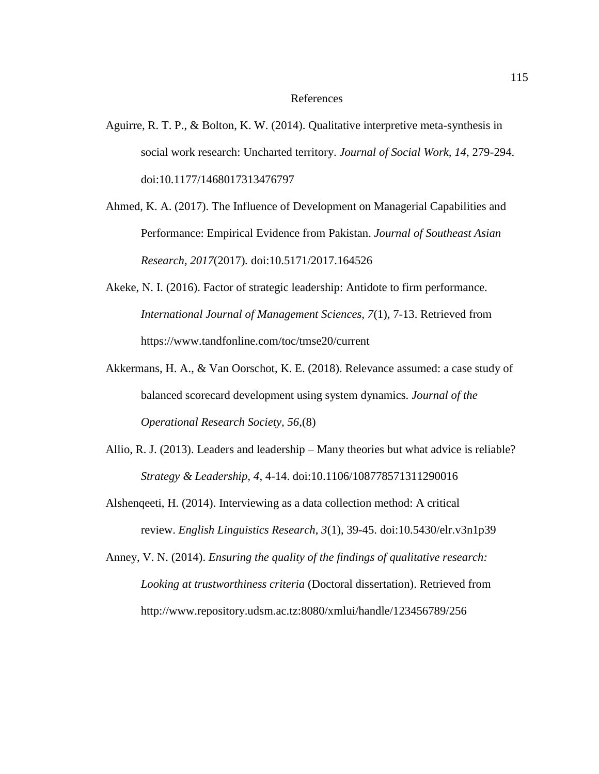### References

- Aguirre, R. T. P., & Bolton, K. W. (2014). Qualitative interpretive meta-synthesis in social work research: Uncharted territory. *Journal of Social Work, 14*, 279-294. doi:10.1177/1468017313476797
- Ahmed, K. A. (2017). The Influence of Development on Managerial Capabilities and Performance: Empirical Evidence from Pakistan. *Journal of Southeast Asian Research, 2017*(2017)*.* doi:10.5171/2017.164526
- Akeke, N. I. (2016). Factor of strategic leadership: Antidote to firm performance. *International Journal of Management Sciences, 7*(1), 7-13. Retrieved from https://www.tandfonline.com/toc/tmse20/current
- Akkermans, H. A., & Van Oorschot, K. E. (2018). Relevance assumed: a case study of balanced scorecard development using system dynamics. *Journal of the Operational Research Society, 56*,(8)
- Allio, R. J. (2013). Leaders and leadership Many theories but what advice is reliable? *Strategy & Leadership, 4*, 4-14. doi:10.1106/108778571311290016
- Alshenqeeti, H. (2014). Interviewing as a data collection method: A critical review. *English Linguistics Research*, *3*(1), 39-45. doi:10.5430/elr.v3n1p39
- Anney, V. N. (2014). *Ensuring the quality of the findings of qualitative research: Looking at trustworthiness criteria* (Doctoral dissertation). Retrieved from http://www.repository.udsm.ac.tz:8080/xmlui/handle/123456789/256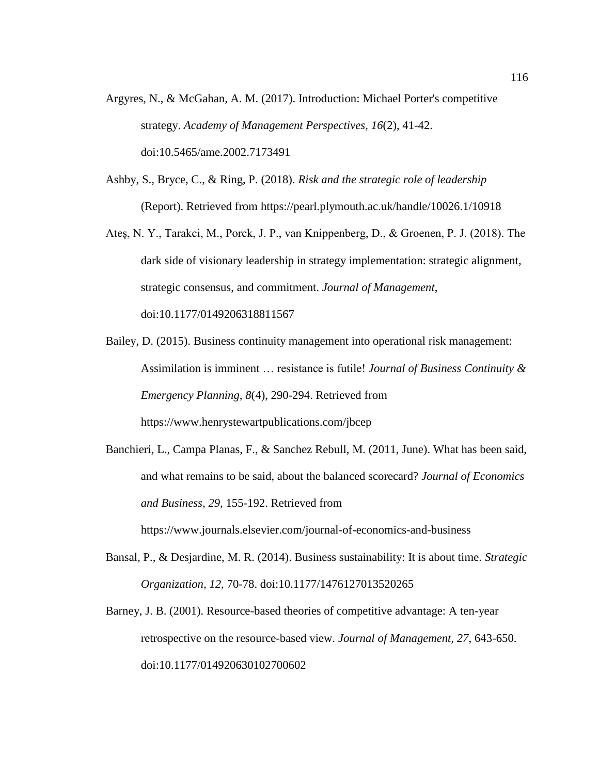- Argyres, N., & McGahan, A. M. (2017). Introduction: Michael Porter's competitive strategy. *Academy of Management Perspectives*, *16*(2), 41-42. doi:10.5465/ame.2002.7173491
- Ashby, S., Bryce, C., & Ring, P. (2018). *Risk and the strategic role of leadership* (Report). Retrieved from https://pearl.plymouth.ac.uk/handle/10026.1/10918
- Ateş, N. Y., Tarakci, M., Porck, J. P., van Knippenberg, D., & Groenen, P. J. (2018). The dark side of visionary leadership in strategy implementation: strategic alignment, strategic consensus, and commitment. *Journal of Management*, doi:10.1177/0149206318811567
- Bailey, D. (2015). Business continuity management into operational risk management: Assimilation is imminent … resistance is futile! *Journal of Business Continuity & Emergency Planning, 8*(4), 290-294. Retrieved from https://www.henrystewartpublications.com/jbcep
- Banchieri, L., Campa Planas, F., & Sanchez Rebull, M. (2011, June). What has been said, and what remains to be said, about the balanced scorecard? *Journal of Economics and Business, 29*, 155-192. Retrieved from

https://www.journals.elsevier.com/journal-of-economics-and-business

- Bansal, P., & Desjardine, M. R. (2014). Business sustainability: It is about time. *Strategic Organization, 12,* 70-78. doi:10.1177/1476127013520265
- Barney, J. B. (2001). Resource-based theories of competitive advantage: A ten-year retrospective on the resource-based view. *Journal of Management, 27*, 643-650. doi:10.1177/014920630102700602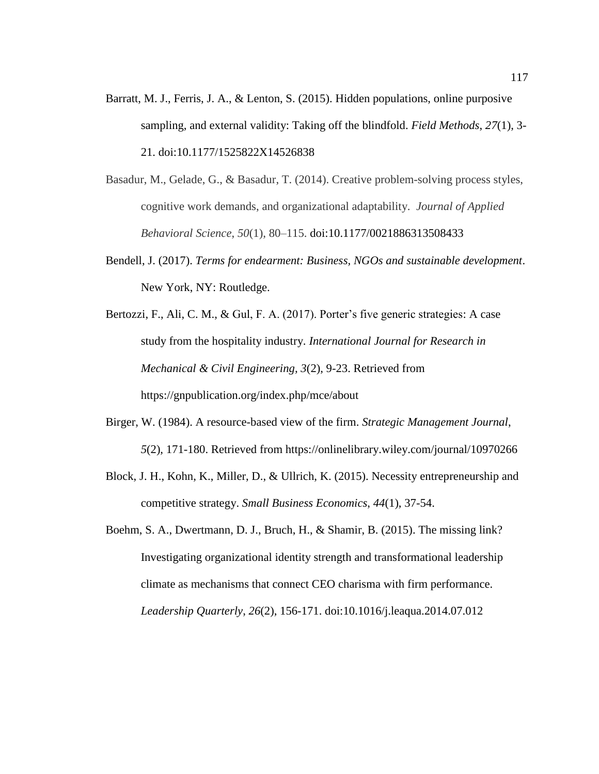- Barratt, M. J., Ferris, J. A., & Lenton, S. (2015). Hidden populations, online purposive sampling, and external validity: Taking off the blindfold. *Field Methods*, *27*(1), 3- 21. doi:10.1177/1525822X14526838
- Basadur, M., Gelade, G., & Basadur, T. (2014). Creative problem-solving process styles, cognitive work demands, and organizational adaptability. *Journal of Applied Behavioral Science*, *50*(1), 80–115. doi:10.1177/0021886313508433
- Bendell, J. (2017). *Terms for endearment: Business, NGOs and sustainable development*. New York, NY: Routledge.
- Bertozzi, F., Ali, C. M., & Gul, F. A. (2017). Porter's five generic strategies: A case study from the hospitality industry. *International Journal for Research in Mechanical & Civil Engineering, 3*(2), 9-23. Retrieved from https://gnpublication.org/index.php/mce/about
- Birger, W. (1984). A resource-based view of the firm. *Strategic Management Journal*, *5*(2), 171-180. Retrieved from https://onlinelibrary.wiley.com/journal/10970266
- Block, J. H., Kohn, K., Miller, D., & Ullrich, K. (2015). Necessity entrepreneurship and competitive strategy. *Small Business Economics*, *44*(1), 37-54.
- Boehm, S. A., Dwertmann, D. J., Bruch, H., & Shamir, B. (2015). The missing link? Investigating organizational identity strength and transformational leadership climate as mechanisms that connect CEO charisma with firm performance. *Leadership Quarterly*, *26*(2), 156-171. doi:10.1016/j.leaqua.2014.07.012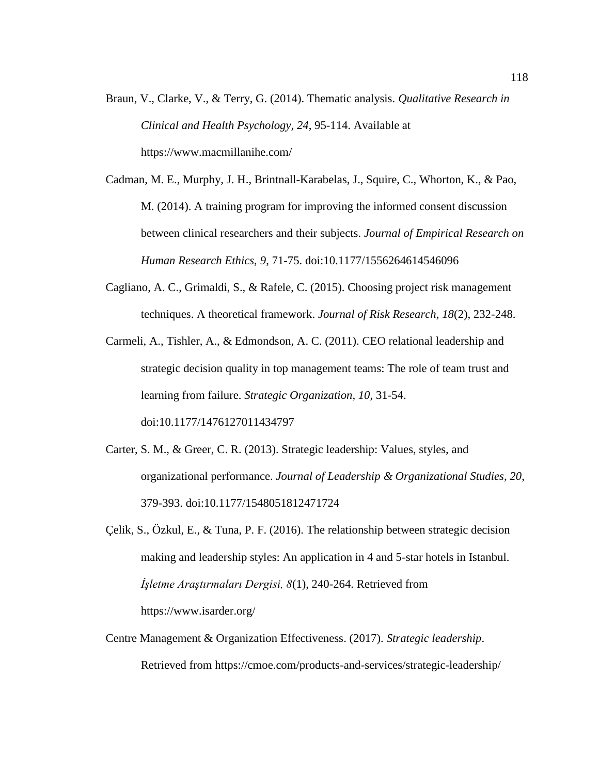Braun, V., Clarke, V., & Terry, G. (2014). Thematic analysis. *Qualitative Research in Clinical and Health Psychology, 24*, 95-114. Available at https://www.macmillanihe.com/

Cadman, M. E., Murphy, J. H., Brintnall-Karabelas, J., Squire, C., Whorton, K., & Pao, M. (2014). A training program for improving the informed consent discussion between clinical researchers and their subjects. *Journal of Empirical Research on Human Research Ethics, 9*, 71-75. doi:10.1177/1556264614546096

Cagliano, A. C., Grimaldi, S., & Rafele, C. (2015). Choosing project risk management techniques. A theoretical framework. *Journal of Risk Research*, *18*(2), 232-248.

Carmeli, A., Tishler, A., & Edmondson, A. C. (2011). CEO relational leadership and strategic decision quality in top management teams: The role of team trust and learning from failure. *Strategic Organization, 10*, 31-54. doi:10.1177/1476127011434797

- Carter, S. M., & Greer, C. R. (2013). Strategic leadership: Values, styles, and organizational performance. *Journal of Leadership & Organizational Studies, 20*, 379-393. doi:10.1177/1548051812471724
- Çelik, S., Özkul, E., & Tuna, P. F. (2016). The relationship between strategic decision making and leadership styles: An application in 4 and 5-star hotels in Istanbul. *İşletme Araştırmaları Dergisi, 8*(1), 240-264. Retrieved from https://www.isarder.org/
- Centre Management & Organization Effectiveness. (2017). *Strategic leadership*. Retrieved from https://cmoe.com/products-and-services/strategic-leadership/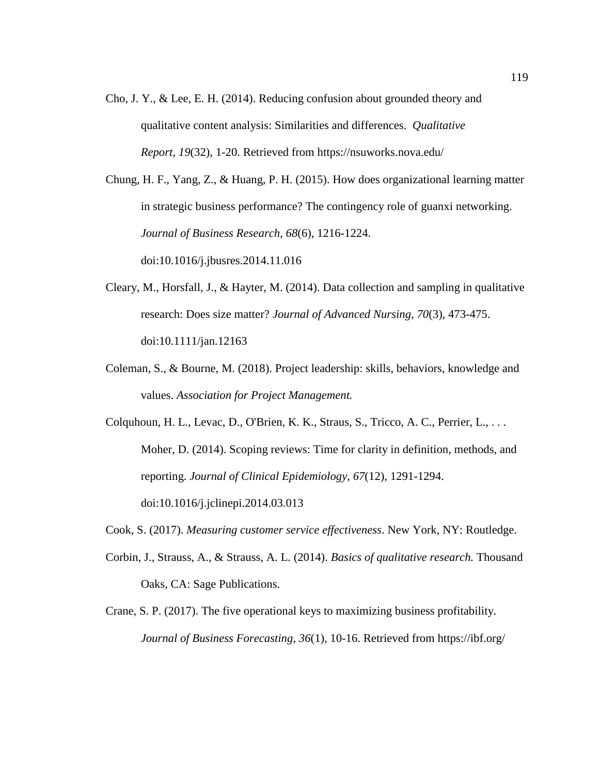Cho, J. Y., & Lee, E. H. (2014). Reducing confusion about grounded theory and qualitative content analysis: Similarities and differences. *Qualitative Report*, *19*(32), 1-20. Retrieved from https://nsuworks.nova.edu/

Chung, H. F., Yang, Z., & Huang, P. H. (2015). How does organizational learning matter in strategic business performance? The contingency role of guanxi networking. *Journal of Business Research*, *68*(6), 1216-1224. doi:10.1016/j.jbusres.2014.11.016

- Cleary, M., Horsfall, J., & Hayter, M. (2014). Data collection and sampling in qualitative research: Does size matter? *Journal of Advanced Nursing*, *70*(3), 473-475. doi:10.1111/jan.12163
- Coleman, S., & Bourne, M. (2018). Project leadership: skills, behaviors, knowledge and values. *Association for Project Management.*
- Colquhoun, H. L., Levac, D., O'Brien, K. K., Straus, S., Tricco, A. C., Perrier, L., . . . Moher, D. (2014). Scoping reviews: Time for clarity in definition, methods, and reporting. *Journal of Clinical Epidemiology*, *67*(12), 1291-1294. doi:10.1016/j.jclinepi.2014.03.013
- Cook, S. (2017). *Measuring customer service effectiveness*. New York, NY: Routledge.
- Corbin, J., Strauss, A., & Strauss, A. L. (2014). *Basics of qualitative research.* Thousand Oaks, CA: Sage Publications.
- Crane, S. P. (2017). The five operational keys to maximizing business profitability. *Journal of Business Forecasting*, *36*(1), 10-16. Retrieved from https://ibf.org/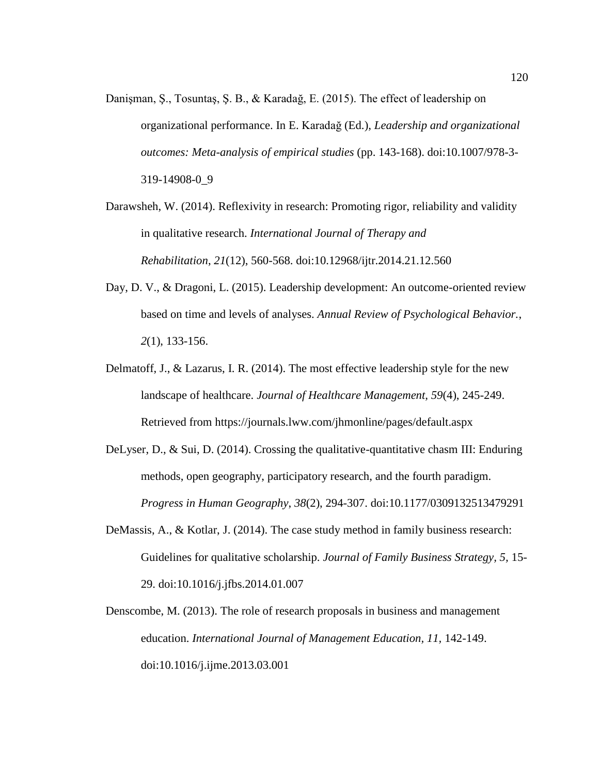- Danişman, Ş., Tosuntaş, Ş. B., & Karadağ, E. (2015). The effect of leadership on organizational performance. In E. Karadağ (Ed.), *Leadership and organizational outcomes: Meta-analysis of empirical studies* (pp. 143-168). doi:10.1007/978-3- 319-14908-0\_9
- Darawsheh, W. (2014). Reflexivity in research: Promoting rigor, reliability and validity in qualitative research. *International Journal of Therapy and Rehabilitation*, *21*(12), 560-568. doi:10.12968/ijtr.2014.21.12.560
- Day, D. V., & Dragoni, L. (2015). Leadership development: An outcome-oriented review based on time and levels of analyses. *Annual Review of Psychological Behavior.*, *2*(1), 133-156.
- Delmatoff, J., & Lazarus, I. R. (2014). The most effective leadership style for the new landscape of healthcare. *Journal of Healthcare Management, 59*(4), 245-249. Retrieved from https://journals.lww.com/jhmonline/pages/default.aspx
- DeLyser, D., & Sui, D. (2014). Crossing the qualitative-quantitative chasm III: Enduring methods, open geography, participatory research, and the fourth paradigm. *Progress in Human Geography*, *38*(2), 294-307. doi:10.1177/0309132513479291
- DeMassis, A., & Kotlar, J. (2014). The case study method in family business research: Guidelines for qualitative scholarship. *Journal of Family Business Strategy, 5,* 15- 29. doi:10.1016/j.jfbs.2014.01.007
- Denscombe, M. (2013). The role of research proposals in business and management education. *International Journal of Management Education, 11,* 142-149. doi:10.1016/j.ijme.2013.03.001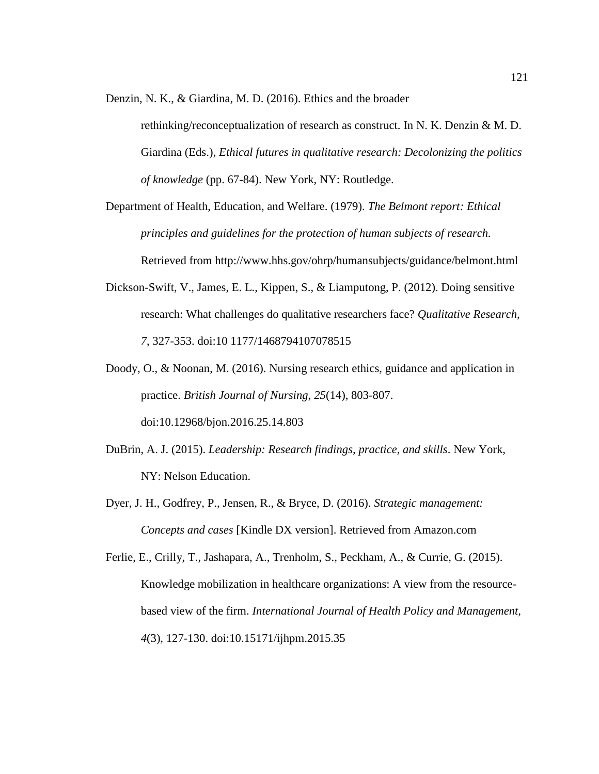Denzin, N. K., & Giardina, M. D. (2016). Ethics and the broader

rethinking/reconceptualization of research as construct. In N. K. Denzin & M. D. Giardina (Eds.), *Ethical futures in qualitative research: Decolonizing the politics of knowledge* (pp. 67-84). New York, NY: Routledge.

Department of Health, Education, and Welfare. (1979). *The Belmont report: Ethical principles and guidelines for the protection of human subjects of research.* Retrieved from http://www.hhs.gov/ohrp/humansubjects/guidance/belmont.html

- Dickson-Swift, V., James, E. L., Kippen, S., & Liamputong, P. (2012). Doing sensitive research: What challenges do qualitative researchers face? *Qualitative Research, 7*, 327-353. doi:10 1177/1468794107078515
- Doody, O., & Noonan, M. (2016). Nursing research ethics, guidance and application in practice. *British Journal of Nursing*, *25*(14), 803-807. doi:10.12968/bjon.2016.25.14.803
- DuBrin, A. J. (2015). *Leadership: Research findings, practice, and skills*. New York, NY: Nelson Education.
- Dyer, J. H., Godfrey, P., Jensen, R., & Bryce, D. (2016). *Strategic management: Concepts and cases* [Kindle DX version]. Retrieved from Amazon.com
- Ferlie, E., Crilly, T., Jashapara, A., Trenholm, S., Peckham, A., & Currie, G. (2015). Knowledge mobilization in healthcare organizations: A view from the resourcebased view of the firm. *International Journal of Health Policy and Management, 4*(3), 127-130. doi:10.15171/ijhpm.2015.35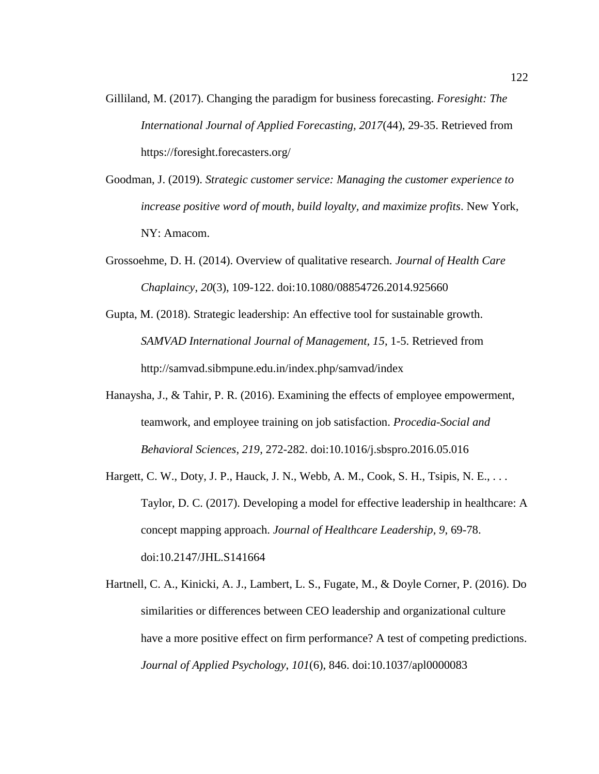- Gilliland, M. (2017). Changing the paradigm for business forecasting. *Foresight: The International Journal of Applied Forecasting, 2017*(44), 29-35. Retrieved from https://foresight.forecasters.org/
- Goodman, J. (2019). *Strategic customer service: Managing the customer experience to increase positive word of mouth, build loyalty, and maximize profits*. New York, NY: Amacom.
- Grossoehme, D. H. (2014). Overview of qualitative research. *Journal of Health Care Chaplaincy*, *20*(3), 109-122. doi:10.1080/08854726.2014.925660
- Gupta, M. (2018). Strategic leadership: An effective tool for sustainable growth. *SAMVAD International Journal of Management, 15*, 1-5. Retrieved from http://samvad.sibmpune.edu.in/index.php/samvad/index
- Hanaysha, J., & Tahir, P. R. (2016). Examining the effects of employee empowerment, teamwork, and employee training on job satisfaction. *Procedia-Social and Behavioral Sciences*, *219*, 272-282. doi:10.1016/j.sbspro.2016.05.016
- Hargett, C. W., Doty, J. P., Hauck, J. N., Webb, A. M., Cook, S. H., Tsipis, N. E., . . . Taylor, D. C. (2017). Developing a model for effective leadership in healthcare: A concept mapping approach. *Journal of Healthcare Leadership, 9*, 69-78. doi:10.2147/JHL.S141664
- Hartnell, C. A., Kinicki, A. J., Lambert, L. S., Fugate, M., & Doyle Corner, P. (2016). Do similarities or differences between CEO leadership and organizational culture have a more positive effect on firm performance? A test of competing predictions. *Journal of Applied Psychology*, *101*(6), 846. doi:10.1037/apl0000083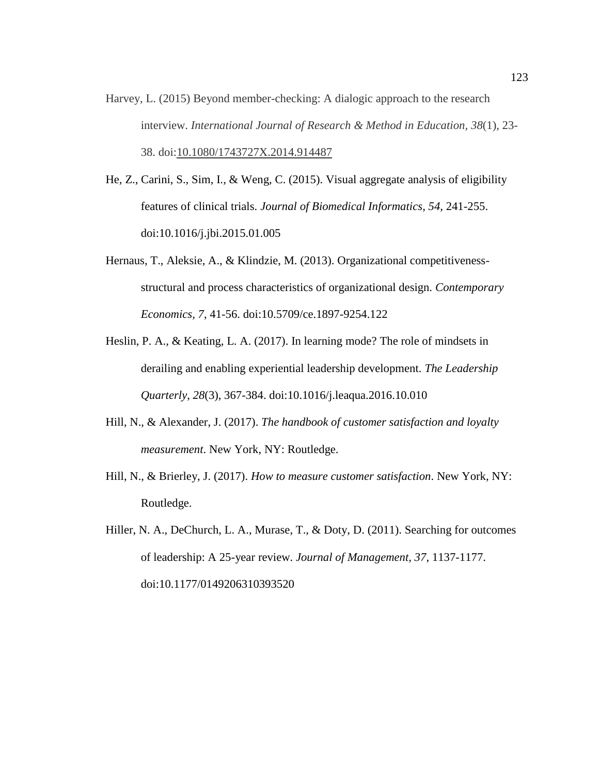- Harvey, L. (2015) Beyond member-checking: A dialogic approach to the research interview. *International Journal of Research & Method in Education, 38*(1), 23- 38. doi[:10.1080/1743727X.2014.914487](https://doi.org/10.1080/1743727X.2014.914487)
- He, Z., Carini, S., Sim, I., & Weng, C. (2015). Visual aggregate analysis of eligibility features of clinical trials. *Journal of Biomedical Informatics*, *54*, 241-255. doi:10.1016/j.jbi.2015.01.005
- Hernaus, T., Aleksie, A., & Klindzie, M. (2013). Organizational competitivenessstructural and process characteristics of organizational design. *Contemporary Economics, 7*, 41-56. doi:10.5709/ce.1897-9254.122
- Heslin, P. A., & Keating, L. A. (2017). In learning mode? The role of mindsets in derailing and enabling experiential leadership development. *The Leadership Quarterly*, *28*(3), 367-384. doi:10.1016/j.leaqua.2016.10.010
- Hill, N., & Alexander, J. (2017). *The handbook of customer satisfaction and loyalty measurement*. New York, NY: Routledge.
- Hill, N., & Brierley, J. (2017). *How to measure customer satisfaction*. New York, NY: Routledge.
- Hiller, N. A., DeChurch, L. A., Murase, T., & Doty, D. (2011). Searching for outcomes of leadership: A 25-year review. *Journal of Management, 37*, 1137-1177. doi:10.1177/0149206310393520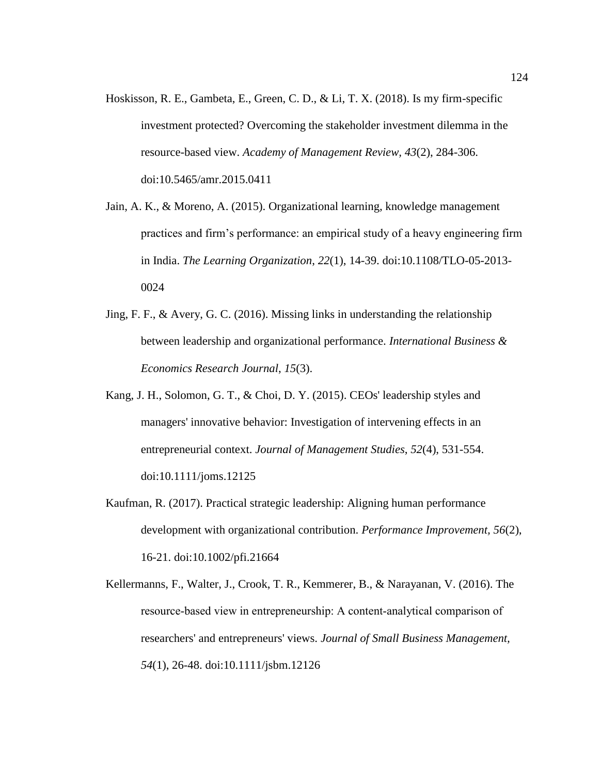- Hoskisson, R. E., Gambeta, E., Green, C. D., & Li, T. X. (2018). Is my firm-specific investment protected? Overcoming the stakeholder investment dilemma in the resource-based view. *Academy of Management Review, 43*(2), 284-306. doi:10.5465/amr.2015.0411
- Jain, A. K., & Moreno, A. (2015). Organizational learning, knowledge management practices and firm's performance: an empirical study of a heavy engineering firm in India. *The Learning Organization*, *22*(1), 14-39. doi:10.1108/TLO-05-2013- 0024
- Jing, F. F., & Avery, G. C. (2016). Missing links in understanding the relationship between leadership and organizational performance. *International Business & Economics Research Journal*, *15*(3).
- Kang, J. H., Solomon, G. T., & Choi, D. Y. (2015). CEOs' leadership styles and managers' innovative behavior: Investigation of intervening effects in an entrepreneurial context. *Journal of Management Studies*, *52*(4), 531-554. doi:10.1111/joms.12125
- Kaufman, R. (2017). Practical strategic leadership: Aligning human performance development with organizational contribution. *Performance Improvement, 56*(2), 16-21. doi:10.1002/pfi.21664

Kellermanns, F., Walter, J., Crook, T. R., Kemmerer, B., & Narayanan, V. (2016). The resource‐based view in entrepreneurship: A content‐analytical comparison of researchers' and entrepreneurs' views. *Journal of Small Business Management, 54*(1), 26-48. doi:10.1111/jsbm.12126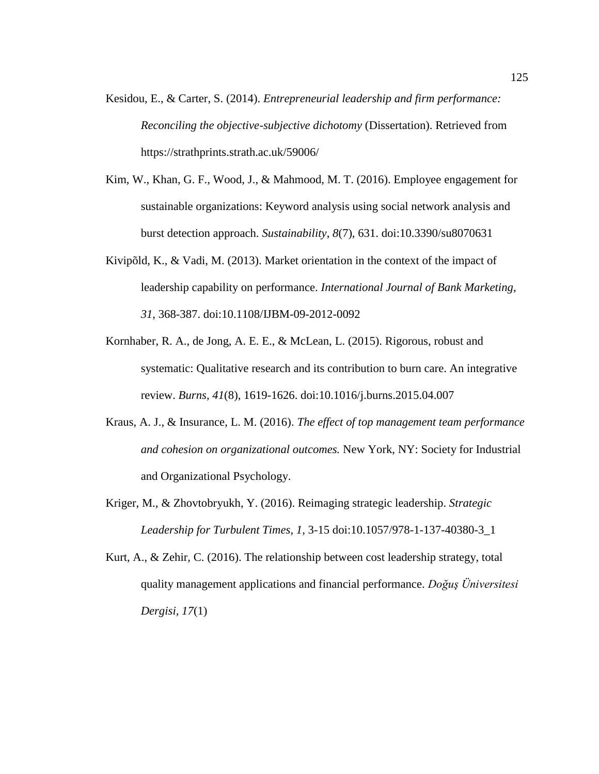- Kesidou, E., & Carter, S. (2014). *Entrepreneurial leadership and firm performance: Reconciling the objective-subjective dichotomy* (Dissertation). Retrieved from https://strathprints.strath.ac.uk/59006/
- Kim, W., Khan, G. F., Wood, J., & Mahmood, M. T. (2016). Employee engagement for sustainable organizations: Keyword analysis using social network analysis and burst detection approach. *Sustainability*, *8*(7), 631. doi:10.3390/su8070631
- Kivipõld, K., & Vadi, M. (2013). Market orientation in the context of the impact of leadership capability on performance. *International Journal of Bank Marketing, 31*, 368-387. doi:10.1108/IJBM-09-2012-0092
- Kornhaber, R. A., de Jong, A. E. E., & McLean, L. (2015). Rigorous, robust and systematic: Qualitative research and its contribution to burn care. An integrative review. *Burns*, *41*(8), 1619-1626. doi:10.1016/j.burns.2015.04.007
- Kraus, A. J., & Insurance, L. M. (2016). *The effect of top management team performance and cohesion on organizational outcomes.* New York, NY: Society for Industrial and Organizational Psychology.
- Kriger, M., & Zhovtobryukh, Y. (2016). Reimaging strategic leadership. *Strategic Leadership for Turbulent Times, 1,* 3-15 doi:10.1057/978-1-137-40380-3\_1
- Kurt, A., & Zehir, C. (2016). The relationship between cost leadership strategy, total quality management applications and financial performance. *Doğuş Üniversitesi Dergisi, 17*(1)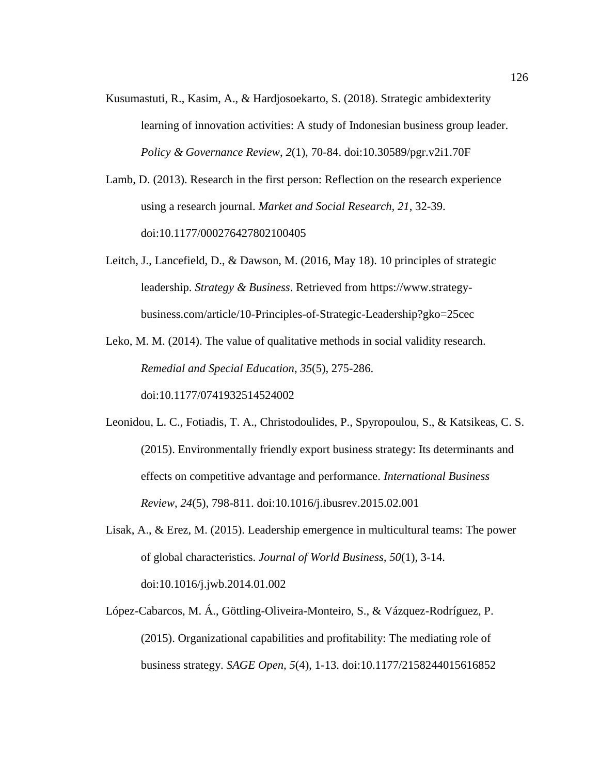- Kusumastuti, R., Kasim, A., & Hardjosoekarto, S. (2018). Strategic ambidexterity learning of innovation activities: A study of Indonesian business group leader. *Policy & Governance Review*, *2*(1), 70-84. doi:10.30589/pgr.v2i1.70F
- Lamb, D. (2013). Research in the first person: Reflection on the research experience using a research journal. *Market and Social Research, 21*, 32-39. doi:10.1177/000276427802100405
- Leitch, J., Lancefield, D., & Dawson, M. (2016, May 18). 10 principles of strategic leadership. *Strategy & Business*. Retrieved from https://www.strategybusiness.com/article/10-Principles-of-Strategic-Leadership?gko=25cec

Leko, M. M. (2014). The value of qualitative methods in social validity research. *Remedial and Special Education*, *35*(5), 275-286. doi:10.1177/0741932514524002

- Leonidou, L. C., Fotiadis, T. A., Christodoulides, P., Spyropoulou, S., & Katsikeas, C. S. (2015). Environmentally friendly export business strategy: Its determinants and effects on competitive advantage and performance. *International Business Review*, *24*(5), 798-811. doi:10.1016/j.ibusrev.2015.02.001
- Lisak, A., & Erez, M. (2015). Leadership emergence in multicultural teams: The power of global characteristics. *Journal of World Business, 50*(1), 3-14. doi:10.1016/j.jwb.2014.01.002
- López-Cabarcos, M. Á., Göttling-Oliveira-Monteiro, S., & Vázquez-Rodríguez, P. (2015). Organizational capabilities and profitability: The mediating role of business strategy. *SAGE Open, 5*(4), 1-13. doi:10.1177/2158244015616852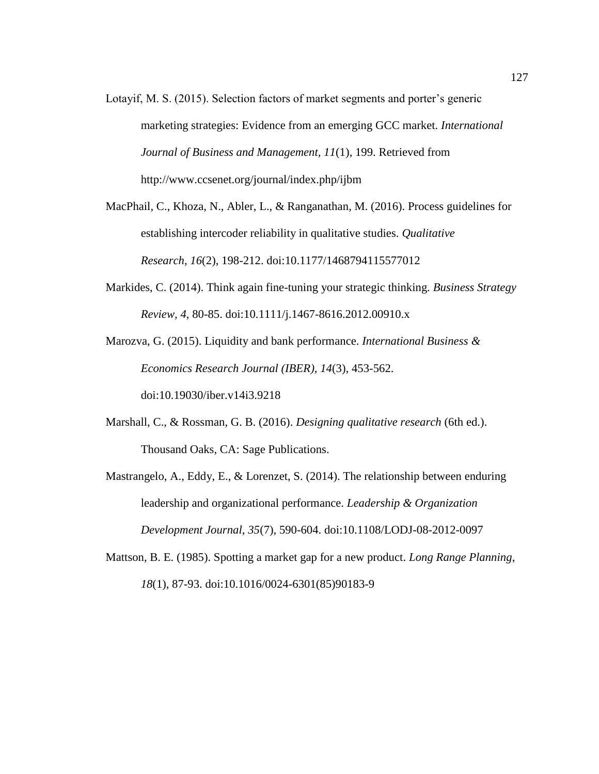Lotayif, M. S. (2015). Selection factors of market segments and porter's generic marketing strategies: Evidence from an emerging GCC market. *International Journal of Business and Management, 11*(1), 199. Retrieved from http://www.ccsenet.org/journal/index.php/ijbm

MacPhail, C., Khoza, N., Abler, L., & Ranganathan, M. (2016). Process guidelines for establishing intercoder reliability in qualitative studies. *Qualitative Research*, *16*(2), 198-212. doi:10.1177/1468794115577012

Markides, C. (2014). Think again fine-tuning your strategic thinking. *Business Strategy Review, 4,* 80-85. doi:10.1111/j.1467-8616.2012.00910.x

Marozva, G. (2015). Liquidity and bank performance. *International Business & Economics Research Journal (IBER)*, *14*(3), 453-562. doi:10.19030/iber.v14i3.9218

- Marshall, C., & Rossman, G. B. (2016). *Designing qualitative research* (6th ed.). Thousand Oaks, CA: Sage Publications.
- Mastrangelo, A., Eddy, E., & Lorenzet, S. (2014). The relationship between enduring leadership and organizational performance. *Leadership & Organization Development Journal*, *35*(7), 590-604. doi:10.1108/LODJ-08-2012-0097
- Mattson, B. E. (1985). Spotting a market gap for a new product. *Long Range Planning*, *18*(1), 87-93. doi:10.1016/0024-6301(85)90183-9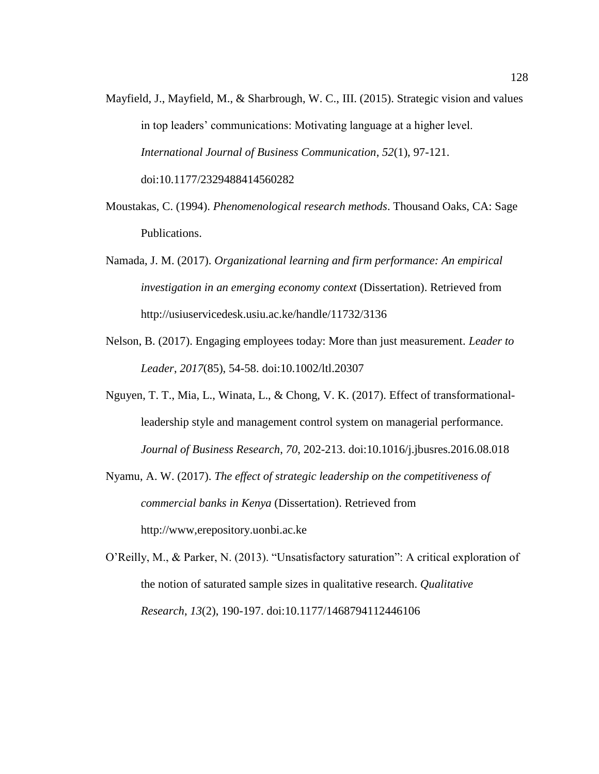- Mayfield, J., Mayfield, M., & Sharbrough, W. C., III. (2015). Strategic vision and values in top leaders' communications: Motivating language at a higher level. *International Journal of Business Communication*, *52*(1), 97-121. doi:10.1177/2329488414560282
- Moustakas, C. (1994). *Phenomenological research methods*. Thousand Oaks, CA: Sage Publications.
- Namada, J. M. (2017). *Organizational learning and firm performance: An empirical investigation in an emerging economy context* (Dissertation). Retrieved from http://usiuservicedesk.usiu.ac.ke/handle/11732/3136
- Nelson, B. (2017). Engaging employees today: More than just measurement. *Leader to Leader*, *2017*(85), 54-58. doi:10.1002/ltl.20307
- Nguyen, T. T., Mia, L., Winata, L., & Chong, V. K. (2017). Effect of transformationalleadership style and management control system on managerial performance. *Journal of Business Research*, *70*, 202-213. doi:10.1016/j.jbusres.2016.08.018
- Nyamu, A. W. (2017). *The effect of strategic leadership on the competitiveness of commercial banks in Kenya* (Dissertation). Retrieved from http://www,erepository.uonbi.ac.ke
- O'Reilly, M., & Parker, N. (2013). "Unsatisfactory saturation": A critical exploration of the notion of saturated sample sizes in qualitative research. *Qualitative Research*, *13*(2), 190-197. doi:10.1177/1468794112446106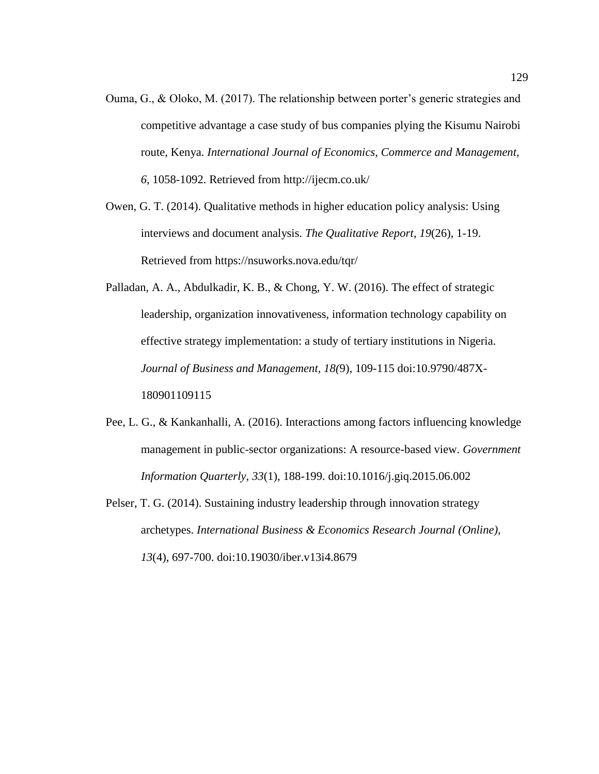Ouma, G., & Oloko, M. (2017). The relationship between porter's generic strategies and competitive advantage a case study of bus companies plying the Kisumu Nairobi route, Kenya. *International Journal of Economics, Commerce and Management, 6*, 1058-1092. Retrieved from http://ijecm.co.uk/

Owen, G. T. (2014). Qualitative methods in higher education policy analysis: Using interviews and document analysis. *The Qualitative Report*, *19*(26), 1-19. Retrieved from https://nsuworks.nova.edu/tqr/

Palladan, A. A., Abdulkadir, K. B., & Chong, Y. W. (2016). The effect of strategic leadership, organization innovativeness, information technology capability on effective strategy implementation: a study of tertiary institutions in Nigeria. *Journal of Business and Management, 18(*9), 109-115 doi:10.9790/487X-180901109115

- Pee, L. G., & Kankanhalli, A. (2016). Interactions among factors influencing knowledge management in public-sector organizations: A resource-based view. *Government Information Quarterly, 33*(1), 188-199. doi:10.1016/j.giq.2015.06.002
- Pelser, T. G. (2014). Sustaining industry leadership through innovation strategy archetypes. *International Business & Economics Research Journal (Online), 13*(4), 697-700. doi:10.19030/iber.v13i4.8679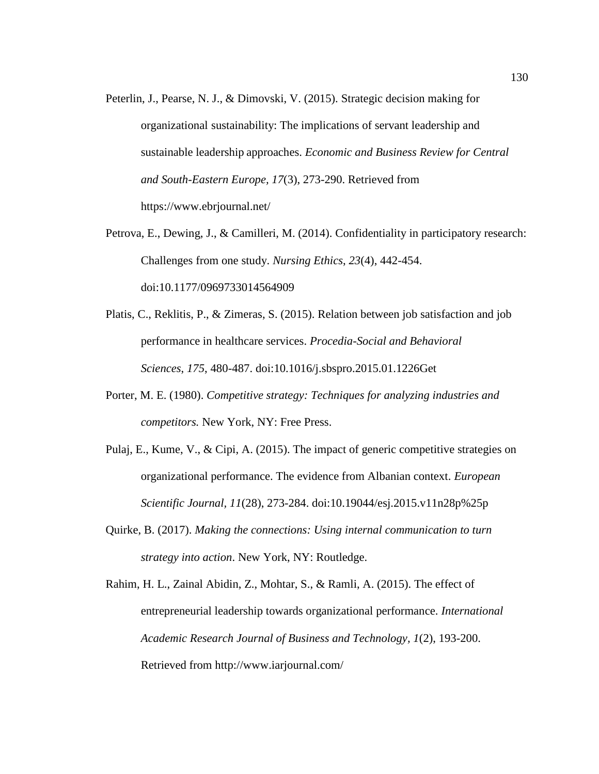- Peterlin, J., Pearse, N. J., & Dimovski, V. (2015). Strategic decision making for organizational sustainability: The implications of servant leadership and sustainable leadership approaches. *Economic and Business Review for Central and South-Eastern Europe, 17*(3), 273-290. Retrieved from https://www.ebrjournal.net/
- Petrova, E., Dewing, J., & Camilleri, M. (2014). Confidentiality in participatory research: Challenges from one study. *Nursing Ethics*, *23*(4), 442-454. doi:10.1177/0969733014564909
- Platis, C., Reklitis, P., & Zimeras, S. (2015). Relation between job satisfaction and job performance in healthcare services. *Procedia-Social and Behavioral Sciences*, *175*, 480-487. doi:10.1016/j.sbspro.2015.01.1226Get
- Porter, M. E. (1980). *Competitive strategy: Techniques for analyzing industries and competitors.* New York, NY: Free Press.
- Pulaj, E., Kume, V., & Cipi, A. (2015). The impact of generic competitive strategies on organizational performance. The evidence from Albanian context. *European Scientific Journal, 11*(28), 273-284. doi:10.19044/esj.2015.v11n28p%25p
- Quirke, B. (2017). *Making the connections: Using internal communication to turn strategy into action*. New York, NY: Routledge.
- Rahim, H. L., Zainal Abidin, Z., Mohtar, S., & Ramli, A. (2015). The effect of entrepreneurial leadership towards organizational performance. *International Academic Research Journal of Business and Technology, 1*(2), 193-200. Retrieved from http://www.iarjournal.com/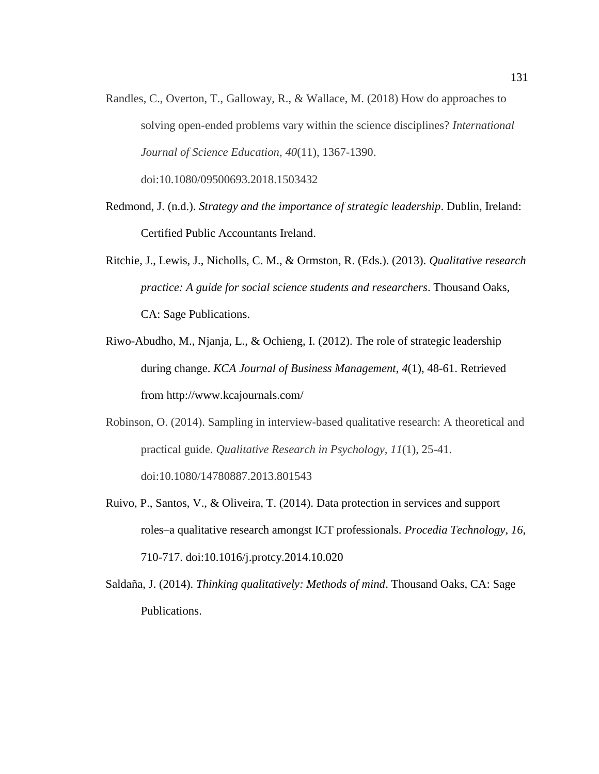- Randles, C., Overton, T., Galloway, R., & Wallace, M. (2018) How do approaches to solving open-ended problems vary within the science disciplines? *International Journal of Science Education, 40*(11), 1367-1390. doi:10.1080/09500693.2018.1503432
- Redmond, J. (n.d.). *Strategy and the importance of strategic leadership*. Dublin, Ireland: Certified Public Accountants Ireland.
- Ritchie, J., Lewis, J., Nicholls, C. M., & Ormston, R. (Eds.). (2013). *Qualitative research practice: A guide for social science students and researchers*. Thousand Oaks, CA: Sage Publications.
- Riwo-Abudho, M., Njanja, L., & Ochieng, I. (2012). The role of strategic leadership during change. *KCA Journal of Business Management*, *4*(1), 48-61. Retrieved from http://www.kcajournals.com/
- Robinson, O. (2014). Sampling in interview-based qualitative research: A theoretical and practical guide. *Qualitative Research in Psychology, 11*(1), 25-41. doi:10.1080/14780887.2013.801543
- Ruivo, P., Santos, V., & Oliveira, T. (2014). Data protection in services and support roles–a qualitative research amongst ICT professionals. *Procedia Technology*, *16*, 710-717. doi:10.1016/j.protcy.2014.10.020
- Saldaña, J. (2014). *Thinking qualitatively: Methods of mind*. Thousand Oaks, CA: Sage Publications.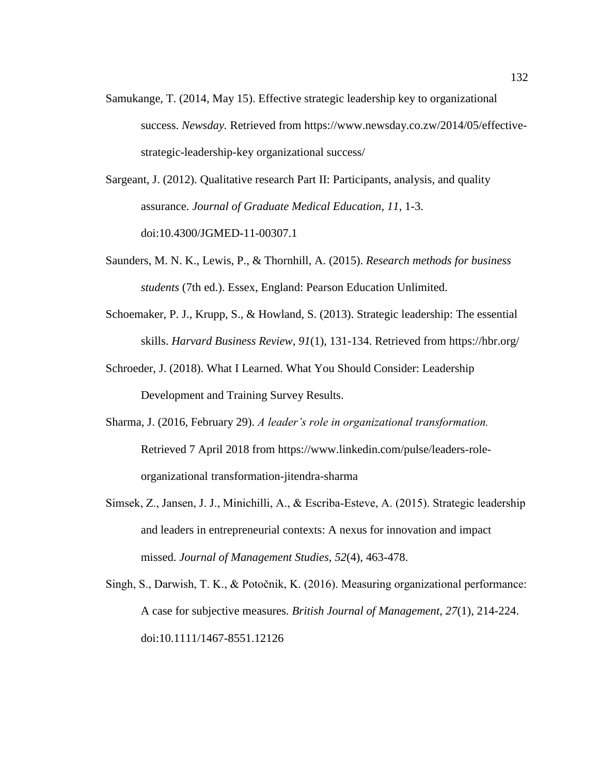Samukange, T. (2014, May 15). Effective strategic leadership key to organizational success. *Newsday.* Retrieved from https://www.newsday.co.zw/2014/05/effectivestrategic-leadership-key organizational success/

Sargeant, J. (2012). Qualitative research Part II: Participants, analysis, and quality assurance. *Journal of Graduate Medical Education, 11*, 1-3. doi:10.4300/JGMED-11-00307.1

- Saunders, M. N. K., Lewis, P., & Thornhill, A. (2015). *Research methods for business students* (7th ed.). Essex, England: Pearson Education Unlimited.
- Schoemaker, P. J., Krupp, S., & Howland, S. (2013). Strategic leadership: The essential skills. *Harvard Business Review, 91*(1), 131-134. Retrieved from https://hbr.org/
- Schroeder, J. (2018). What I Learned. What You Should Consider: Leadership Development and Training Survey Results.
- Sharma, J. (2016, February 29). *A leader's role in organizational transformation.* Retrieved 7 April 2018 from https://www.linkedin.com/pulse/leaders-roleorganizational transformation-jitendra-sharma
- Simsek, Z., Jansen, J. J., Minichilli, A., & Escriba‐Esteve, A. (2015). Strategic leadership and leaders in entrepreneurial contexts: A nexus for innovation and impact missed. *Journal of Management Studies*, *52*(4), 463-478.
- Singh, S., Darwish, T. K., & Potočnik, K. (2016). Measuring organizational performance: A case for subjective measures. *British Journal of Management*, *27*(1), 214-224. doi:10.1111/1467-8551.12126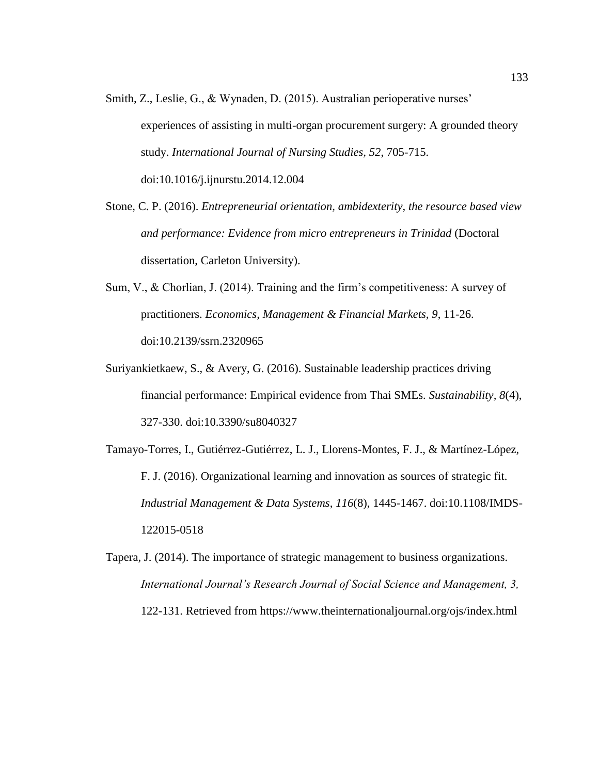- Smith, Z., Leslie, G., & Wynaden, D. (2015). Australian perioperative nurses' experiences of assisting in multi-organ procurement surgery: A grounded theory study. *International Journal of Nursing Studies, 52*, 705-715. doi:10.1016/j.ijnurstu.2014.12.004
- Stone, C. P. (2016). *Entrepreneurial orientation, ambidexterity, the resource based view and performance: Evidence from micro entrepreneurs in Trinidad* (Doctoral dissertation, Carleton University).
- Sum, V., & Chorlian, J. (2014). Training and the firm's competitiveness: A survey of practitioners. *Economics, Management & Financial Markets, 9*, 11-26. doi:10.2139/ssrn.2320965
- Suriyankietkaew, S., & Avery, G. (2016). Sustainable leadership practices driving financial performance: Empirical evidence from Thai SMEs. *Sustainability, 8*(4), 327-330. doi:10.3390/su8040327
- Tamayo-Torres, I., Gutiérrez-Gutiérrez, L. J., Llorens-Montes, F. J., & Martínez-López, F. J. (2016). Organizational learning and innovation as sources of strategic fit. *Industrial Management & Data Systems*, *116*(8), 1445-1467. doi:10.1108/IMDS-122015-0518
- Tapera, J. (2014). The importance of strategic management to business organizations. *International Journal's Research Journal of Social Science and Management, 3,*  122-131. Retrieved from https://www.theinternationaljournal.org/ojs/index.html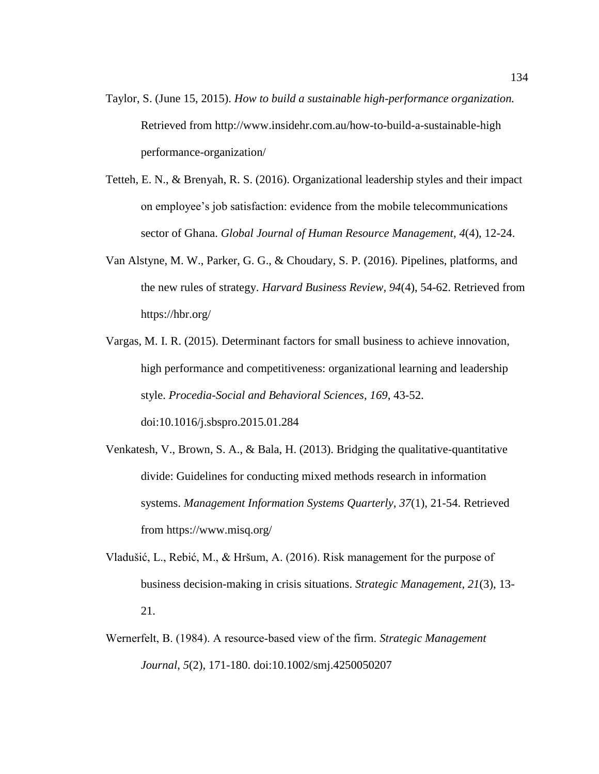- Taylor, S. (June 15, 2015). *How to build a sustainable high-performance organization.* Retrieved from http://www.insidehr.com.au/how-to-build-a-sustainable-high performance-organization/
- Tetteh, E. N., & Brenyah, R. S. (2016). Organizational leadership styles and their impact on employee's job satisfaction: evidence from the mobile telecommunications sector of Ghana. *Global Journal of Human Resource Management*, *4*(4), 12-24.
- Van Alstyne, M. W., Parker, G. G., & Choudary, S. P. (2016). Pipelines, platforms, and the new rules of strategy. *Harvard Business Review, 94*(4), 54-62. Retrieved from https://hbr.org/
- Vargas, M. I. R. (2015). Determinant factors for small business to achieve innovation, high performance and competitiveness: organizational learning and leadership style. *Procedia-Social and Behavioral Sciences*, *169*, 43-52. doi:10.1016/j.sbspro.2015.01.284
- Venkatesh, V., Brown, S. A., & Bala, H. (2013). Bridging the qualitative-quantitative divide: Guidelines for conducting mixed methods research in information systems. *Management Information Systems Quarterly*, *37*(1), 21-54. Retrieved from https://www.misq.org/
- Vladušić, L., Rebić, M., & Hršum, A. (2016). Risk management for the purpose of business decision-making in crisis situations. *Strategic Management*, *21*(3), 13- 21.
- Wernerfelt, B. (1984). A resource‐based view of the firm. *Strategic Management Journal*, *5*(2), 171-180. doi:10.1002/smj.4250050207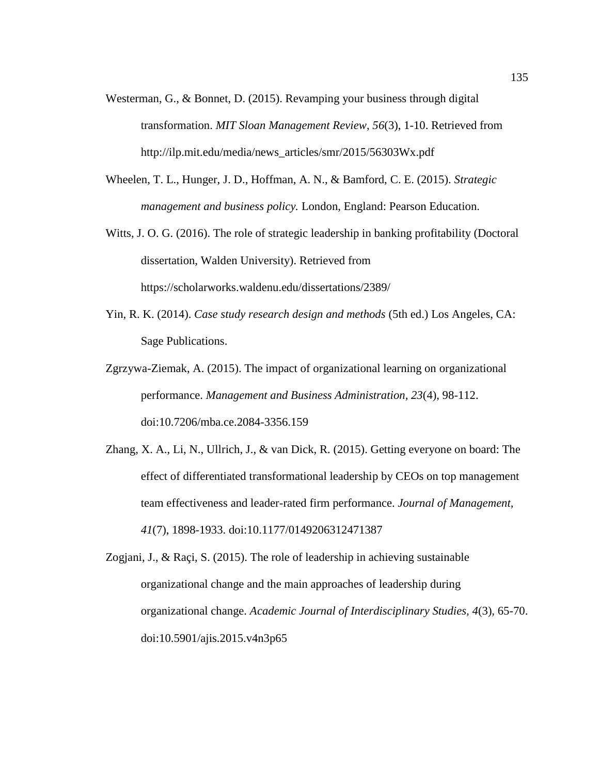- Westerman, G., & Bonnet, D. (2015). Revamping your business through digital transformation. *MIT Sloan Management Review*, *56*(3), 1-10. Retrieved from http://ilp.mit.edu/media/news\_articles/smr/2015/56303Wx.pdf
- Wheelen, T. L., Hunger, J. D., Hoffman, A. N., & Bamford, C. E. (2015). *Strategic management and business policy.* London, England: Pearson Education.
- Witts, J. O. G. (2016). The role of strategic leadership in banking profitability (Doctoral dissertation, Walden University). Retrieved from https://scholarworks.waldenu.edu/dissertations/2389/
- Yin, R. K. (2014). *Case study research design and methods* (5th ed.) Los Angeles, CA: Sage Publications.
- Zgrzywa-Ziemak, A. (2015). The impact of organizational learning on organizational performance. *Management and Business Administration, 23*(4), 98-112. doi:10.7206/mba.ce.2084-3356.159
- Zhang, X. A., Li, N., Ullrich, J., & van Dick, R. (2015). Getting everyone on board: The effect of differentiated transformational leadership by CEOs on top management team effectiveness and leader-rated firm performance. *Journal of Management, 41*(7), 1898-1933. doi:10.1177/0149206312471387
- Zogjani, J., & Raçi, S. (2015). The role of leadership in achieving sustainable organizational change and the main approaches of leadership during organizational change. *Academic Journal of Interdisciplinary Studies, 4*(3), 65-70. doi:10.5901/ajis.2015.v4n3p65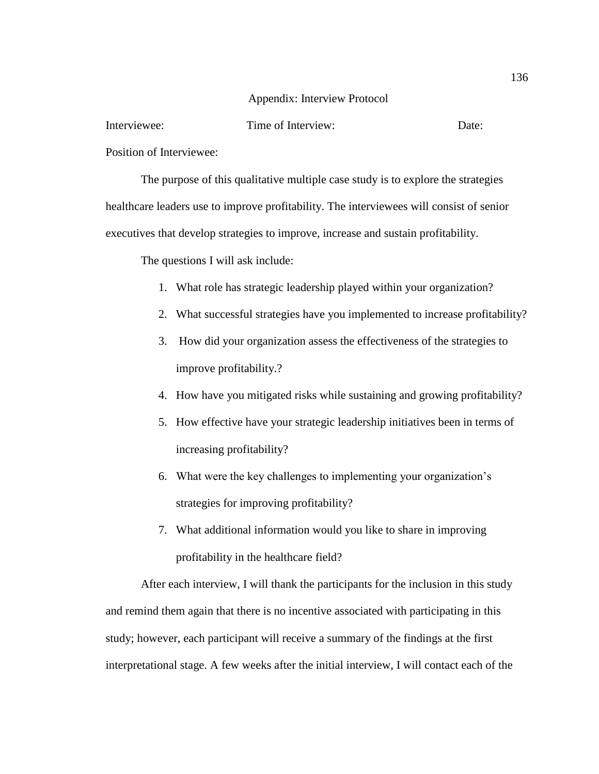## Appendix: Interview Protocol

Interviewee: Time of Interview: Date:

Position of Interviewee:

The purpose of this qualitative multiple case study is to explore the strategies healthcare leaders use to improve profitability. The interviewees will consist of senior executives that develop strategies to improve, increase and sustain profitability.

The questions I will ask include:

- 1. What role has strategic leadership played within your organization?
- 2. What successful strategies have you implemented to increase profitability?
- 3. How did your organization assess the effectiveness of the strategies to improve profitability.?
- 4. How have you mitigated risks while sustaining and growing profitability?
- 5. How effective have your strategic leadership initiatives been in terms of increasing profitability?
- 6. What were the key challenges to implementing your organization's strategies for improving profitability?
- 7. What additional information would you like to share in improving profitability in the healthcare field?

After each interview, I will thank the participants for the inclusion in this study and remind them again that there is no incentive associated with participating in this study; however, each participant will receive a summary of the findings at the first interpretational stage. A few weeks after the initial interview, I will contact each of the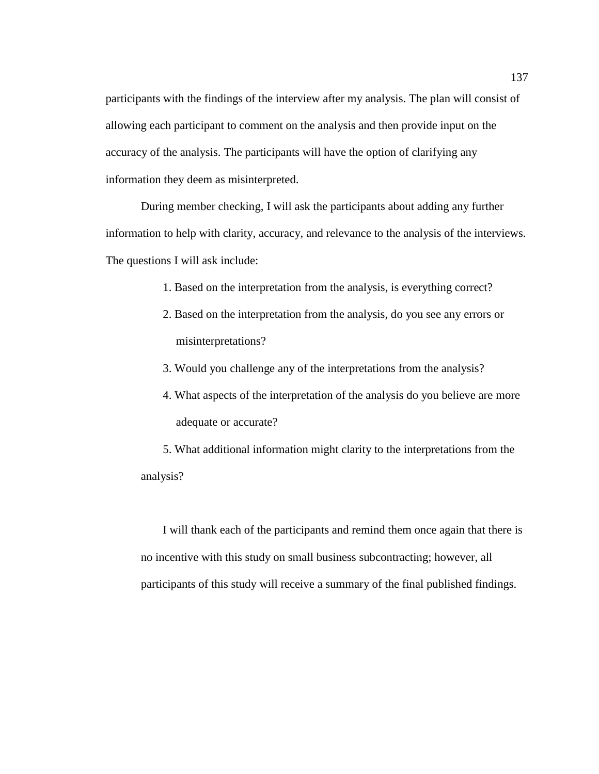participants with the findings of the interview after my analysis. The plan will consist of allowing each participant to comment on the analysis and then provide input on the accuracy of the analysis. The participants will have the option of clarifying any information they deem as misinterpreted.

During member checking, I will ask the participants about adding any further information to help with clarity, accuracy, and relevance to the analysis of the interviews. The questions I will ask include:

- 1. Based on the interpretation from the analysis, is everything correct?
- 2. Based on the interpretation from the analysis, do you see any errors or misinterpretations?
- 3. Would you challenge any of the interpretations from the analysis?
- 4. What aspects of the interpretation of the analysis do you believe are more adequate or accurate?

5. What additional information might clarity to the interpretations from the analysis?

I will thank each of the participants and remind them once again that there is no incentive with this study on small business subcontracting; however, all participants of this study will receive a summary of the final published findings.